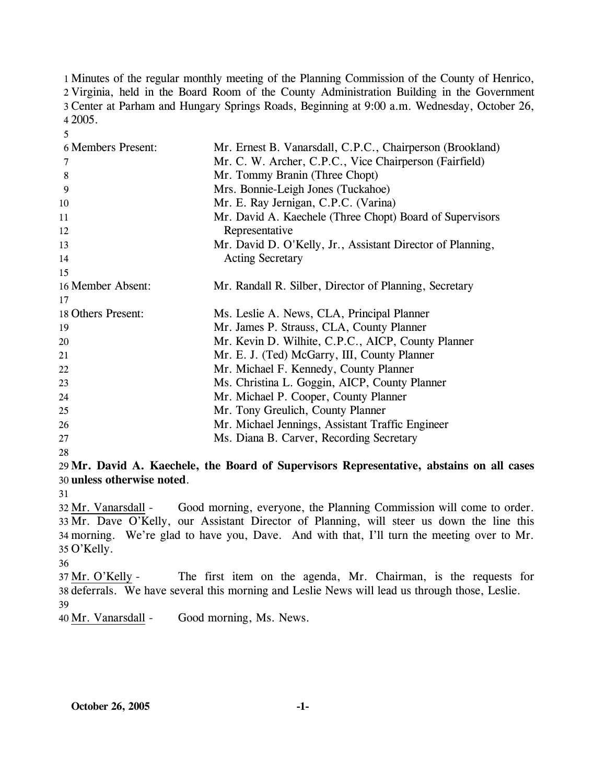Minutes of the regular monthly meeting of the Planning Commission of the County of Henrico, Virginia, held in the Board Room of the County Administration Building in the Government Center at Parham and Hungary Springs Roads, Beginning at 9:00 a.m. Wednesday, October 26, 4 2005.

| <b>6 Members Present:</b> | Mr. Ernest B. Vanarsdall, C.P.C., Chairperson (Brookland)  |
|---------------------------|------------------------------------------------------------|
| 7                         | Mr. C. W. Archer, C.P.C., Vice Chairperson (Fairfield)     |
| 8                         | Mr. Tommy Branin (Three Chopt)                             |
| 9                         | Mrs. Bonnie-Leigh Jones (Tuckahoe)                         |
| 10                        | Mr. E. Ray Jernigan, C.P.C. (Varina)                       |
| 11                        | Mr. David A. Kaechele (Three Chopt) Board of Supervisors   |
| 12                        | Representative                                             |
| 13                        | Mr. David D. O'Kelly, Jr., Assistant Director of Planning, |
| 14                        | <b>Acting Secretary</b>                                    |
| 15                        |                                                            |
| 16 Member Absent:         | Mr. Randall R. Silber, Director of Planning, Secretary     |
| 17                        |                                                            |
| 18 Others Present:        | Ms. Leslie A. News, CLA, Principal Planner                 |
| 19                        | Mr. James P. Strauss, CLA, County Planner                  |
| 20                        | Mr. Kevin D. Wilhite, C.P.C., AICP, County Planner         |
| 21                        | Mr. E. J. (Ted) McGarry, III, County Planner               |
| 22                        | Mr. Michael F. Kennedy, County Planner                     |
| 23                        | Ms. Christina L. Goggin, AICP, County Planner              |
| 24                        | Mr. Michael P. Cooper, County Planner                      |
| 25                        | Mr. Tony Greulich, County Planner                          |
| 26                        | Mr. Michael Jennings, Assistant Traffic Engineer           |
| 27                        | Ms. Diana B. Carver, Recording Secretary                   |
| 28                        |                                                            |

29 **Mr. David A. Kaechele, the Board of Supervisors Representative, abstains on all cases**  30 **unless otherwise noted**.

31

5

Good morning, everyone, the Planning Commission will come to order. 33 Mr. Dave O'Kelly, our Assistant Director of Planning, will steer us down the line this morning. We're glad to have you, Dave. And with that, I'll turn the meeting over to Mr. 34 O'Kelly. 35 32 Mr. Vanarsdall -

36

The first item on the agenda, Mr. Chairman, is the requests for 38 deferrals. We have several this morning and Leslie News will lead us through those, Leslie. 37 Mr. O'Kelly -39

40 Mr. Vanarsdall - Good morning, Ms. News.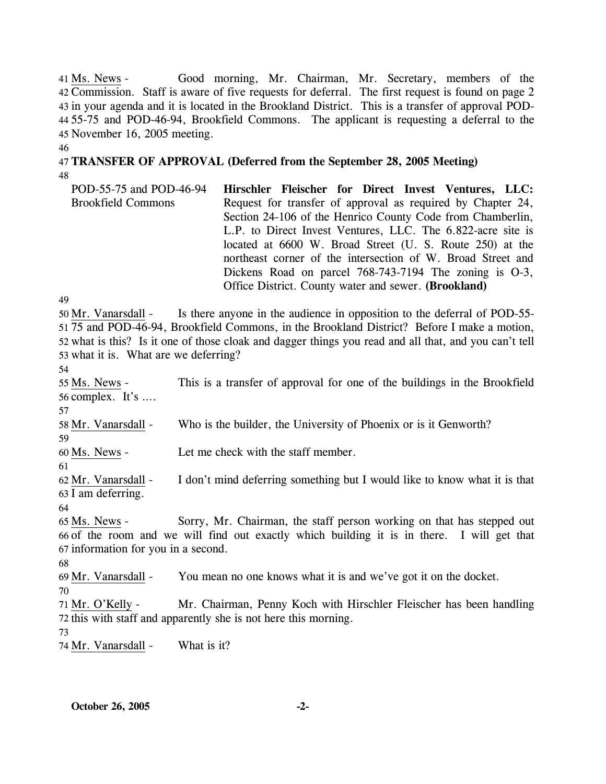Good morning, Mr. Chairman, Mr. Secretary, members of the Commission. Staff is aware of five requests for deferral. The first request is found on page 2 42 43 in your agenda and it is located in the Brookland District. This is a transfer of approval POD-55-75 and POD-46-94, Brookfield Commons. The applicant is requesting a deferral to the 44 November 16, 2005 meeting. 45 41 Ms. News -

46

48

# 47 **TRANSFER OF APPROVAL (Deferred from the September 28, 2005 Meeting)**

POD-55-75 and POD-46-94 Brookfield Commons **Hirschler Fleischer for Direct Invest Ventures, LLC:**  Request for transfer of approval as required by Chapter 24, Section 24-106 of the Henrico County Code from Chamberlin, L.P. to Direct Invest Ventures, LLC. The 6.822-acre site is located at 6600 W. Broad Street (U. S. Route 250) at the northeast corner of the intersection of W. Broad Street and Dickens Road on parcel 768-743-7194 The zoning is O-3, Office District. County water and sewer. **(Brookland)** 

49

Is there anyone in the audience in opposition to the deferral of POD-55-75 and POD-46-94, Brookfield Commons, in the Brookland District? Before I make a motion, 51 52 what is this? Is it one of those cloak and dagger things you read and all that, and you can't tell 53 what it is. What are we deferring? 50 Mr. Vanarsdall -

54

59

61

This is a transfer of approval for one of the buildings in the Brookfield 56 complex. It's  $\dots$ 55 Ms. News -57

58 Mr. Vanarsdall - Who is the builder, the University of Phoenix or is it Genworth?

60 Ms. News - Let me check with the staff member.

I don't mind deferring something but I would like to know what it is that 63 I am deferring. 62 Mr. Vanarsdall -

64

Sorry, Mr. Chairman, the staff person working on that has stepped out 66 of the room and we will find out exactly which building it is in there. I will get that 67 information for you in a second. 65 Ms. News -

68

69 Mr. Vanarsdall - You mean no one knows what it is and we've got it on the docket.

70

Mr. Chairman, Penny Koch with Hirschler Fleischer has been handling 72 this with staff and apparently she is not here this morning. 71 Mr. O'Kelly -

73

74 Mr. Vanarsdall - What is it?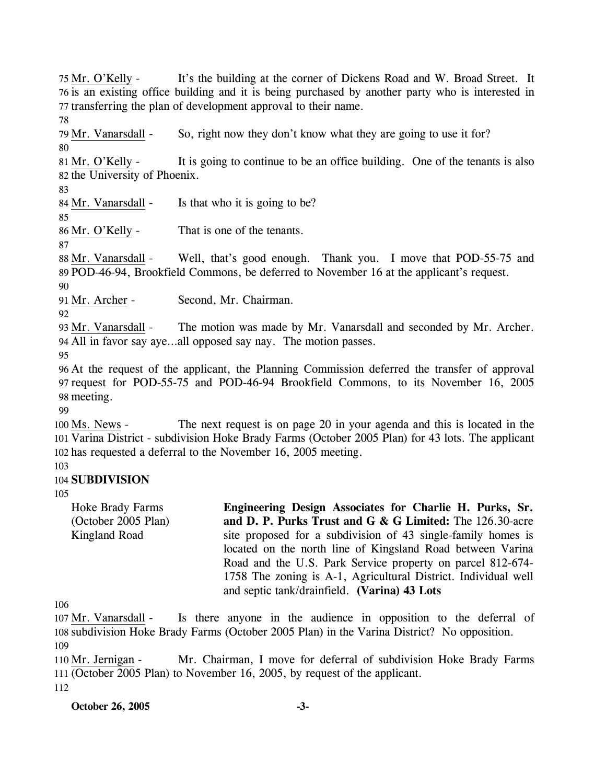76 is an existing office building and it is being purchased by another party who is interested in 77 transferring the plan of development approval to their name. 78 79 Mr. Vanarsdall - So, right now they don't know what they are going to use it for? 80 It is going to continue to be an office building. One of the tenants is also 82 the University of Phoenix. 81 Mr. O'Kelly -83 84 Mr. Vanarsdall - Is that who it is going to be? 85 86 Mr. O'Kelly - That is one of the tenants. 87 Well, that's good enough. Thank you. I move that POD-55-75 and POD-46-94, Brookfield Commons, be deferred to November 16 at the applicant's request. 89 88 Mr. Vanarsdall -90 91 Mr. Archer - Second, Mr. Chairman. 92 The motion was made by Mr. Vanarsdall and seconded by Mr. Archer. All in favor say aye…all opposed say nay. The motion passes. 94 93 Mr. Vanarsdall -95 96 At the request of the applicant, the Planning Commission deferred the transfer of approval 97 request for POD-55-75 and POD-46-94 Brookfield Commons, to its November 16, 2005 98 meeting. 99 The next request is on page 20 in your agenda and this is located in the 101 Varina District - subdivision Hoke Brady Farms (October 2005 Plan) for 43 lots. The applicant 102 has requested a deferral to the November 16, 2005 meeting. 100 Ms. News -

It's the building at the corner of Dickens Road and W. Broad Street. It

103

# 104 **SUBDIVISION**

75 Mr. O'Kelly -

105

Hoke Brady Farms (October 2005 Plan) Kingland Road

**Engineering Design Associates for Charlie H. Purks, Sr. and D. P. Purks Trust and G & G Limited:** The 126.30-acre site proposed for a subdivision of 43 single-family homes is located on the north line of Kingsland Road between Varina Road and the U.S. Park Service property on parcel 812-674- 1758 The zoning is A-1, Agricultural District. Individual well and septic tank/drainfield. **(Varina) 43 Lots** 

106

Is there anyone in the audience in opposition to the deferral of 108 subdivision Hoke Brady Farms (October 2005 Plan) in the Varina District? No opposition. 107 Mr. Vanarsdall -109

Mr. Chairman, I move for deferral of subdivision Hoke Brady Farms (October 2005 Plan) to November 16, 2005, by request of the applicant. 111 110 Mr. Jernigan -112

**October 26, 2005 -3-**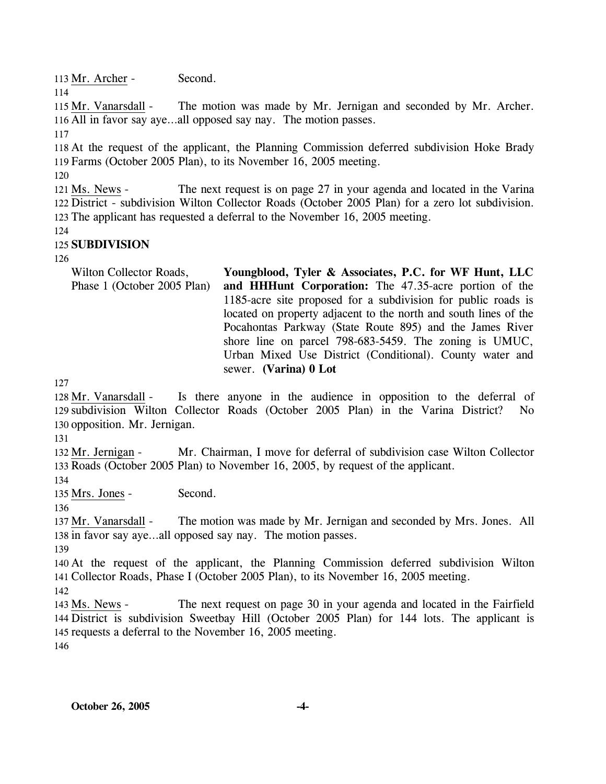113 Mr. Archer - Second. 114

The motion was made by Mr. Jernigan and seconded by Mr. Archer. 116 All in favor say aye...all opposed say nay. The motion passes. 115 Mr. Vanarsdall -

117

118 At the request of the applicant, the Planning Commission deferred subdivision Hoke Brady 119 Farms (October 2005 Plan), to its November 16, 2005 meeting.

120

The next request is on page 27 in your agenda and located in the Varina 122 District - subdivision Wilton Collector Roads (October 2005 Plan) for a zero lot subdivision. 123 The applicant has requested a deferral to the November 16, 2005 meeting. 121 Ms. News -

124

# 125 **SUBDIVISION**

126

Wilton Collector Roads, Phase 1 (October 2005 Plan) **Youngblood, Tyler & Associates, P.C. for WF Hunt, LLC and HHHunt Corporation:** The 47.35-acre portion of the 1185-acre site proposed for a subdivision for public roads is located on property adjacent to the north and south lines of the Pocahontas Parkway (State Route 895) and the James River shore line on parcel 798-683-5459. The zoning is UMUC, Urban Mixed Use District (Conditional). County water and sewer. **(Varina) 0 Lot** 

127

Is there anyone in the audience in opposition to the deferral of 129 subdivision Wilton Collector Roads (October 2005 Plan) in the Varina District? No 130 opposition. Mr. Jernigan. 128 Mr. Vanarsdall -

131

Mr. Chairman, I move for deferral of subdivision case Wilton Collector 133 Roads (October 2005 Plan) to November 16, 2005, by request of the applicant. 132 Mr. Jernigan -

134

135 Mrs. Jones - Second.

136

The motion was made by Mr. Jernigan and seconded by Mrs. Jones. All 138 in favor say aye...all opposed say nay. The motion passes. 137 Mr. Vanarsdall -

139

140 At the request of the applicant, the Planning Commission deferred subdivision Wilton 141 Collector Roads, Phase I (October 2005 Plan), to its November 16, 2005 meeting.

142

The next request on page 30 in your agenda and located in the Fairfield 144 District is subdivision Sweetbay Hill (October 2005 Plan) for 144 lots. The applicant is 145 requests a deferral to the November 16, 2005 meeting. 143 Ms. News -146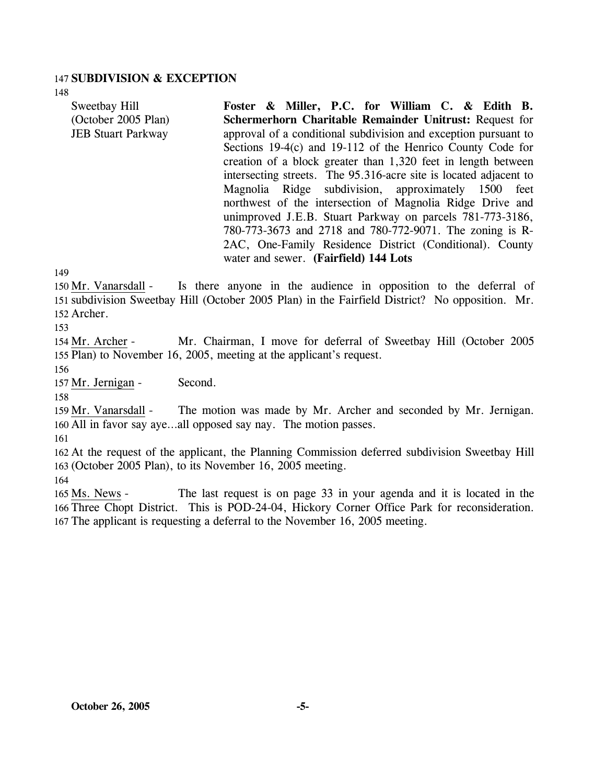#### 147 **SUBDIVISION & EXCEPTION**

Sweetbay Hill

(October 2005 Plan) JEB Stuart Parkway

148

**Foster & Miller, P.C. for William C. & Edith B. Schermerhorn Charitable Remainder Unitrust:** Request for approval of a conditional subdivision and exception pursuant to Sections 19-4(c) and 19-112 of the Henrico County Code for creation of a block greater than 1,320 feet in length between intersecting streets. The 95.316-acre site is located adjacent to Magnolia Ridge subdivision, approximately 1500 feet northwest of the intersection of Magnolia Ridge Drive and unimproved J.E.B. Stuart Parkway on parcels 781-773-3186, 780-773-3673 and 2718 and 780-772-9071. The zoning is R-2AC, One-Family Residence District (Conditional). County water and sewer. **(Fairfield) 144 Lots** 

149

Is there anyone in the audience in opposition to the deferral of 151 subdivision Sweetbay Hill (October 2005 Plan) in the Fairfield District? No opposition. Mr. 152 Archer. 150 Mr. Vanarsdall -

153

Mr. Chairman, I move for deferral of Sweetbay Hill (October 2005 155 Plan) to November 16, 2005, meeting at the applicant's request. 154 Mr. Archer -

156

157 Mr. Jernigan - Second.

158

The motion was made by Mr. Archer and seconded by Mr. Jernigan. 160 All in favor say aye...all opposed say nay. The motion passes. 159 Mr. Vanarsdall -

161

162 At the request of the applicant, the Planning Commission deferred subdivision Sweetbay Hill 163 (October 2005 Plan), to its November 16, 2005 meeting.

164

The last request is on page 33 in your agenda and it is located in the 166 Three Chopt District. This is POD-24-04, Hickory Corner Office Park for reconsideration. 167 The applicant is requesting a deferral to the November 16, 2005 meeting. 165 Ms. News -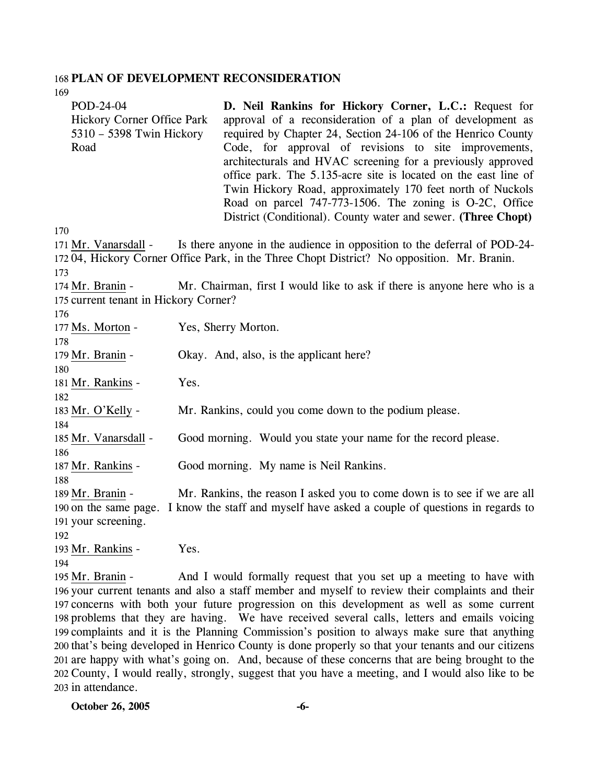#### 168 **PLAN OF DEVELOPMENT RECONSIDERATION**

169

| POD-24-04<br><b>Hickory Corner Office Park</b><br>5310 - 5398 Twin Hickory<br>Road | D. Neil Rankins for Hickory Corner, L.C.: Request for<br>approval of a reconsideration of a plan of development as<br>required by Chapter 24, Section 24-106 of the Henrico County<br>Code, for approval of revisions to site improvements,<br>architecturals and HVAC screening for a previously approved<br>office park. The 5.135-acre site is located on the east line of<br>Twin Hickory Road, approximately 170 feet north of Nuckols<br>Road on parcel 747-773-1506. The zoning is O-2C, Office<br>District (Conditional). County water and sewer. (Three Chopt) |
|------------------------------------------------------------------------------------|-------------------------------------------------------------------------------------------------------------------------------------------------------------------------------------------------------------------------------------------------------------------------------------------------------------------------------------------------------------------------------------------------------------------------------------------------------------------------------------------------------------------------------------------------------------------------|
| 170                                                                                |                                                                                                                                                                                                                                                                                                                                                                                                                                                                                                                                                                         |
| 171 Mr. Vanarsdall -                                                               | Is there anyone in the audience in opposition to the deferral of POD-24-<br>17204, Hickory Corner Office Park, in the Three Chopt District? No opposition. Mr. Branin.                                                                                                                                                                                                                                                                                                                                                                                                  |
| 173                                                                                |                                                                                                                                                                                                                                                                                                                                                                                                                                                                                                                                                                         |
| 174 Mr. Branin -                                                                   | Mr. Chairman, first I would like to ask if there is anyone here who is a                                                                                                                                                                                                                                                                                                                                                                                                                                                                                                |
| 175 current tenant in Hickory Corner?                                              |                                                                                                                                                                                                                                                                                                                                                                                                                                                                                                                                                                         |
| 176                                                                                |                                                                                                                                                                                                                                                                                                                                                                                                                                                                                                                                                                         |
| 177 Ms. Morton -<br>178                                                            | Yes, Sherry Morton.                                                                                                                                                                                                                                                                                                                                                                                                                                                                                                                                                     |
| 179 Mr. Branin -<br>180                                                            | Okay. And, also, is the applicant here?                                                                                                                                                                                                                                                                                                                                                                                                                                                                                                                                 |
| 181 Mr. Rankins -<br>182                                                           | Yes.                                                                                                                                                                                                                                                                                                                                                                                                                                                                                                                                                                    |
| 183 Mr. O'Kelly -<br>184                                                           | Mr. Rankins, could you come down to the podium please.                                                                                                                                                                                                                                                                                                                                                                                                                                                                                                                  |
| 185 Mr. Vanarsdall -                                                               | Good morning. Would you state your name for the record please.                                                                                                                                                                                                                                                                                                                                                                                                                                                                                                          |
| 186<br>187 Mr. Rankins -                                                           | Good morning. My name is Neil Rankins.                                                                                                                                                                                                                                                                                                                                                                                                                                                                                                                                  |
| 188<br>189 Mr. Branin -<br>191 your screening.                                     | Mr. Rankins, the reason I asked you to come down is to see if we are all<br>190 on the same page. I know the staff and myself have asked a couple of questions in regards to                                                                                                                                                                                                                                                                                                                                                                                            |
| 192                                                                                |                                                                                                                                                                                                                                                                                                                                                                                                                                                                                                                                                                         |
| 193 Mr. Rankins -<br>194                                                           | Yes.                                                                                                                                                                                                                                                                                                                                                                                                                                                                                                                                                                    |
| 195 Mr. Branin -                                                                   | And I would formally request that you set up a meeting to have with<br>196 your current tenants and also a staff member and myself to review their complaints and their                                                                                                                                                                                                                                                                                                                                                                                                 |
|                                                                                    | 197 concerns with both your future progression on this development as well as some current                                                                                                                                                                                                                                                                                                                                                                                                                                                                              |
|                                                                                    | 198 problems that they are having. We have received several calls, letters and emails voicing                                                                                                                                                                                                                                                                                                                                                                                                                                                                           |

199 complaints and it is the Planning Commission's position to always make sure that anything 200 that's being developed in Henrico County is done properly so that your tenants and our citizens 201 are happy with what's going on. And, because of these concerns that are being brought to the 202 County, I would really, strongly, suggest that you have a meeting, and I would also like to be 203 in attendance.

**October 26, 2005 -6-**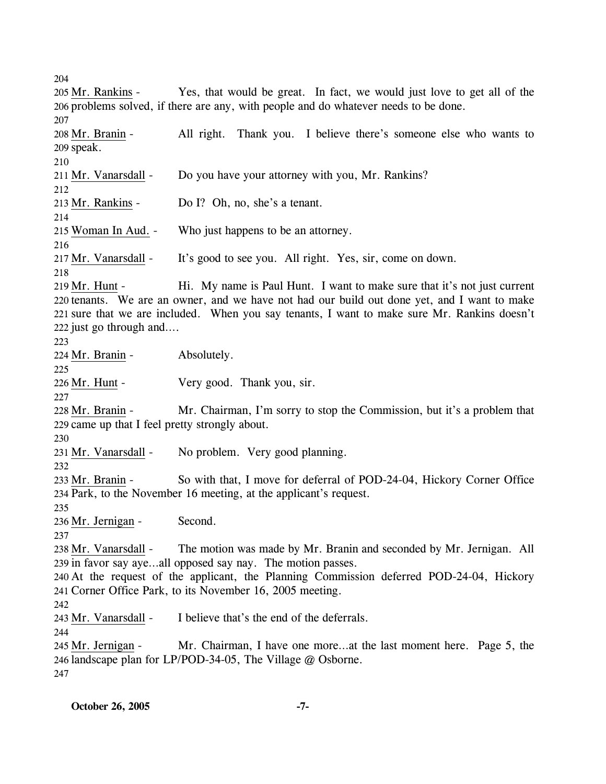204

Yes, that would be great. In fact, we would just love to get all of the 206 problems solved, if there are any, with people and do whatever needs to be done. 205 Mr. Rankins -207 All right. Thank you. I believe there's someone else who wants to 209 speak. 208 Mr. Branin -210 211 Mr. Vanarsdall - Do you have your attorney with you, Mr. Rankins? 212 213 Mr. Rankins - Do I? Oh, no, she's a tenant. 214 215 Woman In Aud. - Who just happens to be an attorney. 216 217 Mr. Vanarsdall - It's good to see you. All right. Yes, sir, come on down. 218 Hi. My name is Paul Hunt. I want to make sure that it's not just current 220 tenants. We are an owner, and we have not had our build out done yet, and I want to make 221 sure that we are included. When you say tenants, I want to make sure Mr. Rankins doesn't 222 just go through and.... 219 Mr. Hunt -223 224 Mr. Branin - Absolutely. 225 226 Mr. Hunt - Very good. Thank you, sir. 227 Mr. Chairman, I'm sorry to stop the Commission, but it's a problem that 229 came up that I feel pretty strongly about. 228 Mr. Branin -230 231 Mr. Vanarsdall - No problem. Very good planning. 232 So with that, I move for deferral of POD-24-04, Hickory Corner Office 234 Park, to the November 16 meeting, at the applicant's request. 233 Mr. Branin -235 236 Mr. Jernigan - Second. 237 The motion was made by Mr. Branin and seconded by Mr. Jernigan. All 239 in favor say aye...all opposed say nay. The motion passes. 238 Mr. Vanarsdall -240 At the request of the applicant, the Planning Commission deferred POD-24-04, Hickory 241 Corner Office Park, to its November 16, 2005 meeting. 242 243 Mr. Vanarsdall - I believe that's the end of the deferrals. 244 Mr. Chairman, I have one more...at the last moment here. Page 5, the 246 landscape plan for LP/POD-34-05, The Village @ Osborne. 245 Mr. Jernigan -247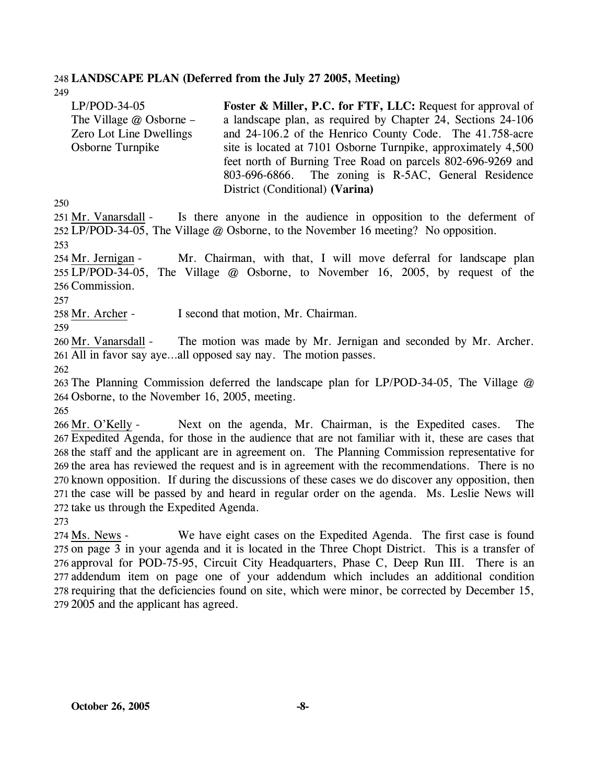#### 248 **LANDSCAPE PLAN (Deferred from the July 27 2005, Meeting)**  249

LP/POD-34-05 The Village @ Osborne – Zero Lot Line Dwellings Osborne Turnpike **Foster & Miller, P.C. for FTF, LLC:** Request for approval of a landscape plan, as required by Chapter 24, Sections 24-106 and 24-106.2 of the Henrico County Code. The 41.758-acre site is located at 7101 Osborne Turnpike, approximately 4,500 feet north of Burning Tree Road on parcels 802-696-9269 and 803-696-6866. The zoning is R-5AC, General Residence District (Conditional) **(Varina)** 

250

Is there anyone in the audience in opposition to the deferment of 252 LP/POD-34-05, The Village @ Osborne, to the November 16 meeting? No opposition. 251 Mr. Vanarsdall -253

Mr. Chairman, with that, I will move deferral for landscape plan 255 LP/POD-34-05, The Village @ Osborne, to November 16, 2005, by request of the 256 Commission. 254 Mr. Jernigan -

257

258 Mr. Archer - I second that motion, Mr. Chairman.

259

The motion was made by Mr. Jernigan and seconded by Mr. Archer. All in favor say aye…all opposed say nay. The motion passes. 261 260 Mr. Vanarsdall -

262

263 The Planning Commission deferred the landscape plan for LP/POD-34-05, The Village @ 264 Osborne, to the November 16, 2005, meeting.

265

Next on the agenda, Mr. Chairman, is the Expedited cases. The 267 Expedited Agenda, for those in the audience that are not familiar with it, these are cases that 268 the staff and the applicant are in agreement on. The Planning Commission representative for 269 the area has reviewed the request and is in agreement with the recommendations. There is no 270 known opposition. If during the discussions of these cases we do discover any opposition, then 271 the case will be passed by and heard in regular order on the agenda. Ms. Leslie News will 272 take us through the Expedited Agenda. 266 Mr. O'Kelly -

273

We have eight cases on the Expedited Agenda. The first case is found 275 on page 3 in your agenda and it is located in the Three Chopt District. This is a transfer of 276 approval for POD-75-95, Circuit City Headquarters, Phase C, Deep Run III. There is an 277 addendum item on page one of your addendum which includes an additional condition 278 requiring that the deficiencies found on site, which were minor, be corrected by December 15, 279 2005 and the applicant has agreed. 274 Ms. News -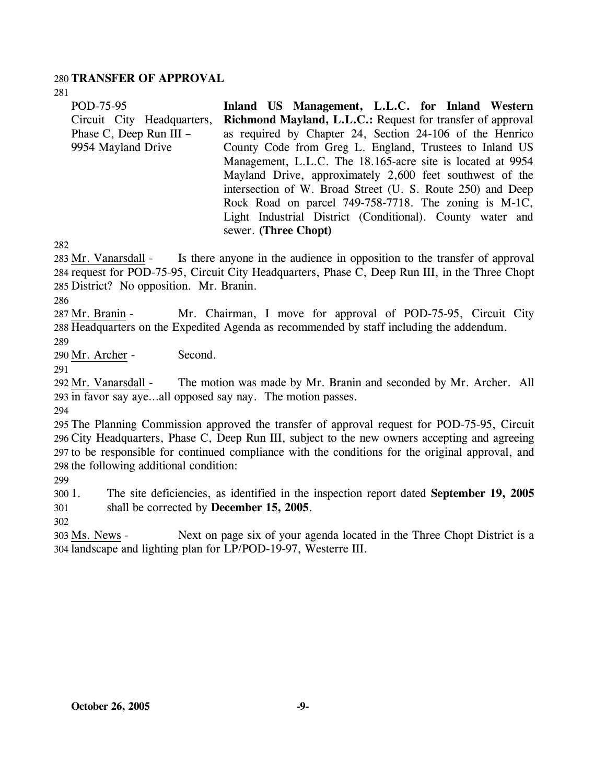### 280 **TRANSFER OF APPROVAL**

281

| POD-75-95                  | Inland US Management, L.L.C. for Inland Western            |
|----------------------------|------------------------------------------------------------|
| Circuit City Headquarters, | Richmond Mayland, L.L.C.: Request for transfer of approval |
| Phase C, Deep Run III -    | as required by Chapter 24, Section 24-106 of the Henrico   |
| 9954 Mayland Drive         | County Code from Greg L. England, Trustees to Inland US    |
|                            | Management, L.L.C. The 18.165-acre site is located at 9954 |
|                            | Mayland Drive, approximately 2,600 feet southwest of the   |
|                            | intersection of W. Broad Street (U. S. Route 250) and Deep |
|                            | Rock Road on parcel 749-758-7718. The zoning is M-1C,      |
|                            | Light Industrial District (Conditional). County water and  |
|                            | sewer. (Three Chopt)                                       |

282

Is there anyone in the audience in opposition to the transfer of approval 284 request for POD-75-95, Circuit City Headquarters, Phase C, Deep Run III, in the Three Chopt 285 District? No opposition. Mr. Branin. 283 Mr. Vanarsdall -

286

Mr. Chairman, I move for approval of POD-75-95, Circuit City 288 Headquarters on the Expedited Agenda as recommended by staff including the addendum. 287 Mr. Branin -289

290 Mr. Archer - Second.

291

The motion was made by Mr. Branin and seconded by Mr. Archer. All 293 in favor say aye...all opposed say nay. The motion passes. 292 Mr. Vanarsdall -

294

 The Planning Commission approved the transfer of approval request for POD-75-95, Circuit City Headquarters, Phase C, Deep Run III, subject to the new owners accepting and agreeing to be responsible for continued compliance with the conditions for the original approval, and the following additional condition:

299

300 301 1. The site deficiencies, as identified in the inspection report dated **September 19, 2005** shall be corrected by **December 15, 2005**.

302

Next on page six of your agenda located in the Three Chopt District is a 304 landscape and lighting plan for LP/POD-19-97, Westerre III. 303 Ms. News -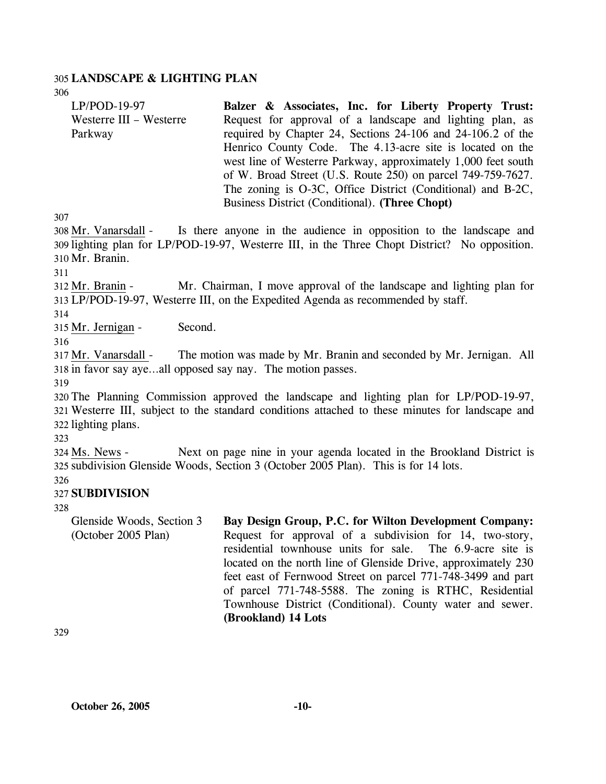#### 305 **LANDSCAPE & LIGHTING PLAN**

LP/POD-19-97 Westerre III – Westerre Parkway **Balzer & Associates, Inc. for Liberty Property Trust:**  Request for approval of a landscape and lighting plan, as required by Chapter 24, Sections 24-106 and 24-106.2 of the Henrico County Code. The 4.13-acre site is located on the west line of Westerre Parkway, approximately 1,000 feet south of W. Broad Street (U.S. Route 250) on parcel 749-759-7627. The zoning is O-3C, Office District (Conditional) and B-2C, Business District (Conditional). **(Three Chopt)** 

307

306

Is there anyone in the audience in opposition to the landscape and 309 lighting plan for LP/POD-19-97, Westerre III, in the Three Chopt District? No opposition. 310 Mr. Branin. 308 Mr. Vanarsdall -

311

Mr. Chairman, I move approval of the landscape and lighting plan for LP/POD-19-97, Westerre III, on the Expedited Agenda as recommended by staff. 313 312 Mr. Branin -

314

315 Mr. Jernigan - Second.

316

The motion was made by Mr. Branin and seconded by Mr. Jernigan. All 318 in favor say aye...all opposed say nay. The motion passes. 317 Mr. Vanarsdall -

319

320 The Planning Commission approved the landscape and lighting plan for LP/POD-19-97, 321 Westerre III, subject to the standard conditions attached to these minutes for landscape and 322 lighting plans.

323

Next on page nine in your agenda located in the Brookland District is subdivision Glenside Woods, Section 3 (October 2005 Plan). This is for 14 lots. 325 324 Ms. News -

326

### 327 **SUBDIVISION**

328

Glenside Woods, Section 3 (October 2005 Plan)

**Bay Design Group, P.C. for Wilton Development Company:**  Request for approval of a subdivision for 14, two-story, residential townhouse units for sale. The 6.9-acre site is located on the north line of Glenside Drive, approximately 230 feet east of Fernwood Street on parcel 771-748-3499 and part of parcel 771-748-5588. The zoning is RTHC, Residential Townhouse District (Conditional). County water and sewer. **(Brookland) 14 Lots** 

329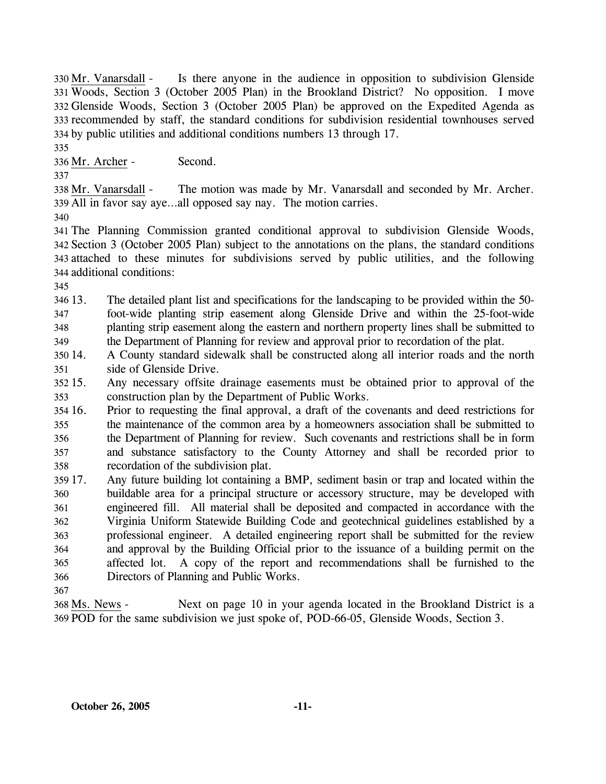Is there anyone in the audience in opposition to subdivision Glenside Woods, Section 3 (October 2005 Plan) in the Brookland District? No opposition. I move 331 Glenside Woods, Section 3 (October 2005 Plan) be approved on the Expedited Agenda as 332 333 recommended by staff, the standard conditions for subdivision residential townhouses served 334 by public utilities and additional conditions numbers 13 through 17. 330 Mr. Vanarsdall -

335

336 Mr. Archer - Second.

337

The motion was made by Mr. Vanarsdall and seconded by Mr. Archer. All in favor say aye…all opposed say nay. The motion carries. 339 338 Mr. Vanarsdall -

340

 The Planning Commission granted conditional approval to subdivision Glenside Woods, Section 3 (October 2005 Plan) subject to the annotations on the plans, the standard conditions attached to these minutes for subdivisions served by public utilities, and the following additional conditions:

345

346 13. 347 348 349 13. The detailed plant list and specifications for the landscaping to be provided within the 50 foot-wide planting strip easement along Glenside Drive and within the 25-foot-wide planting strip easement along the eastern and northern property lines shall be submitted to the Department of Planning for review and approval prior to recordation of the plat.

350 14. 351 14. A County standard sidewalk shall be constructed along all interior roads and the north side of Glenside Drive.

 $35215.$ 353 Any necessary offsite drainage easements must be obtained prior to approval of the construction plan by the Department of Public Works.

 $35416.$ 355 356 357 358 16. Prior to requesting the final approval, a draft of the covenants and deed restrictions for the maintenance of the common area by a homeowners association shall be submitted to the Department of Planning for review. Such covenants and restrictions shall be in form and substance satisfactory to the County Attorney and shall be recorded prior to recordation of the subdivision plat.

359 17. 360 361 362 363 364 365 366 17. Any future building lot containing a BMP, sediment basin or trap and located within the buildable area for a principal structure or accessory structure, may be developed with engineered fill. All material shall be deposited and compacted in accordance with the Virginia Uniform Statewide Building Code and geotechnical guidelines established by a professional engineer. A detailed engineering report shall be submitted for the review and approval by the Building Official prior to the issuance of a building permit on the affected lot. A copy of the report and recommendations shall be furnished to the Directors of Planning and Public Works.

367

Next on page 10 in your agenda located in the Brookland District is a POD for the same subdivision we just spoke of, POD-66-05, Glenside Woods, Section 3. 369 368 Ms. News -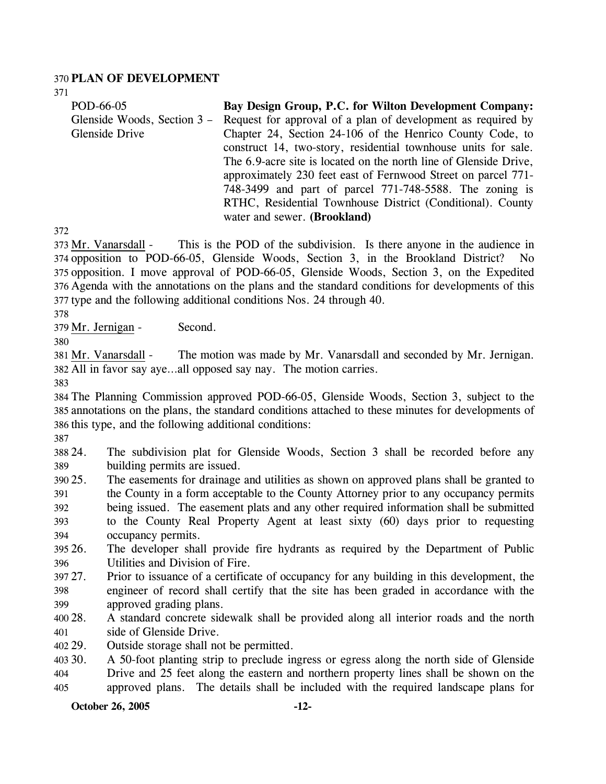### 370 **PLAN OF DEVELOPMENT**

371

| POD-66-05                   | Bay Design Group, P.C. for Wilton Development Company:            |
|-----------------------------|-------------------------------------------------------------------|
| Glenside Woods, Section 3 – | Request for approval of a plan of development as required by      |
| Glenside Drive              | Chapter 24, Section 24-106 of the Henrico County Code, to         |
|                             | construct 14, two-story, residential townhouse units for sale.    |
|                             | The 6.9-acre site is located on the north line of Glenside Drive, |
|                             | approximately 230 feet east of Fernwood Street on parcel 771-     |
|                             | 748-3499 and part of parcel 771-748-5588. The zoning is           |
|                             | RTHC, Residential Townhouse District (Conditional). County        |
|                             | water and sewer. (Brookland)                                      |

372

This is the POD of the subdivision. Is there anyone in the audience in 374 opposition to POD-66-05, Glenside Woods, Section 3, in the Brookland District? No 375 opposition. I move approval of POD-66-05, Glenside Woods, Section 3, on the Expedited Agenda with the annotations on the plans and the standard conditions for developments of this 376 377 type and the following additional conditions Nos. 24 through 40. 373 Mr. Vanarsdall -

378

379 Mr. Jernigan - Second.

380

The motion was made by Mr. Vanarsdall and seconded by Mr. Jernigan. All in favor say aye…all opposed say nay. The motion carries. 382 381 Mr. Vanarsdall -

383

384 The Planning Commission approved POD-66-05, Glenside Woods, Section 3, subject to the 385 annotations on the plans, the standard conditions attached to these minutes for developments of 386 this type, and the following additional conditions:

387

388 24. 389 The subdivision plat for Glenside Woods, Section 3 shall be recorded before any building permits are issued.

- 390 25. 391 392 393 394 25. The easements for drainage and utilities as shown on approved plans shall be granted to the County in a form acceptable to the County Attorney prior to any occupancy permits being issued. The easement plats and any other required information shall be submitted to the County Real Property Agent at least sixty (60) days prior to requesting occupancy permits.
- 395 26. 396 The developer shall provide fire hydrants as required by the Department of Public Utilities and Division of Fire.
- 397 27. 398 399 27. Prior to issuance of a certificate of occupancy for any building in this development, the engineer of record shall certify that the site has been graded in accordance with the approved grading plans.
- 400 28. 401 28. A standard concrete sidewalk shall be provided along all interior roads and the north side of Glenside Drive.
- 402 29. Outside storage shall not be permitted.

403 30. 404 30. A 50-foot planting strip to preclude ingress or egress along the north side of Glenside Drive and 25 feet along the eastern and northern property lines shall be shown on the

405 approved plans. The details shall be included with the required landscape plans for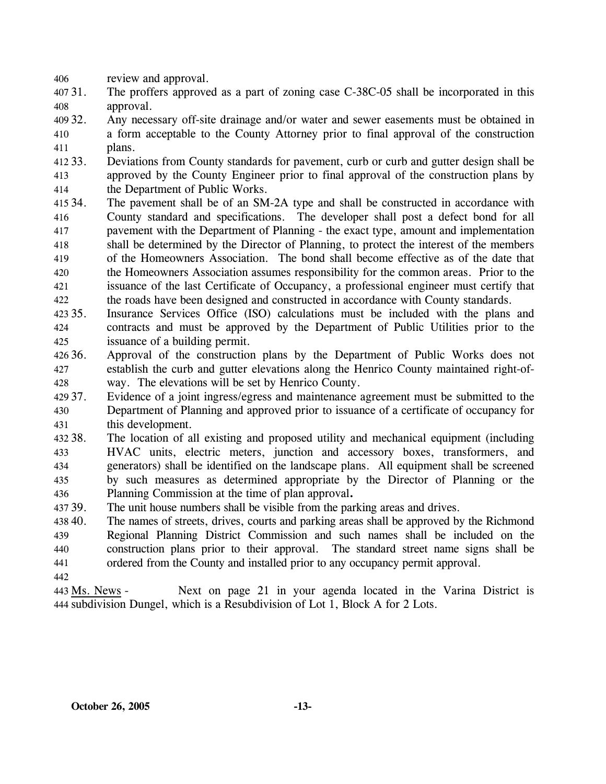406 review and approval.

- $40731.$ 408 The proffers approved as a part of zoning case C-38C-05 shall be incorporated in this approval.
- 409 32. 410 411 Any necessary off-site drainage and/or water and sewer easements must be obtained in a form acceptable to the County Attorney prior to final approval of the construction plans.
- 412 33. 413 414 33. Deviations from County standards for pavement, curb or curb and gutter design shall be approved by the County Engineer prior to final approval of the construction plans by the Department of Public Works.
- 415 34. 416 417 418 419 420 421 422 The pavement shall be of an SM-2A type and shall be constructed in accordance with County standard and specifications. The developer shall post a defect bond for all pavement with the Department of Planning - the exact type, amount and implementation shall be determined by the Director of Planning, to protect the interest of the members of the Homeowners Association. The bond shall become effective as of the date that the Homeowners Association assumes responsibility for the common areas. Prior to the issuance of the last Certificate of Occupancy, a professional engineer must certify that the roads have been designed and constructed in accordance with County standards.
- 423 35. 424 425 Insurance Services Office (ISO) calculations must be included with the plans and contracts and must be approved by the Department of Public Utilities prior to the issuance of a building permit.
- 426 36. 427 428 Approval of the construction plans by the Department of Public Works does not establish the curb and gutter elevations along the Henrico County maintained right-ofway. The elevations will be set by Henrico County.
- 429 37. 430 431 Evidence of a joint ingress/egress and maintenance agreement must be submitted to the Department of Planning and approved prior to issuance of a certificate of occupancy for this development.
- 432 38. 433 434 435 436 The location of all existing and proposed utility and mechanical equipment (including HVAC units, electric meters, junction and accessory boxes, transformers, and generators) shall be identified on the landscape plans. All equipment shall be screened by such measures as determined appropriate by the Director of Planning or the Planning Commission at the time of plan approval**.**
- 437 39. The unit house numbers shall be visible from the parking areas and drives.
- 438 40. 439 440 441 The names of streets, drives, courts and parking areas shall be approved by the Richmond Regional Planning District Commission and such names shall be included on the construction plans prior to their approval. The standard street name signs shall be ordered from the County and installed prior to any occupancy permit approval.
- 442

Next on page 21 in your agenda located in the Varina District is 444 subdivision Dungel, which is a Resubdivision of Lot 1, Block A for 2 Lots. 443 Ms. News -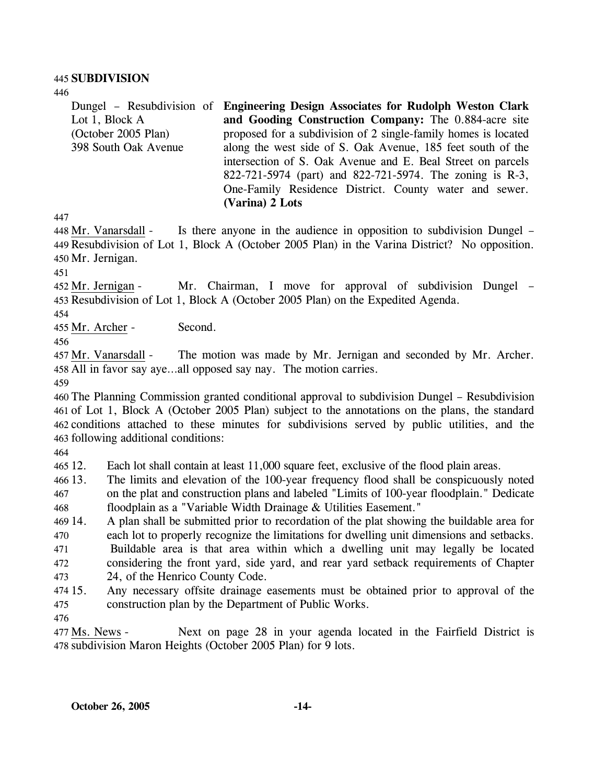#### 445 **SUBDIVISION**

446

Dungel – Resubdivision of **Engineering Design Associates for Rudolph Weston Clark**  Lot 1, Block A (October 2005 Plan) 398 South Oak Avenue **and Gooding Construction Company:** The 0.884-acre site proposed for a subdivision of 2 single-family homes is located along the west side of S. Oak Avenue, 185 feet south of the intersection of S. Oak Avenue and E. Beal Street on parcels 822-721-5974 (part) and 822-721-5974. The zoning is R-3, One-Family Residence District. County water and sewer. **(Varina) 2 Lots** 

447

Is there anyone in the audience in opposition to subdivision Dungel – 449 Resubdivision of Lot 1, Block A (October 2005 Plan) in the Varina District? No opposition. 450 Mr. Jernigan. 448 Mr. Vanarsdall -

451

Mr. Chairman, I move for approval of subdivision Dungel – 453 Resubdivision of Lot 1, Block A (October 2005 Plan) on the Expedited Agenda. 452 Mr. Jernigan -

454

455 Mr. Archer - Second.

456

The motion was made by Mr. Jernigan and seconded by Mr. Archer. 458 All in favor say aye...all opposed say nay. The motion carries. 457 Mr. Vanarsdall -

459

 The Planning Commission granted conditional approval to subdivision Dungel – Resubdivision of Lot 1, Block A (October 2005 Plan) subject to the annotations on the plans, the standard conditions attached to these minutes for subdivisions served by public utilities, and the following additional conditions:

464

465 12. Each lot shall contain at least 11,000 square feet, exclusive of the flood plain areas.

466 13. 467 The limits and elevation of the 100-year frequency flood shall be conspicuously noted on the plat and construction plans and labeled "Limits of 100-year floodplain." Dedicate

468 floodplain as a "Variable Width Drainage & Utilities Easement."

469 14. 470 471 472 473 14. A plan shall be submitted prior to recordation of the plat showing the buildable area for each lot to properly recognize the limitations for dwelling unit dimensions and setbacks. Buildable area is that area within which a dwelling unit may legally be located considering the front yard, side yard, and rear yard setback requirements of Chapter 24, of the Henrico County Code.

474 15. 475 15. Any necessary offsite drainage easements must be obtained prior to approval of the construction plan by the Department of Public Works.

476

Next on page 28 in your agenda located in the Fairfield District is 478 subdivision Maron Heights (October 2005 Plan) for 9 lots. 477 Ms. News -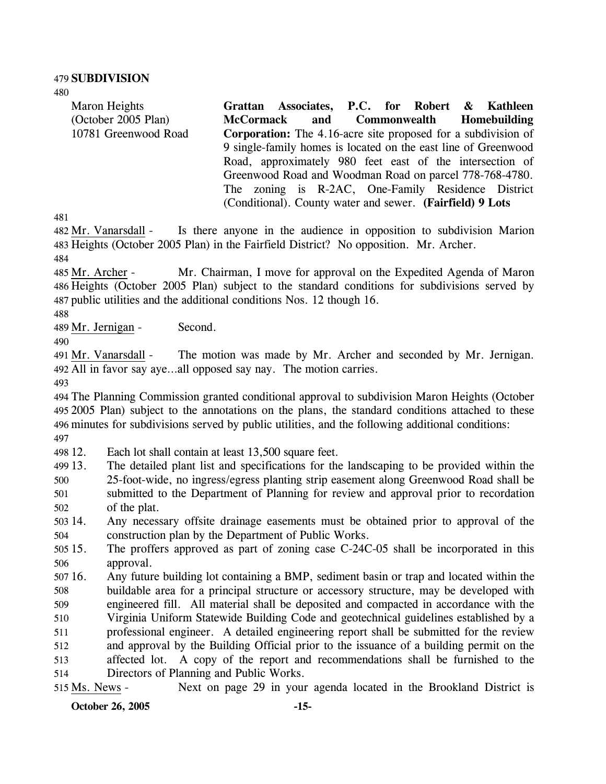480

Maron Heights (October 2005 Plan) 10781 Greenwood Road **Grattan Associates, P.C. for Robert & Kathleen McCormack and Commonwealth Homebuilding Corporation:** The 4.16-acre site proposed for a subdivision of 9 single-family homes is located on the east line of Greenwood Road, approximately 980 feet east of the intersection of Greenwood Road and Woodman Road on parcel 778-768-4780. The zoning is R-2AC, One-Family Residence District (Conditional). County water and sewer. **(Fairfield) 9 Lots** 

481

Is there anyone in the audience in opposition to subdivision Marion 483 Heights (October 2005 Plan) in the Fairfield District? No opposition. Mr. Archer. 482 Mr. Vanarsdall -

484

Mr. Chairman, I move for approval on the Expedited Agenda of Maron 486 Heights (October 2005 Plan) subject to the standard conditions for subdivisions served by 487 public utilities and the additional conditions Nos. 12 though 16. 485 Mr. Archer -

488

489 Mr. Jernigan - Second.

490

The motion was made by Mr. Archer and seconded by Mr. Jernigan. All in favor say aye…all opposed say nay. The motion carries. 492 491 Mr. Vanarsdall -

493

 The Planning Commission granted conditional approval to subdivision Maron Heights (October 2005 Plan) subject to the annotations on the plans, the standard conditions attached to these minutes for subdivisions served by public utilities, and the following additional conditions: 497

498 12. Each lot shall contain at least 13,500 square feet.

499 13. 13. The detailed plant list and specifications for the landscaping to be provided within the

500 501 502 25-foot-wide, no ingress/egress planting strip easement along Greenwood Road shall be submitted to the Department of Planning for review and approval prior to recordation of the plat.

503 14. 504 14. Any necessary offsite drainage easements must be obtained prior to approval of the construction plan by the Department of Public Works.

 $50515.$ 506 The proffers approved as part of zoning case C-24C-05 shall be incorporated in this approval.

507 16. 508 509 510 511 512 513 514 16. Any future building lot containing a BMP, sediment basin or trap and located within the buildable area for a principal structure or accessory structure, may be developed with engineered fill. All material shall be deposited and compacted in accordance with the Virginia Uniform Statewide Building Code and geotechnical guidelines established by a professional engineer. A detailed engineering report shall be submitted for the review and approval by the Building Official prior to the issuance of a building permit on the affected lot. A copy of the report and recommendations shall be furnished to the Directors of Planning and Public Works.

515 Ms. News - Next on page 29 in your agenda located in the Brookland District is

**October 26, 2005 -15-**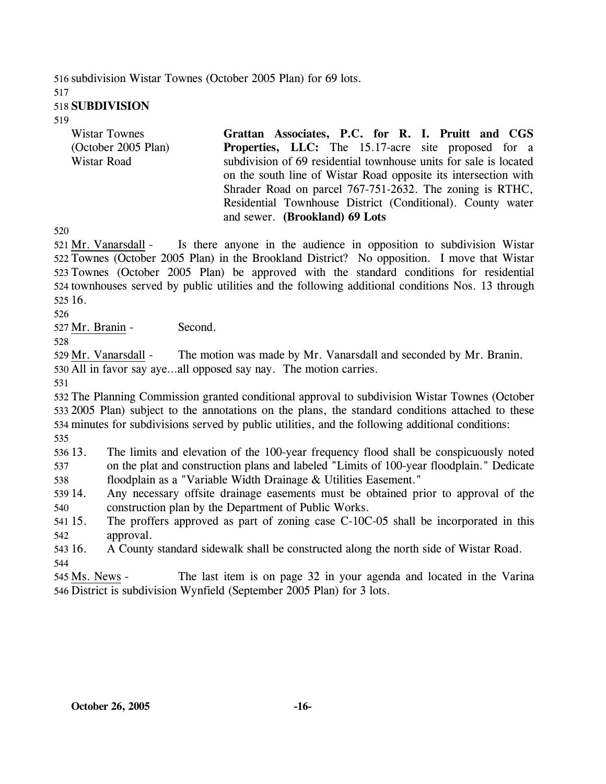516 subdivision Wistar Townes (October 2005 Plan) for 69 lots. 517

### 518 **SUBDIVISION**

519

| <b>Wistar Townes</b> | Grattan Associates, P.C. for R. I. Pruitt and CGS                 |
|----------------------|-------------------------------------------------------------------|
| (October 2005 Plan)  | <b>Properties, LLC:</b> The 15.17-acre site proposed for a        |
| Wistar Road          | subdivision of 69 residential townhouse units for sale is located |
|                      | on the south line of Wistar Road opposite its intersection with   |
|                      | Shrader Road on parcel 767-751-2632. The zoning is RTHC,          |
|                      | Residential Townhouse District (Conditional). County water        |
|                      | and sewer. (Brookland) 69 Lots                                    |

520

Is there anyone in the audience in opposition to subdivision Wistar 522 Townes (October 2005 Plan) in the Brookland District? No opposition. I move that Wistar 523 Townes (October 2005 Plan) be approved with the standard conditions for residential 524 townhouses served by public utilities and the following additional conditions Nos. 13 through 525 16. 521 Mr. Vanarsdall -

526

527 Mr. Branin - Second.

528

529 Mr. Vanarsdall - The motion was made by Mr. Vanarsdall and seconded by Mr. Branin. 530 All in favor say aye…all opposed say nay. The motion carries.

531

 The Planning Commission granted conditional approval to subdivision Wistar Townes (October 2005 Plan) subject to the annotations on the plans, the standard conditions attached to these minutes for subdivisions served by public utilities, and the following additional conditions: 535

536 13. 537 The limits and elevation of the 100-year frequency flood shall be conspicuously noted on the plat and construction plans and labeled "Limits of 100-year floodplain." Dedicate

538 floodplain as a "Variable Width Drainage & Utilities Easement."

- 539 14. 540 Any necessary offsite drainage easements must be obtained prior to approval of the construction plan by the Department of Public Works.
- 541 15. 542 The proffers approved as part of zoning case C-10C-05 shall be incorporated in this approval.

543 16. 544 16. A County standard sidewalk shall be constructed along the north side of Wistar Road.

The last item is on page 32 in your agenda and located in the Varina 546 District is subdivision Wynfield (September 2005 Plan) for 3 lots. 545 Ms. News -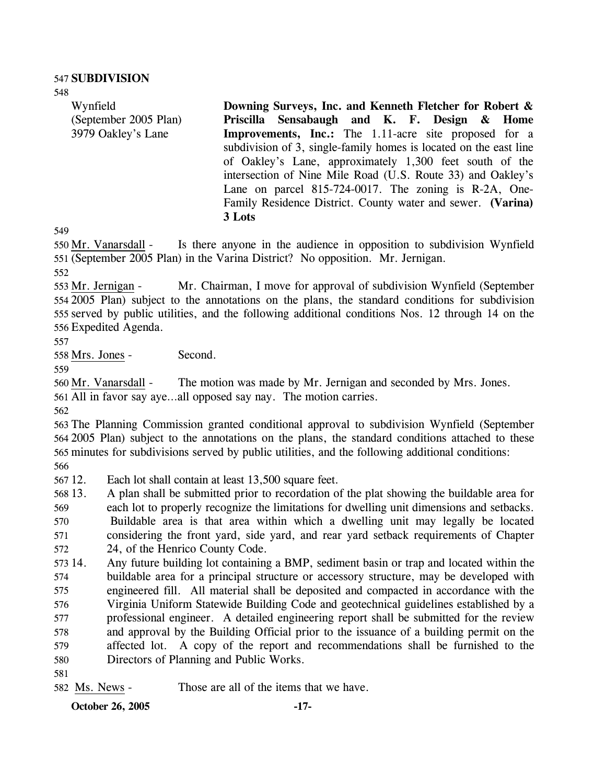548

Wynfield (September 2005 Plan) 3979 Oakley's Lane **Downing Surveys, Inc. and Kenneth Fletcher for Robert & Priscilla Sensabaugh and K. F. Design & Home Improvements, Inc.:** The 1.11-acre site proposed for a subdivision of 3, single-family homes is located on the east line of Oakley's Lane, approximately 1,300 feet south of the intersection of Nine Mile Road (U.S. Route 33) and Oakley's Lane on parcel 815-724-0017. The zoning is R-2A, One-Family Residence District. County water and sewer. **(Varina) 3 Lots** 

549

Is there anyone in the audience in opposition to subdivision Wynfield (September 2005 Plan) in the Varina District? No opposition. Mr. Jernigan. 551 550 Mr. Vanarsdall -

552

Mr. Chairman, I move for approval of subdivision Wynfield (September) 2005 Plan) subject to the annotations on the plans, the standard conditions for subdivision 554 555 served by public utilities, and the following additional conditions Nos. 12 through 14 on the 556 Expedited Agenda. 553 Mr. Jernigan -

557

558 Mrs. Jones - Second.

559

560 Mr. Vanarsdall - The motion was made by Mr. Jernigan and seconded by Mrs. Jones.

561 All in favor say aye…all opposed say nay. The motion carries.

562

563 The Planning Commission granted conditional approval to subdivision Wynfield (September 564 2005 Plan) subject to the annotations on the plans, the standard conditions attached to these 565 minutes for subdivisions served by public utilities, and the following additional conditions:

566

567 12. Each lot shall contain at least 13,500 square feet.

568 13. 13. A plan shall be submitted prior to recordation of the plat showing the buildable area for

569 570 571 each lot to properly recognize the limitations for dwelling unit dimensions and setbacks. Buildable area is that area within which a dwelling unit may legally be located considering the front yard, side yard, and rear yard setback requirements of Chapter

572 24, of the Henrico County Code.

573 14. 574 575 576 577 578 579 580 14. Any future building lot containing a BMP, sediment basin or trap and located within the buildable area for a principal structure or accessory structure, may be developed with engineered fill. All material shall be deposited and compacted in accordance with the Virginia Uniform Statewide Building Code and geotechnical guidelines established by a professional engineer. A detailed engineering report shall be submitted for the review and approval by the Building Official prior to the issuance of a building permit on the affected lot. A copy of the report and recommendations shall be furnished to the Directors of Planning and Public Works.

581

582 Ms. News - Those are all of the items that we have.

**October 26, 2005 -17-**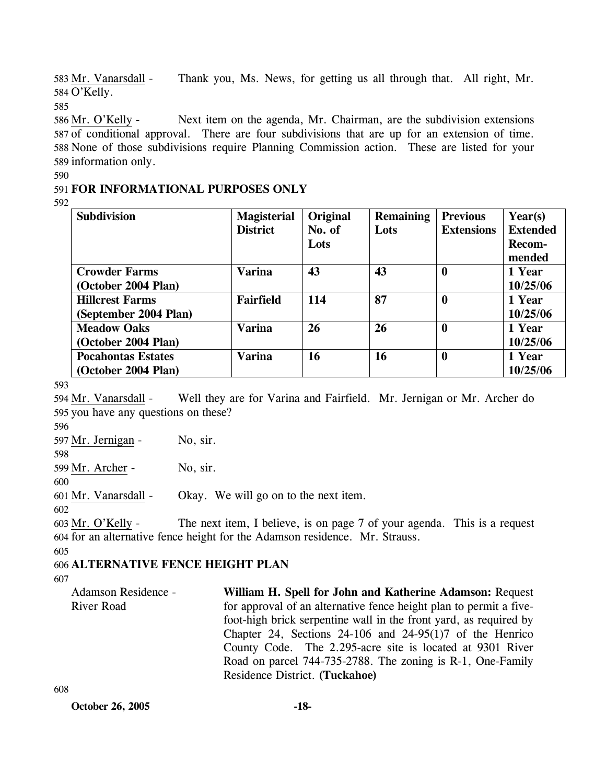Thank you, Ms. News, for getting us all through that. All right, Mr. 584 O'Kelly. 583 Mr. Vanarsdall -

585

Next item on the agenda, Mr. Chairman, are the subdivision extensions 587 of conditional approval. There are four subdivisions that are up for an extension of time. 588 None of those subdivisions require Planning Commission action. These are listed for your 589 information only. 586 Mr. O'Kelly -

590

# 591 **FOR INFORMATIONAL PURPOSES ONLY**

592

| <b>Subdivision</b>        | <b>Magisterial</b> | Original | <b>Remaining</b> | <b>Previous</b>   | Year(s)         |
|---------------------------|--------------------|----------|------------------|-------------------|-----------------|
|                           | <b>District</b>    | No. of   | Lots             | <b>Extensions</b> | <b>Extended</b> |
|                           |                    | Lots     |                  |                   | Recom-          |
|                           |                    |          |                  |                   | mended          |
| <b>Crowder Farms</b>      | <b>Varina</b>      | 43       | 43               | $\boldsymbol{0}$  | 1 Year          |
| (October 2004 Plan)       |                    |          |                  |                   | 10/25/06        |
| <b>Hillcrest Farms</b>    | <b>Fairfield</b>   | 114      | 87               | $\boldsymbol{0}$  | 1 Year          |
| (September 2004 Plan)     |                    |          |                  |                   | 10/25/06        |
| <b>Meadow Oaks</b>        | <b>Varina</b>      | 26       | 26               | $\boldsymbol{0}$  | 1 Year          |
| (October 2004 Plan)       |                    |          |                  |                   | 10/25/06        |
| <b>Pocahontas Estates</b> | <b>Varina</b>      | 16       | 16               | $\boldsymbol{0}$  | 1 Year          |
| (October 2004 Plan)       |                    |          |                  |                   | 10/25/06        |

593

Well they are for Varina and Fairfield. Mr. Jernigan or Mr. Archer do 595 you have any questions on these? 594 Mr. Vanarsdall -

596

597 Mr. Jernigan - No, sir.

598

599 Mr. Archer - No, sir.

600

601 Mr. Vanarsdall - Okay. We will go on to the next item.

602

The next item, I believe, is on page 7 of your agenda. This is a request for an alternative fence height for the Adamson residence. Mr. Strauss. 604 603 Mr. O'Kelly -

605

# 606 **ALTERNATIVE FENCE HEIGHT PLAN**

607

| Adamson Residence - | William H. Spell for John and Katherine Adamson: Request           |
|---------------------|--------------------------------------------------------------------|
| River Road          | for approval of an alternative fence height plan to permit a five- |
|                     | foot-high brick serpentine wall in the front yard, as required by  |
|                     | Chapter 24, Sections 24-106 and 24-95(1)7 of the Henrico           |
|                     | County Code. The 2.295-acre site is located at 9301 River          |
|                     | Road on parcel 744-735-2788. The zoning is R-1, One-Family         |
|                     | Residence District. (Tuckahoe)                                     |

608

**October 26, 2005 -18-**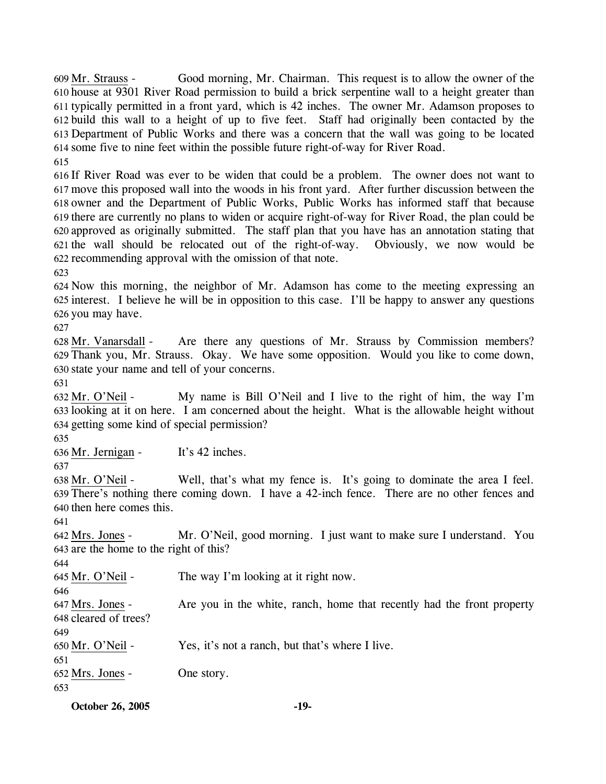Good morning, Mr. Chairman. This request is to allow the owner of the 610 house at 9301 River Road permission to build a brick serpentine wall to a height greater than 611 typically permitted in a front yard, which is 42 inches. The owner Mr. Adamson proposes to build this wall to a height of up to five feet. Staff had originally been contacted by the 612 Department of Public Works and there was a concern that the wall was going to be located 613 614 some five to nine feet within the possible future right-of-way for River Road. 609 Mr. Strauss -615

 If River Road was ever to be widen that could be a problem. The owner does not want to move this proposed wall into the woods in his front yard. After further discussion between the owner and the Department of Public Works, Public Works has informed staff that because there are currently no plans to widen or acquire right-of-way for River Road, the plan could be approved as originally submitted. The staff plan that you have has an annotation stating that the wall should be relocated out of the right-of-way. Obviously, we now would be recommending approval with the omission of that note.

623

624 Now this morning, the neighbor of Mr. Adamson has come to the meeting expressing an 625 interest. I believe he will be in opposition to this case. I'll be happy to answer any questions 626 you may have.

627

Are there any questions of Mr. Strauss by Commission members? Thank you, Mr. Strauss. Okay. We have some opposition. Would you like to come down, 629 630 state your name and tell of your concerns. 628 Mr. Vanarsdall -

631

My name is Bill O'Neil and I live to the right of him, the way I'm 633 looking at it on here. I am concerned about the height. What is the allowable height without 634 getting some kind of special permission? 632 Mr. O'Neil -

635

636 Mr. Jernigan - It's 42 inches.

637

Well, that's what my fence is. It's going to dominate the area I feel. There's nothing there coming down. I have a 42-inch fence. There are no other fences and 639 638 Mr. O'Neil -

640 then here comes this. 641

Mr. O'Neil, good morning. I just want to make sure I understand. You 643 are the home to the right of this? 642 Mrs. Jones -

644

645 Mr. O'Neil - The way I'm looking at it right now.

646

Are you in the white, ranch, home that recently had the front property 648 cleared of trees? 647 Mrs. Jones -

649

650 Mr. O'Neil - Yes, it's not a ranch, but that's where I live.

651

652 Mrs. Jones - One story.

653

**October 26, 2005 -19-**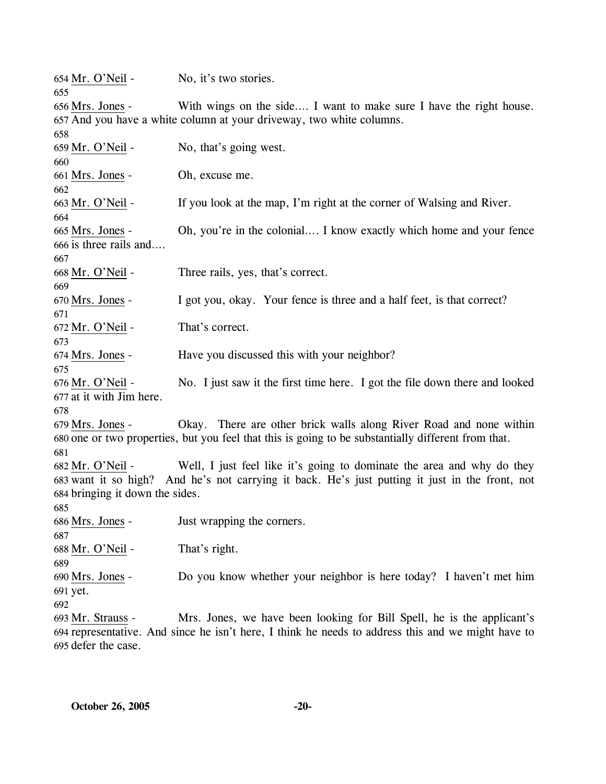| 654 Mr. O'Neil -<br>655                             | No, it's two stories.                                                                                                                                                     |  |
|-----------------------------------------------------|---------------------------------------------------------------------------------------------------------------------------------------------------------------------------|--|
| 656 Mrs. Jones -                                    | With wings on the side I want to make sure I have the right house.                                                                                                        |  |
|                                                     | 657 And you have a white column at your driveway, two white columns.                                                                                                      |  |
| 658                                                 |                                                                                                                                                                           |  |
| 659 Mr. O'Neil -                                    | No, that's going west.                                                                                                                                                    |  |
| 660                                                 |                                                                                                                                                                           |  |
| 661 Mrs. Jones -                                    | Oh, excuse me.                                                                                                                                                            |  |
| 662                                                 |                                                                                                                                                                           |  |
| 663 Mr. O'Neil -<br>664                             | If you look at the map, I'm right at the corner of Walsing and River.                                                                                                     |  |
| 665 Mrs. Jones -<br>666 is three rails and<br>667   | Oh, you're in the colonial I know exactly which home and your fence                                                                                                       |  |
| 668 Mr. O'Neil -                                    | Three rails, yes, that's correct.                                                                                                                                         |  |
| 669<br>670 Mrs. Jones -                             | I got you, okay. Your fence is three and a half feet, is that correct?                                                                                                    |  |
| 671                                                 |                                                                                                                                                                           |  |
| 672 Mr. O'Neil -<br>673                             | That's correct.                                                                                                                                                           |  |
| 674 Mrs. Jones -<br>675                             | Have you discussed this with your neighbor?                                                                                                                               |  |
| 676 Mr. O'Neil -<br>677 at it with Jim here.<br>678 | No. I just saw it the first time here. I got the file down there and looked                                                                                               |  |
| 679 Mrs. Jones -                                    | Okay. There are other brick walls along River Road and none within<br>680 one or two properties, but you feel that this is going to be substantially different from that. |  |
| 681                                                 |                                                                                                                                                                           |  |
| 682 Mr. O'Neil -                                    | Well, I just feel like it's going to dominate the area and why do they<br>683 want it so high? And he's not carrying it back. He's just putting it just in the front, not |  |
| 684 bringing it down the sides.                     |                                                                                                                                                                           |  |
| 685                                                 |                                                                                                                                                                           |  |
| 686 Mrs. Jones -                                    | Just wrapping the corners.                                                                                                                                                |  |
| 687                                                 |                                                                                                                                                                           |  |
| 688 Mr. O'Neil -                                    | That's right.                                                                                                                                                             |  |
| 689                                                 |                                                                                                                                                                           |  |
| 690 Mrs. Jones -                                    | Do you know whether your neighbor is here today? I haven't met him                                                                                                        |  |
| 691 yet.                                            |                                                                                                                                                                           |  |
| 692                                                 |                                                                                                                                                                           |  |
| 693 Mr. Strauss -                                   | Mrs. Jones, we have been looking for Bill Spell, he is the applicant's                                                                                                    |  |
|                                                     | 694 representative. And since he isn't here, I think he needs to address this and we might have to                                                                        |  |
| 695 defer the case.                                 |                                                                                                                                                                           |  |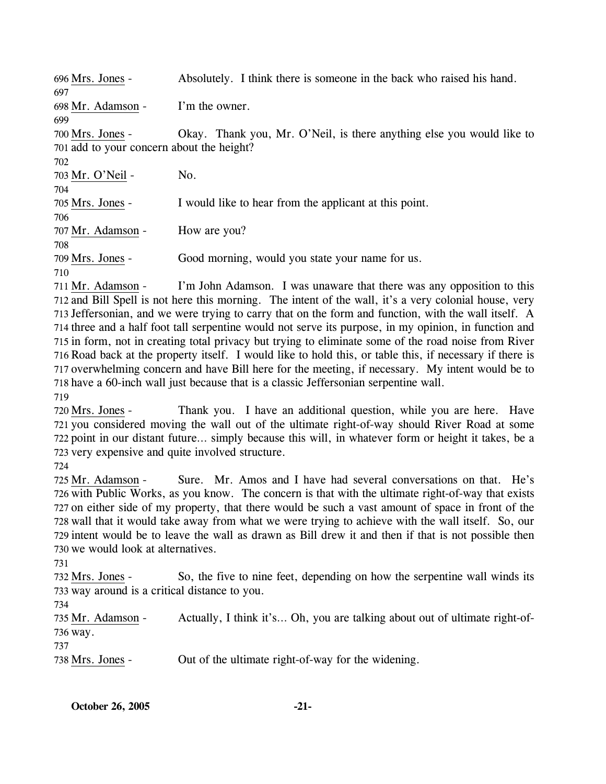| 696 Mrs. Jones -                          | Absolutely. I think there is someone in the back who raised his hand. |
|-------------------------------------------|-----------------------------------------------------------------------|
| 697                                       |                                                                       |
| 698 Mr. Adamson -                         | I'm the owner.                                                        |
| 699                                       |                                                                       |
| 700 Mrs. Jones -                          | Okay. Thank you, Mr. O'Neil, is there anything else you would like to |
| 701 add to your concern about the height? |                                                                       |
| 702.                                      |                                                                       |
| 703 Mr. O'Neil -                          | No.                                                                   |
| 704                                       |                                                                       |
| 705 Mrs. Jones -                          | I would like to hear from the applicant at this point.                |
| 706                                       |                                                                       |
| 707 Mr. Adamson -                         | How are you?                                                          |
| 708                                       |                                                                       |
| 709 Mrs. Jones -                          | Good morning, would you state your name for us.                       |
| 710                                       |                                                                       |

I'm John Adamson. I was unaware that there was any opposition to this 712 and Bill Spell is not here this morning. The intent of the wall, it's a very colonial house, very 713 Jeffersonian, and we were trying to carry that on the form and function, with the wall itself. A 714 three and a half foot tall serpentine would not serve its purpose, in my opinion, in function and 715 in form, not in creating total privacy but trying to eliminate some of the road noise from River 716 Road back at the property itself. I would like to hold this, or table this, if necessary if there is 717 overwhelming concern and have Bill here for the meeting, if necessary. My intent would be to 718 have a 60-inch wall just because that is a classic Jeffersonian serpentine wall. 711 Mr. Adamson -719

Thank you. I have an additional question, while you are here. Have 721 you considered moving the wall out of the ultimate right-of-way should River Road at some 722 point in our distant future... simply because this will, in whatever form or height it takes, be a 723 very expensive and quite involved structure. 720 Mrs. Jones -

724

Sure. Mr. Amos and I have had several conversations on that. He's 726 with Public Works, as you know. The concern is that with the ultimate right-of-way that exists 727 on either side of my property, that there would be such a vast amount of space in front of the 728 wall that it would take away from what we were trying to achieve with the wall itself. So, our 729 intent would be to leave the wall as drawn as Bill drew it and then if that is not possible then 730 we would look at alternatives. 725 Mr. Adamson -

731

So, the five to nine feet, depending on how the serpentine wall winds its 733 way around is a critical distance to you. 732 Mrs. Jones -

734

Actually, I think it's... Oh, you are talking about out of ultimate right-of-736 way. 735 Mr. Adamson -737

738 Mrs. Jones - Out of the ultimate right-of-way for the widening.

**October 26, 2005** -21-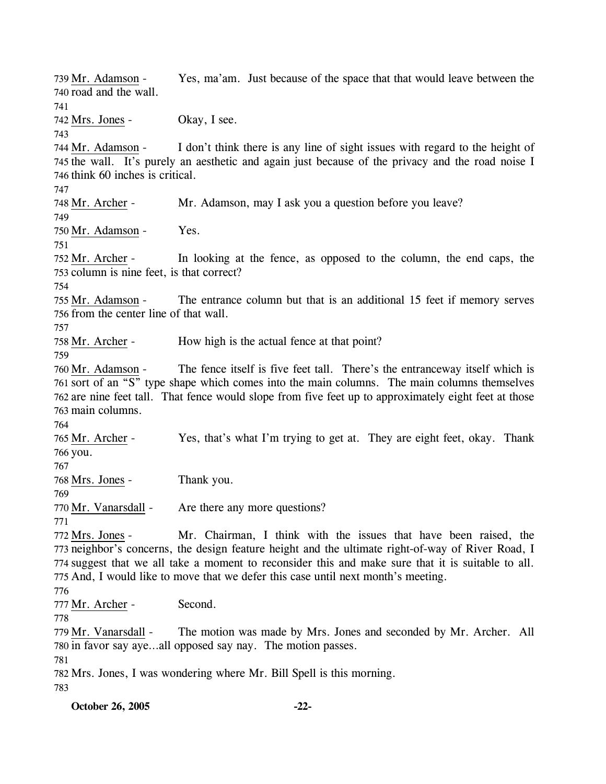Yes, ma'am. Just because of the space that that would leave between the 740 road and the wall. 739 Mr. Adamson -741 742 Mrs. Jones - Okay, I see. 743 I don't think there is any line of sight issues with regard to the height of 745 the wall. It's purely an aesthetic and again just because of the privacy and the road noise I 746 think 60 inches is critical. 744 Mr. Adamson -747 748 Mr. Archer - Mr. Adamson, may I ask you a question before you leave? 749 750 Mr. Adamson - Yes. 751 In looking at the fence, as opposed to the column, the end caps, the 753 column is nine feet, is that correct? 752 Mr. Archer -754 The entrance column but that is an additional 15 feet if memory serves 756 from the center line of that wall. 755 Mr. Adamson -757 758 Mr. Archer - How high is the actual fence at that point? 759 The fence itself is five feet tall. There's the entranceway itself which is 761 sort of an "S" type shape which comes into the main columns. The main columns themselves 762 are nine feet tall. That fence would slope from five feet up to approximately eight feet at those 763 main columns. 760 Mr. Adamson -764 Yes, that's what I'm trying to get at. They are eight feet, okay. Thank 766 you. 765 Mr. Archer -767 768 Mrs. Jones - Thank you. 769 770 Mr. Vanarsdall - Are there any more questions? 771 Mr. Chairman, I think with the issues that have been raised, the 773 neighbor's concerns, the design feature height and the ultimate right-of-way of River Road, I 774 suggest that we all take a moment to reconsider this and make sure that it is suitable to all. 775 And, I would like to move that we defer this case until next month's meeting. 772 Mrs. Jones -776 777 Mr. Archer - Second. 778 The motion was made by Mrs. Jones and seconded by Mr. Archer. All 780 in favor say aye...all opposed say nay. The motion passes. 779 Mr. Vanarsdall -781 782 Mrs. Jones, I was wondering where Mr. Bill Spell is this morning. 783

**October 26, 2005 -22-**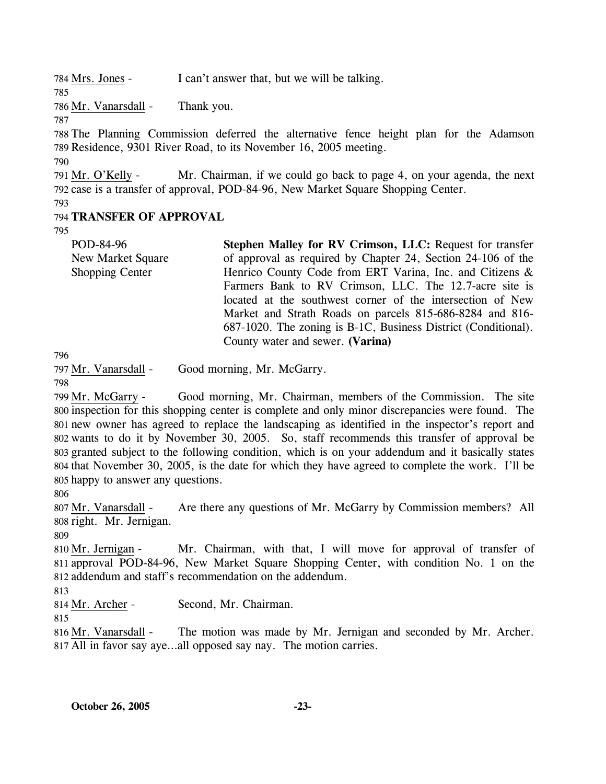784 Mrs. Jones - I can't answer that, but we will be talking.

785

787

786 Mr. Vanarsdall - Thank you.

788 The Planning Commission deferred the alternative fence height plan for the Adamson 789 Residence, 9301 River Road, to its November 16, 2005 meeting.

790

Mr. Chairman, if we could go back to page 4, on your agenda, the next 792 case is a transfer of approval, POD-84-96, New Market Square Shopping Center. 791 Mr. O'Kelly -

793

### 794 **TRANSFER OF APPROVAL**

795

POD-84-96 New Market Square Shopping Center **Stephen Malley for RV Crimson, LLC:** Request for transfer of approval as required by Chapter 24, Section 24-106 of the Henrico County Code from ERT Varina, Inc. and Citizens & Farmers Bank to RV Crimson, LLC. The 12.7-acre site is located at the southwest corner of the intersection of New Market and Strath Roads on parcels 815-686-8284 and 816- 687-1020. The zoning is B-1C, Business District (Conditional). County water and sewer. **(Varina)** 

796

797 Mr. Vanarsdall - Good morning, Mr. McGarry.

798

Good morning, Mr. Chairman, members of the Commission. The site 800 inspection for this shopping center is complete and only minor discrepancies were found. The 801 new owner has agreed to replace the landscaping as identified in the inspector's report and 802 wants to do it by November 30, 2005. So, staff recommends this transfer of approval be 803 granted subject to the following condition, which is on your addendum and it basically states 804 that November 30, 2005, is the date for which they have agreed to complete the work. I'll be 805 happy to answer any questions. 799 Mr. McGarry -

806

Are there any questions of Mr. McGarry by Commission members? All 808 right. Mr. Jernigan. 807 Mr. Vanarsdall -

809

Mr. Chairman, with that, I will move for approval of transfer of 811 approval POD-84-96, New Market Square Shopping Center, with condition No. 1 on the 812 addendum and staff's recommendation on the addendum. 810 Mr. Jernigan -

813

814 Mr. Archer - Second, Mr. Chairman.

815

The motion was made by Mr. Jernigan and seconded by Mr. Archer. All in favor say aye…all opposed say nay. The motion carries. 817 816 Mr. Vanarsdall -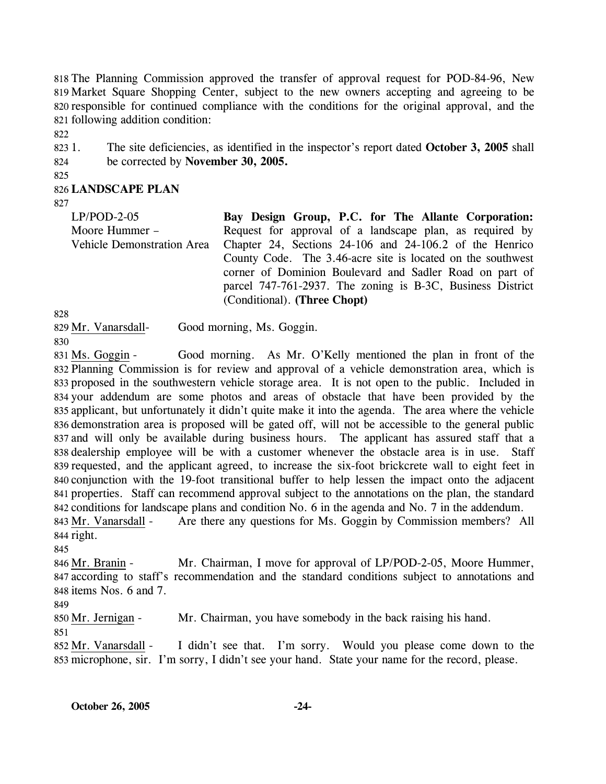The Planning Commission approved the transfer of approval request for POD-84-96, New Market Square Shopping Center, subject to the new owners accepting and agreeing to be responsible for continued compliance with the conditions for the original approval, and the following addition condition:

822

823 1. 824 1. The site deficiencies, as identified in the inspector's report dated **October 3, 2005** shall be corrected by **November 30, 2005.** 

825

### 826 **LANDSCAPE PLAN**

827

| $LP/POD-2-05$                     | Bay Design Group, P.C. for The Allante Corporation:         |
|-----------------------------------|-------------------------------------------------------------|
| Moore Hummer –                    | Request for approval of a landscape plan, as required by    |
| <b>Vehicle Demonstration Area</b> | Chapter 24, Sections 24-106 and 24-106.2 of the Henrico     |
|                                   | County Code. The 3.46-acre site is located on the southwest |
|                                   | corner of Dominion Boulevard and Sadler Road on part of     |
|                                   | parcel 747-761-2937. The zoning is B-3C, Business District  |
|                                   | (Conditional). (Three Chopt)                                |

828

829 Mr. Vanarsdall- Good morning, Ms. Goggin.

830

Good morning. As Mr. O'Kelly mentioned the plan in front of the 832 Planning Commission is for review and approval of a vehicle demonstration area, which is 833 proposed in the southwestern vehicle storage area. It is not open to the public. Included in 834 your addendum are some photos and areas of obstacle that have been provided by the 835 applicant, but unfortunately it didn't quite make it into the agenda. The area where the vehicle 836 demonstration area is proposed will be gated off, will not be accessible to the general public 837 and will only be available during business hours. The applicant has assured staff that a 838 dealership employee will be with a customer whenever the obstacle area is in use. Staff 839 requested, and the applicant agreed, to increase the six-foot brickcrete wall to eight feet in 840 conjunction with the 19-foot transitional buffer to help lessen the impact onto the adjacent 841 properties. Staff can recommend approval subject to the annotations on the plan, the standard 842 conditions for landscape plans and condition No. 6 in the agenda and No. 7 in the addendum. 831 Ms. Goggin -Are there any questions for Ms. Goggin by Commission members? All 843 Mr. Vanarsdall -

844 right. 845

Mr. Chairman, I move for approval of LP/POD-2-05, Moore Hummer, 847 according to staff's recommendation and the standard conditions subject to annotations and 848 items Nos. 6 and 7. 846 Mr. Branin -

849

850 Mr. Jernigan - Mr. Chairman, you have somebody in the back raising his hand.

851

I didn't see that. I'm sorry. Would you please come down to the 853 microphone, sir. I'm sorry, I didn't see your hand. State your name for the record, please. 852 Mr. Vanarsdall -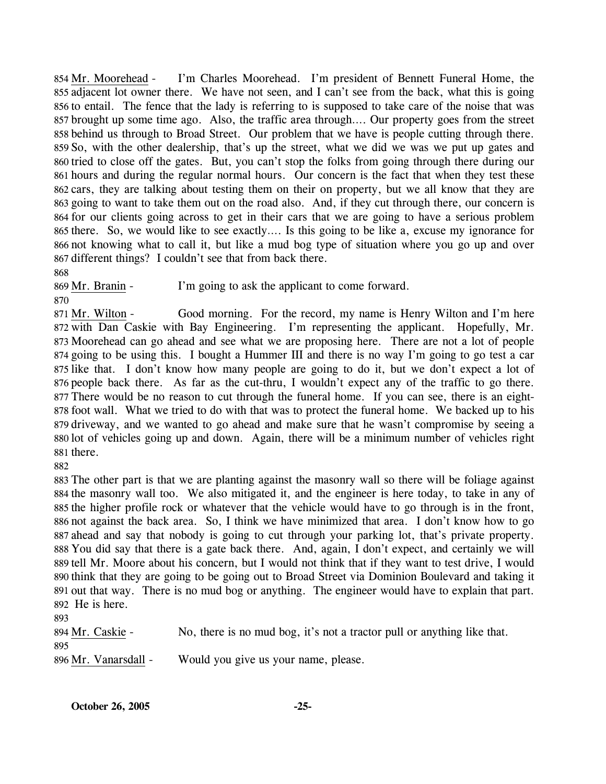I'm Charles Moorehead. I'm president of Bennett Funeral Home, the 855 adjacent lot owner there. We have not seen, and I can't see from the back, what this is going 856 to entail. The fence that the lady is referring to is supposed to take care of the noise that was 857 brought up some time ago. Also, the traffic area through.... Our property goes from the street 858 behind us through to Broad Street. Our problem that we have is people cutting through there. 859 So, with the other dealership, that's up the street, what we did we was we put up gates and 860 tried to close off the gates. But, you can't stop the folks from going through there during our 861 hours and during the regular normal hours. Our concern is the fact that when they test these 862 cars, they are talking about testing them on their on property, but we all know that they are 863 going to want to take them out on the road also. And, if they cut through there, our concern is 864 for our clients going across to get in their cars that we are going to have a serious problem 865 there. So, we would like to see exactly.... Is this going to be like a, excuse my ignorance for 866 not knowing what to call it, but like a mud bog type of situation where you go up and over 867 different things? I couldn't see that from back there. 854 Mr. Moorehead -

868

869 Mr. Branin - I'm going to ask the applicant to come forward.

870

Good morning. For the record, my name is Henry Wilton and I'm here 872 with Dan Caskie with Bay Engineering. I'm representing the applicant. Hopefully, Mr. 873 Moorehead can go ahead and see what we are proposing here. There are not a lot of people 874 going to be using this. I bought a Hummer III and there is no way I'm going to go test a car 875 like that. I don't know how many people are going to do it, but we don't expect a lot of 876 people back there. As far as the cut-thru, I wouldn't expect any of the traffic to go there. 877 There would be no reason to cut through the funeral home. If you can see, there is an eight-878 foot wall. What we tried to do with that was to protect the funeral home. We backed up to his 879 driveway, and we wanted to go ahead and make sure that he wasn't compromise by seeing a 880 lot of vehicles going up and down. Again, there will be a minimum number of vehicles right 881 there. 871 Mr. Wilton -

882

 The other part is that we are planting against the masonry wall so there will be foliage against the masonry wall too. We also mitigated it, and the engineer is here today, to take in any of the higher profile rock or whatever that the vehicle would have to go through is in the front, not against the back area. So, I think we have minimized that area. I don't know how to go ahead and say that nobody is going to cut through your parking lot, that's private property. You did say that there is a gate back there. And, again, I don't expect, and certainly we will tell Mr. Moore about his concern, but I would not think that if they want to test drive, I would think that they are going to be going out to Broad Street via Dominion Boulevard and taking it out that way. There is no mud bog or anything. The engineer would have to explain that part. He is here.

893 894 Mr. Caskie - No, there is no mud bog, it's not a tractor pull or anything like that. 895 896 Mr. Vanarsdall - Would you give us your name, please.

**October 26, 2005 -25-**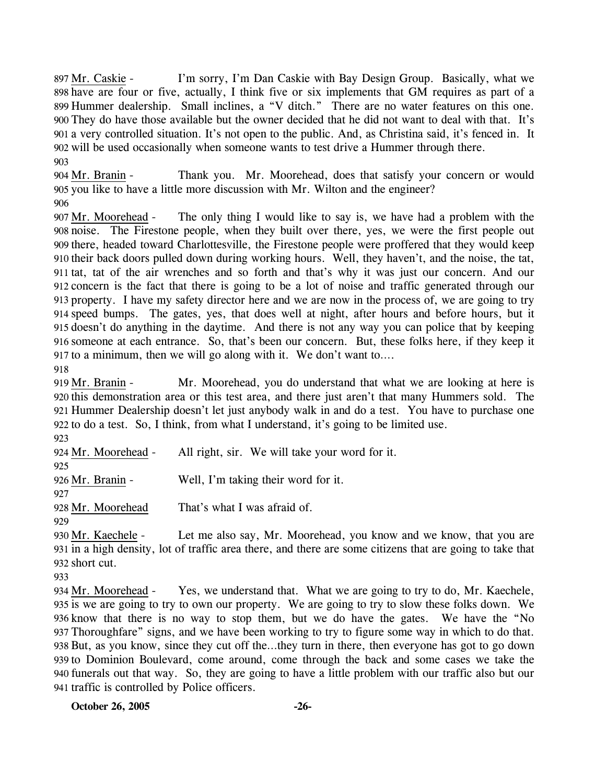I'm sorry, I'm Dan Caskie with Bay Design Group. Basically, what we 898 have are four or five, actually, I think five or six implements that GM requires as part of a 899 Hummer dealership. Small inclines, a "V ditch." There are no water features on this one. They do have those available but the owner decided that he did not want to deal with that. It's 900 a very controlled situation. It's not open to the public. And, as Christina said, it's fenced in. It 901 902 will be used occasionally when someone wants to test drive a Hummer through there. 897 Mr. Caskie -903

Thank you. Mr. Moorehead, does that satisfy your concern or would you like to have a little more discussion with Mr. Wilton and the engineer? 905 904 Mr. Branin -

906

The only thing I would like to say is, we have had a problem with the noise. The Firestone people, when they built over there, yes, we were the first people out 908 909 there, headed toward Charlottesville, the Firestone people were proffered that they would keep 910 their back doors pulled down during working hours. Well, they haven't, and the noise, the tat, 911 tat, tat of the air wrenches and so forth and that's why it was just our concern. And our 912 concern is the fact that there is going to be a lot of noise and traffic generated through our property. I have my safety director here and we are now in the process of, we are going to try 913 speed bumps. The gates, yes, that does well at night, after hours and before hours, but it 914 915 doesn't do anything in the daytime. And there is not any way you can police that by keeping 916 someone at each entrance. So, that's been our concern. But, these folks here, if they keep it 917 to a minimum, then we will go along with it. We don't want to.... 907 Mr. Moorehead -

918

Mr. Moorehead, you do understand that what we are looking at here is 920 this demonstration area or this test area, and there just aren't that many Hummers sold. The 921 Hummer Dealership doesn't let just anybody walk in and do a test. You have to purchase one 922 to do a test. So, I think, from what I understand, it's going to be limited use. 919 Mr. Branin -

923

924 Mr. Moorehead - All right, sir. We will take your word for it. 925

926 Mr. Branin - Well, I'm taking their word for it.

927

928 Mr. Moorehead That's what I was afraid of.

929

Let me also say, Mr. Moorehead, you know and we know, that you are 931 in a high density, lot of traffic area there, and there are some citizens that are going to take that 932 short cut. 930 Mr. Kaechele -

933

Yes, we understand that. What we are going to try to do, Mr. Kaechele, 935 is we are going to try to own our property. We are going to try to slow these folks down. We 936 know that there is no way to stop them, but we do have the gates. We have the "No Thoroughfare" signs, and we have been working to try to figure some way in which to do that. 937 938 But, as you know, since they cut off the...they turn in there, then everyone has got to go down 939 to Dominion Boulevard, come around, come through the back and some cases we take the funerals out that way. So, they are going to have a little problem with our traffic also but our 940 941 traffic is controlled by Police officers. 934 Mr. Moorehead -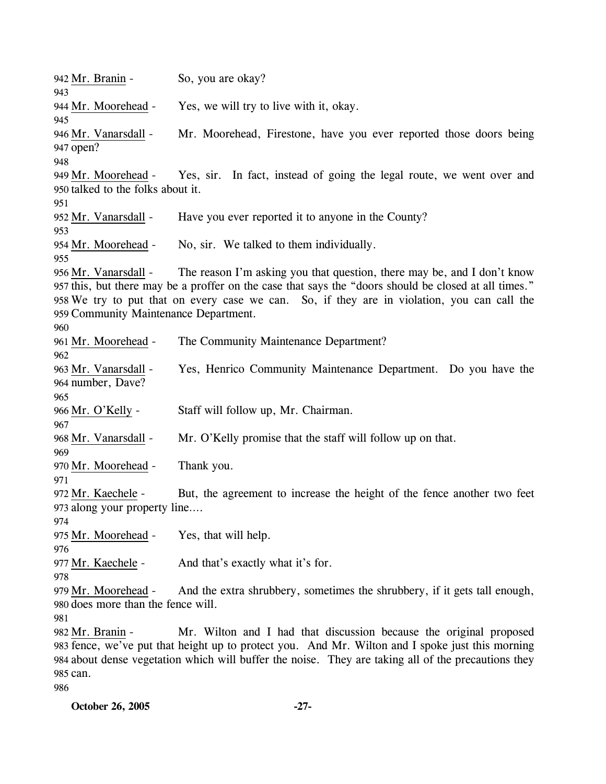942 Mr. Branin - So, you are okay? 943 944 Mr. Moorehead - Yes, we will try to live with it, okay. 945 Mr. Moorehead, Firestone, have you ever reported those doors being 947 open? 946 Mr. Vanarsdall -948 Yes, sir. In fact, instead of going the legal route, we went over and 950 talked to the folks about it. 949 Mr. Moorehead -951 952 Mr. Vanarsdall - Have you ever reported it to anyone in the County? 953 954 Mr. Moorehead - No, sir. We talked to them individually. 955 The reason I'm asking you that question, there may be, and I don't know 957 this, but there may be a proffer on the case that says the "doors should be closed at all times." We try to put that on every case we can. So, if they are in violation, you can call the 958 959 Community Maintenance Department. 956 Mr. Vanarsdall -960 961 Mr. Moorehead - The Community Maintenance Department? 962 Yes, Henrico Community Maintenance Department. Do you have the 964 number, Dave? 963 Mr. Vanarsdall -965 966 Mr. O'Kelly - Staff will follow up, Mr. Chairman. 967 968 Mr. Vanarsdall - Mr. O'Kelly promise that the staff will follow up on that. 969 970 Mr. Moorehead - Thank you. 971 But, the agreement to increase the height of the fence another two feet 973 along your property line.... 972 Mr. Kaechele -974 975 Mr. Moorehead - Yes, that will help. 976 977 Mr. Kaechele - And that's exactly what it's for. 978 And the extra shrubbery, sometimes the shrubbery, if it gets tall enough, 980 does more than the fence will. 979 Mr. Moorehead -981 Mr. Wilton and I had that discussion because the original proposed 983 fence, we've put that height up to protect you. And Mr. Wilton and I spoke just this morning 984 about dense vegetation which will buffer the noise. They are taking all of the precautions they 985 can. 982 Mr. Branin -986

**October 26, 2005 -27-**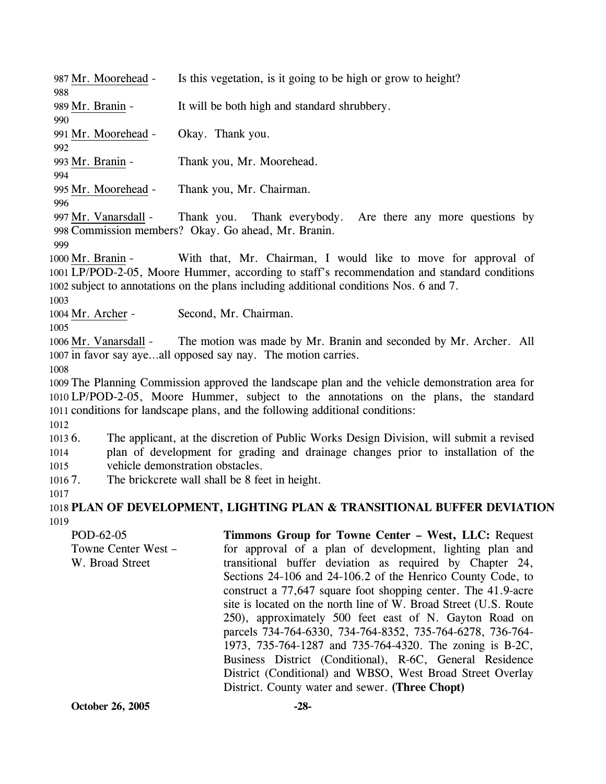| 987 Mr. Moorehead -        | Is this vegetation, is it going to be high or grow to height?                                   |
|----------------------------|-------------------------------------------------------------------------------------------------|
| 988                        |                                                                                                 |
| 989 Mr. Branin -           | It will be both high and standard shrubbery.                                                    |
| 990                        |                                                                                                 |
| 991 Mr. Moorehead -        | Okay. Thank you.                                                                                |
| 992                        |                                                                                                 |
| 993 Mr. Branin -           | Thank you, Mr. Moorehead.                                                                       |
| 994                        |                                                                                                 |
| 995 Mr. Moorehead -<br>996 | Thank you, Mr. Chairman.                                                                        |
| 997 Mr. Vanarsdall -       | Thank you.<br>Thank everybody. Are there any more questions by                                  |
|                            | 998 Commission members? Okay. Go ahead, Mr. Branin.                                             |
| 999                        |                                                                                                 |
| 1000 Mr. Branin -          | With that, Mr. Chairman, I would like to move for approval of                                   |
|                            | 1001 LP/POD-2-05, Moore Hummer, according to staff's recommendation and standard conditions     |
|                            | 1002 subject to annotations on the plans including additional conditions Nos. 6 and 7.          |
| 1003                       |                                                                                                 |
| 1004 Mr. Archer -          | Second, Mr. Chairman.                                                                           |
| 1005                       |                                                                                                 |
| 1006 Mr. Vanarsdall -      | The motion was made by Mr. Branin and seconded by Mr. Archer. All                               |
|                            | 1007 in favor say ayeall opposed say nay. The motion carries.                                   |
| 1008                       |                                                                                                 |
|                            | 1009 The Planning Commission approved the landscape plan and the vehicle demonstration area for |
|                            | 1010 LP/POD-2-05, Moore Hummer, subject to the annotations on the plans, the standard           |
|                            | 1011 conditions for landscape plans, and the following additional conditions:                   |
| 1012                       |                                                                                                 |
| 10136.                     | The applicant, at the discretion of Public Works Design Division, will submit a revised         |
| 1014                       | plan of development for grading and drainage changes prior to installation of the               |
| 1015                       | vehicle demonstration obstacles.                                                                |
| 10167.<br>1017             | The brickcrete wall shall be 8 feet in height.                                                  |
|                            | 1018 PLAN OF DEVELOPMENT, LIGHTING PLAN & TRANSITIONAL BUFFER DEVIATION                         |
|                            |                                                                                                 |

POD-62-05 Towne Center West – W. Broad Street **Timmons Group for Towne Center – West, LLC:** Request for approval of a plan of development, lighting plan and transitional buffer deviation as required by Chapter 24, Sections 24-106 and 24-106.2 of the Henrico County Code, to construct a 77,647 square foot shopping center. The 41.9-acre site is located on the north line of W. Broad Street (U.S. Route 250), approximately 500 feet east of N. Gayton Road on parcels 734-764-6330, 734-764-8352, 735-764-6278, 736-764- 1973, 735-764-1287 and 735-764-4320. The zoning is B-2C, Business District (Conditional), R-6C, General Residence District (Conditional) and WBSO, West Broad Street Overlay District. County water and sewer. **(Three Chopt)** 

1019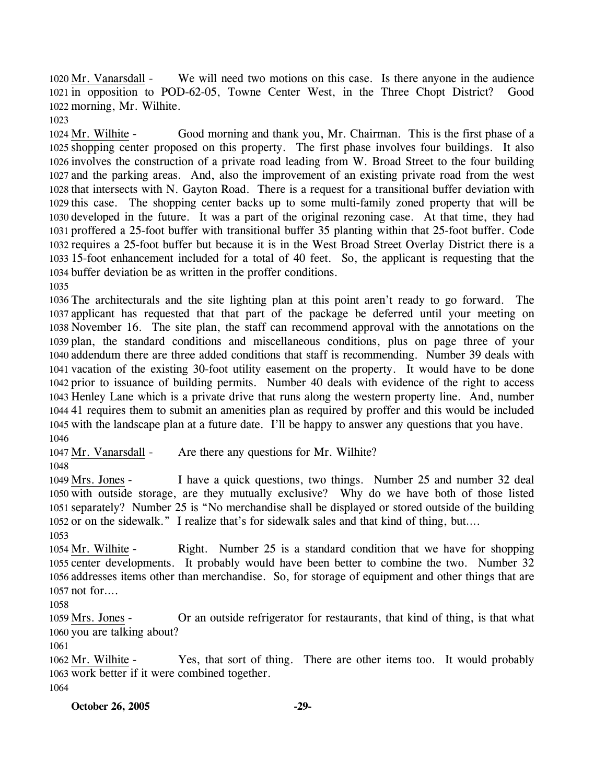We will need two motions on this case. Is there anyone in the audience 1021 in opposition to POD-62-05, Towne Center West, in the Three Chopt District? Good 1022 morning, Mr. Wilhite. 1020 Mr. Vanarsdall -

1023

Good morning and thank you, Mr. Chairman. This is the first phase of a 1025 shopping center proposed on this property. The first phase involves four buildings. It also 1026 involves the construction of a private road leading from W. Broad Street to the four building 1027 and the parking areas. And, also the improvement of an existing private road from the west 1028 that intersects with N. Gayton Road. There is a request for a transitional buffer deviation with 1029 this case. The shopping center backs up to some multi-family zoned property that will be 1030 developed in the future. It was a part of the original rezoning case. At that time, they had 1031 proffered a 25-foot buffer with transitional buffer 35 planting within that 25-foot buffer. Code 1032 requires a 25-foot buffer but because it is in the West Broad Street Overlay District there is a 15-foot enhancement included for a total of 40 feet. So, the applicant is requesting that the 1033 1034 buffer deviation be as written in the proffer conditions. 1024 Mr. Wilhite -1035

 The architecturals and the site lighting plan at this point aren't ready to go forward. The applicant has requested that that part of the package be deferred until your meeting on November 16. The site plan, the staff can recommend approval with the annotations on the plan, the standard conditions and miscellaneous conditions, plus on page three of your addendum there are three added conditions that staff is recommending. Number 39 deals with vacation of the existing 30-foot utility easement on the property. It would have to be done prior to issuance of building permits. Number 40 deals with evidence of the right to access Henley Lane which is a private drive that runs along the western property line. And, number 41 requires them to submit an amenities plan as required by proffer and this would be included with the landscape plan at a future date. I'll be happy to answer any questions that you have. 1046

1047 Mr. Vanarsdall - Are there any questions for Mr. Wilhite?

1048

I have a quick questions, two things. Number 25 and number 32 deal 1050 with outside storage, are they mutually exclusive? Why do we have both of those listed 1051 separately? Number 25 is "No merchandise shall be displayed or stored outside of the building 1052 or on the sidewalk." I realize that's for sidewalk sales and that kind of thing, but.... 1049 Mrs. Jones -

1053

Right. Number 25 is a standard condition that we have for shopping 1055 center developments. It probably would have been better to combine the two. Number 32 1056 addresses items other than merchandise. So, for storage of equipment and other things that are 1057 not for.... 1054 Mr. Wilhite -

1058

Or an outside refrigerator for restaurants, that kind of thing, is that what 1060 you are talking about? 1059 Mrs. Jones -

1061

Yes, that sort of thing. There are other items too. It would probably 1063 work better if it were combined together. 1062 Mr. Wilhite -1064

**October 26, 2005 -29-**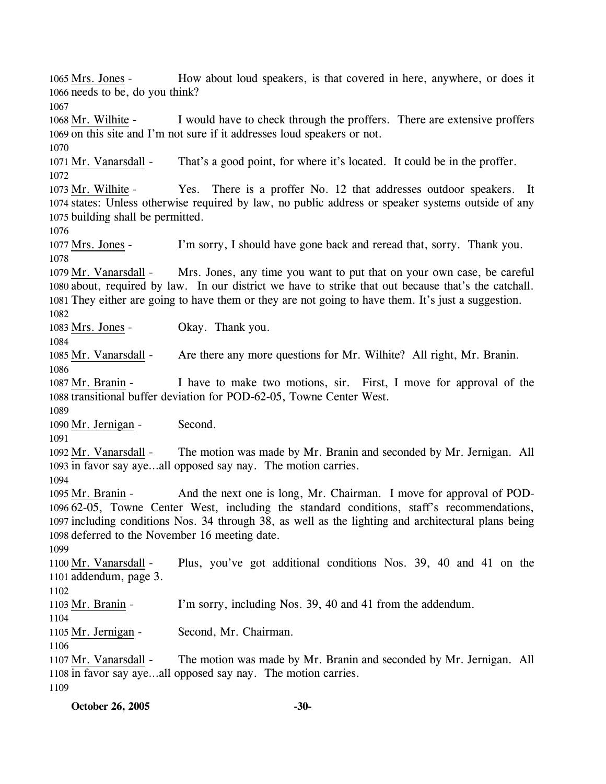How about loud speakers, is that covered in here, anywhere, or does it 1066 needs to be, do you think? 1065 Mrs. Jones -1067 I would have to check through the proffers. There are extensive proffers 1069 on this site and I'm not sure if it addresses loud speakers or not. 1068 Mr. Wilhite -1070 1071 Mr. Vanarsdall - That's a good point, for where it's located. It could be in the proffer. 1072 Yes. There is a proffer No. 12 that addresses outdoor speakers. It 1074 states: Unless otherwise required by law, no public address or speaker systems outside of any 1075 building shall be permitted. 1073 Mr. Wilhite -1076 1077 Mrs. Jones - I'm sorry, I should have gone back and reread that, sorry. Thank you. 1078 Mrs. Jones, any time you want to put that on your own case, be careful 1080 about, required by law. In our district we have to strike that out because that's the catchall. 1081 They either are going to have them or they are not going to have them. It's just a suggestion. 1079 Mr. Vanarsdall -1082 1083 Mrs. Jones - Okay. Thank you. 1084 1085 Mr. Vanarsdall - Are there any more questions for Mr. Wilhite? All right, Mr. Branin. 1086 I have to make two motions, sir. First, I move for approval of the 1088 transitional buffer deviation for POD-62-05, Towne Center West. 1087 Mr. Branin -1089 1090 Mr. Jernigan - Second. 1091 The motion was made by Mr. Branin and seconded by Mr. Jernigan. All 1093 in favor say aye...all opposed say nay. The motion carries. 1092 Mr. Vanarsdall -1094 And the next one is long, Mr. Chairman. I move for approval of POD-62-05, Towne Center West, including the standard conditions, staff's recommendations, 1096 1097 including conditions Nos. 34 through 38, as well as the lighting and architectural plans being 1098 deferred to the November 16 meeting date. 1095 Mr. Branin -1099 Plus, you've got additional conditions Nos. 39, 40 and 41 on the 1101 addendum, page 3. 1100 Mr. Vanarsdall -1102 1103 Mr. Branin - I'm sorry, including Nos. 39, 40 and 41 from the addendum. 1104 1105 Mr. Jernigan - Second, Mr. Chairman. 1106 The motion was made by Mr. Branin and seconded by Mr. Jernigan. All 1108 in favor say aye...all opposed say nay. The motion carries. 1107 Mr. Vanarsdall -1109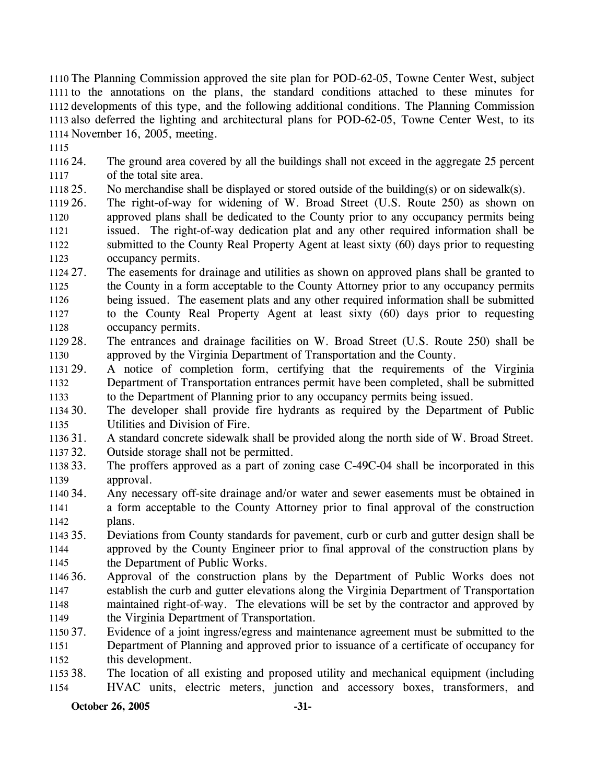The Planning Commission approved the site plan for POD-62-05, Towne Center West, subject to the annotations on the plans, the standard conditions attached to these minutes for developments of this type, and the following additional conditions. The Planning Commission also deferred the lighting and architectural plans for POD-62-05, Towne Center West, to its November 16, 2005, meeting.

1115

1116 24. 1117 The ground area covered by all the buildings shall not exceed in the aggregate 25 percent of the total site area.

- 1118 25. No merchandise shall be displayed or stored outside of the building(s) or on sidewalk(s).
- 1119 26. 1120 1121 1122 1123 The right-of-way for widening of W. Broad Street (U.S. Route 250) as shown on approved plans shall be dedicated to the County prior to any occupancy permits being issued. The right-of-way dedication plat and any other required information shall be submitted to the County Real Property Agent at least sixty (60) days prior to requesting occupancy permits.
- 1124 27. 1125 1126 1127 1128 The easements for drainage and utilities as shown on approved plans shall be granted to the County in a form acceptable to the County Attorney prior to any occupancy permits being issued. The easement plats and any other required information shall be submitted to the County Real Property Agent at least sixty (60) days prior to requesting occupancy permits.
- 1129 28. 1130 28. The entrances and drainage facilities on W. Broad Street (U.S. Route 250) shall be approved by the Virginia Department of Transportation and the County.
- 1131 29. 1132 1133 29. A notice of completion form, certifying that the requirements of the Virginia Department of Transportation entrances permit have been completed, shall be submitted to the Department of Planning prior to any occupancy permits being issued.
- $113430.$ 1135 The developer shall provide fire hydrants as required by the Department of Public Utilities and Division of Fire.
- 1136 31. 31. A standard concrete sidewalk shall be provided along the north side of W. Broad Street.
- 1137 32. Outside storage shall not be permitted.
- 1138 33. 1139 The proffers approved as a part of zoning case C-49C-04 shall be incorporated in this approval.
- 1140 34. 1141 1142 Any necessary off-site drainage and/or water and sewer easements must be obtained in a form acceptable to the County Attorney prior to final approval of the construction plans.
- 1143 35. 1144 1145 35. Deviations from County standards for pavement, curb or curb and gutter design shall be approved by the County Engineer prior to final approval of the construction plans by the Department of Public Works.
- 1146 36. 1147 1148 1149 36. Approval of the construction plans by the Department of Public Works does not establish the curb and gutter elevations along the Virginia Department of Transportation maintained right-of-way. The elevations will be set by the contractor and approved by the Virginia Department of Transportation.
- 1150 37. 1151 1152 Evidence of a joint ingress/egress and maintenance agreement must be submitted to the Department of Planning and approved prior to issuance of a certificate of occupancy for this development.
- 1153 38. 1154 The location of all existing and proposed utility and mechanical equipment (including HVAC units, electric meters, junction and accessory boxes, transformers, and

**October 26, 2005** -31-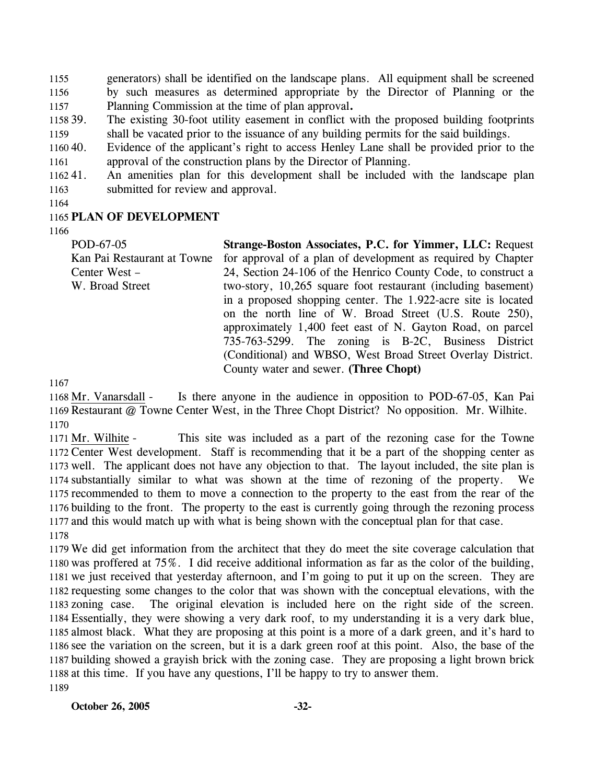1155 1156 1157 generators) shall be identified on the landscape plans. All equipment shall be screened by such measures as determined appropriate by the Director of Planning or the Planning Commission at the time of plan approval**.**

1158 39. 1159 39. The existing 30-foot utility easement in conflict with the proposed building footprints shall be vacated prior to the issuance of any building permits for the said buildings.

1160 40. 1161 Evidence of the applicant's right to access Henley Lane shall be provided prior to the approval of the construction plans by the Director of Planning.

116241. 1163 An amenities plan for this development shall be included with the landscape plan submitted for review and approval.

1164

### 1165 **PLAN OF DEVELOPMENT**

1166

POD-67-05 Kan Pai Restaurant at Towne Center West – W. Broad Street **Strange-Boston Associates, P.C. for Yimmer, LLC:** Request for approval of a plan of development as required by Chapter 24, Section 24-106 of the Henrico County Code, to construct a two-story, 10,265 square foot restaurant (including basement) in a proposed shopping center. The 1.922-acre site is located on the north line of W. Broad Street (U.S. Route 250), approximately 1,400 feet east of N. Gayton Road, on parcel 735-763-5299. The zoning is B-2C, Business District (Conditional) and WBSO, West Broad Street Overlay District. County water and sewer. **(Three Chopt)** 

1167

Is there anyone in the audience in opposition to POD-67-05, Kan Pai 1169 Restaurant @ Towne Center West, in the Three Chopt District? No opposition. Mr. Wilhite. 1168 Mr. Vanarsdall -1170

This site was included as a part of the rezoning case for the Towne 1172 Center West development. Staff is recommending that it be a part of the shopping center as 1173 well. The applicant does not have any objection to that. The layout included, the site plan is 1174 substantially similar to what was shown at the time of rezoning of the property. We 1175 recommended to them to move a connection to the property to the east from the rear of the 1176 building to the front. The property to the east is currently going through the rezoning process 1177 and this would match up with what is being shown with the conceptual plan for that case. 1171 Mr. Wilhite -1178

 We did get information from the architect that they do meet the site coverage calculation that was proffered at 75%. I did receive additional information as far as the color of the building, we just received that yesterday afternoon, and I'm going to put it up on the screen. They are requesting some changes to the color that was shown with the conceptual elevations, with the 1183 zoning case. Essentially, they were showing a very dark roof, to my understanding it is a very dark blue, almost black. What they are proposing at this point is a more of a dark green, and it's hard to see the variation on the screen, but it is a dark green roof at this point. Also, the base of the building showed a grayish brick with the zoning case. They are proposing a light brown brick at this time. If you have any questions, I'll be happy to try to answer them. 1189 The original elevation is included here on the right side of the screen.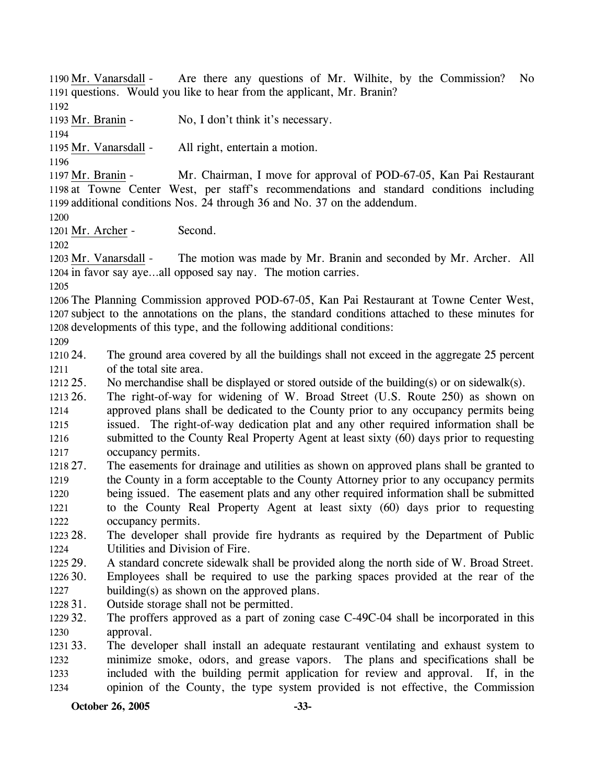Are there any questions of Mr. Wilhite, by the Commission? No 1191 questions. Would you like to hear from the applicant, Mr. Branin? 1190  $Mr. Vanarsdall -$ 1192 1193 Mr. Branin - No, I don't think it's necessary. 1194 1195 Mr. Vanarsdall - All right, entertain a motion. 1196 Mr. Chairman, I move for approval of POD-67-05, Kan Pai Restaurant 1198 at Towne Center West, per staff's recommendations and standard conditions including 1199 additional conditions Nos. 24 through 36 and No. 37 on the addendum. 1197 Mr. Branin -1200 1201 Mr. Archer - Second. 1202 The motion was made by Mr. Branin and seconded by Mr. Archer. All 1204 in favor say aye...all opposed say nay. The motion carries. 1203 Mr. Vanarsdall -1205 1206 The Planning Commission approved POD-67-05, Kan Pai Restaurant at Towne Center West, 1207 subject to the annotations on the plans, the standard conditions attached to these minutes for 1208 developments of this type, and the following additional conditions: 1209 1210 24. 1211  $121225$ . 1213 26. 1214 1215 1216 1217 1218 27. 1219 1220 1221 1222 1223 28. 1224 1225 29. 1226 30. 1227 1228 31. 1229 32. 1230 1231 33. 1232 1233 1234 The ground area covered by all the buildings shall not exceed in the aggregate 25 percent of the total site area. No merchandise shall be displayed or stored outside of the building(s) or on sidewalk(s). 26. The right-of-way for widening of W. Broad Street (U.S. Route 250) as shown on approved plans shall be dedicated to the County prior to any occupancy permits being issued. The right-of-way dedication plat and any other required information shall be submitted to the County Real Property Agent at least sixty (60) days prior to requesting occupancy permits. The easements for drainage and utilities as shown on approved plans shall be granted to the County in a form acceptable to the County Attorney prior to any occupancy permits being issued. The easement plats and any other required information shall be submitted to the County Real Property Agent at least sixty (60) days prior to requesting occupancy permits. The developer shall provide fire hydrants as required by the Department of Public Utilities and Division of Fire. 29. A standard concrete sidewalk shall be provided along the north side of W. Broad Street. Employees shall be required to use the parking spaces provided at the rear of the building(s) as shown on the approved plans. Outside storage shall not be permitted. The proffers approved as a part of zoning case C-49C-04 shall be incorporated in this approval. The developer shall install an adequate restaurant ventilating and exhaust system to minimize smoke, odors, and grease vapors. The plans and specifications shall be included with the building permit application for review and approval. If, in the opinion of the County, the type system provided is not effective, the Commission

**October 26, 2005** -33-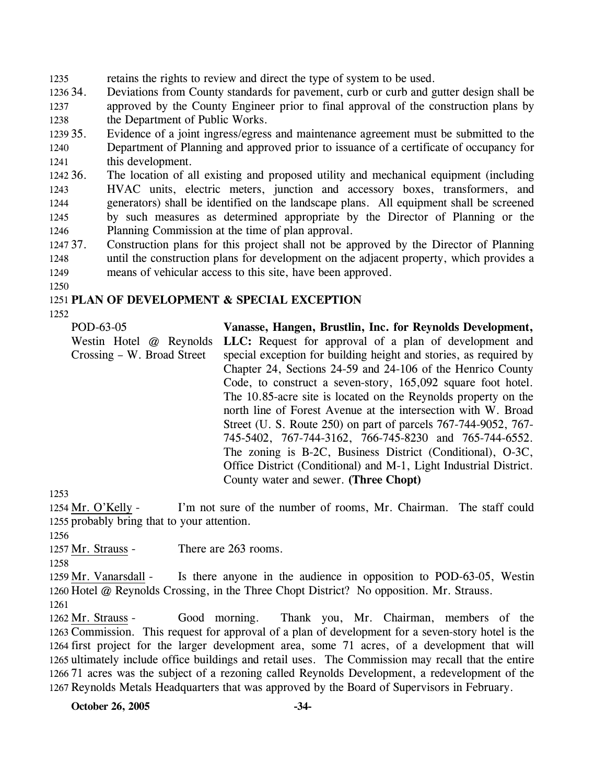1235 retains the rights to review and direct the type of system to be used.

1236 34. 1237 1238 Deviations from County standards for pavement, curb or curb and gutter design shall be approved by the County Engineer prior to final approval of the construction plans by the Department of Public Works.

1239 35 1240 1241 Evidence of a joint ingress/egress and maintenance agreement must be submitted to the Department of Planning and approved prior to issuance of a certificate of occupancy for this development.

1242 36. 1243 1244 1245 1246 The location of all existing and proposed utility and mechanical equipment (including HVAC units, electric meters, junction and accessory boxes, transformers, and generators) shall be identified on the landscape plans. All equipment shall be screened by such measures as determined appropriate by the Director of Planning or the Planning Commission at the time of plan approval.

- 1247 37. 1248 1249 37. Construction plans for this project shall not be approved by the Director of Planning until the construction plans for development on the adjacent property, which provides a means of vehicular access to this site, have been approved.
- 1250

# 1251 **PLAN OF DEVELOPMENT & SPECIAL EXCEPTION**

1252

POD-63-05 Westin Hotel @ Reynolds Crossing – W. Broad Street **Vanasse, Hangen, Brustlin, Inc. for Reynolds Development,**  LLC: Request for approval of a plan of development and special exception for building height and stories, as required by Chapter 24, Sections 24-59 and 24-106 of the Henrico County Code, to construct a seven-story, 165,092 square foot hotel. The 10.85-acre site is located on the Reynolds property on the north line of Forest Avenue at the intersection with W. Broad Street (U. S. Route 250) on part of parcels 767-744-9052, 767- 745-5402, 767-744-3162, 766-745-8230 and 765-744-6552. The zoning is B-2C, Business District (Conditional), O-3C, Office District (Conditional) and M-1, Light Industrial District. County water and sewer. **(Three Chopt)** 

1253

I'm not sure of the number of rooms, Mr. Chairman. The staff could 1255 probably bring that to your attention. 1254 Mr. O'Kelly -

1256

1257 Mr. Strauss - There are 263 rooms.

1258

Is there anyone in the audience in opposition to POD-63-05, Westin 1260 Hotel @ Reynolds Crossing, in the Three Chopt District? No opposition. Mr. Strauss. 1259 Mr. Vanarsdall -

1261

Good morning. Thank you, Mr. Chairman, members of the 1263 Commission. This request for approval of a plan of development for a seven-story hotel is the 1264 first project for the larger development area, some 71 acres, of a development that will 1265 ultimately include office buildings and retail uses. The Commission may recall that the entire 1266 71 acres was the subject of a rezoning called Reynolds Development, a redevelopment of the 1267 Reynolds Metals Headquarters that was approved by the Board of Supervisors in February. 1262 Mr. Strauss -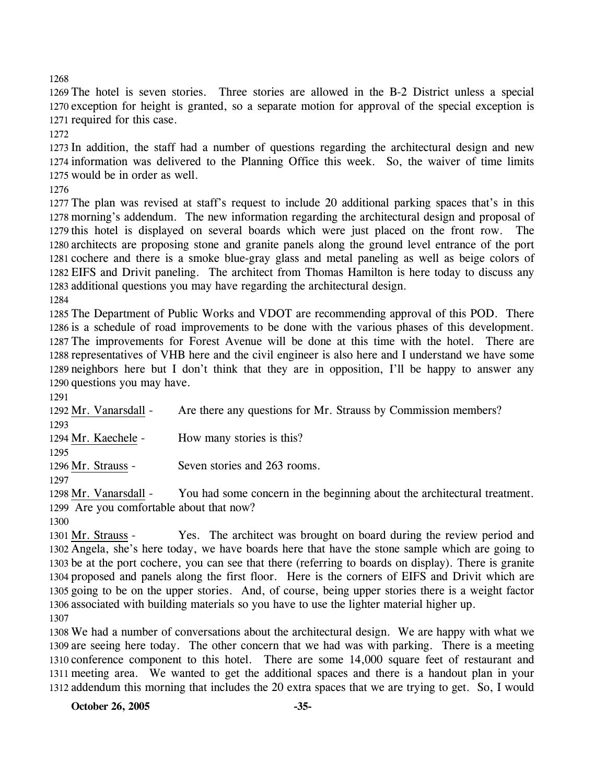The hotel is seven stories. Three stories are allowed in the B-2 District unless a special exception for height is granted, so a separate motion for approval of the special exception is required for this case.

 In addition, the staff had a number of questions regarding the architectural design and new information was delivered to the Planning Office this week. So, the waiver of time limits would be in order as well.

 The plan was revised at staff's request to include 20 additional parking spaces that's in this morning's addendum. The new information regarding the architectural design and proposal of this hotel is displayed on several boards which were just placed on the front row. The architects are proposing stone and granite panels along the ground level entrance of the port cochere and there is a smoke blue-gray glass and metal paneling as well as beige colors of EIFS and Drivit paneling. The architect from Thomas Hamilton is here today to discuss any additional questions you may have regarding the architectural design.

 The Department of Public Works and VDOT are recommending approval of this POD. There is a schedule of road improvements to be done with the various phases of this development. The improvements for Forest Avenue will be done at this time with the hotel. There are representatives of VHB here and the civil engineer is also here and I understand we have some neighbors here but I don't think that they are in opposition, I'll be happy to answer any questions you may have.

1292 Mr. Vanarsdall - Are there any questions for Mr. Strauss by Commission members? 1294 Mr. Kaechele - How many stories is this? 1296 Mr. Strauss - Seven stories and 263 rooms.

You had some concern in the beginning about the architectural treatment. 1299 Are you comfortable about that now? 1298 Mr. Vanarsdall -

Yes. The architect was brought on board during the review period and 1302 Angela, she's here today, we have boards here that have the stone sample which are going to 1303 be at the port cochere, you can see that there (referring to boards on display). There is granite 1304 proposed and panels along the first floor. Here is the corners of EIFS and Drivit which are 1305 going to be on the upper stories. And, of course, being upper stories there is a weight factor 1306 associated with building materials so you have to use the lighter material higher up. 1301 Mr. Strauss -

 We had a number of conversations about the architectural design. We are happy with what we are seeing here today. The other concern that we had was with parking. There is a meeting conference component to this hotel. There are some 14,000 square feet of restaurant and meeting area. We wanted to get the additional spaces and there is a handout plan in your addendum this morning that includes the 20 extra spaces that we are trying to get. So, I would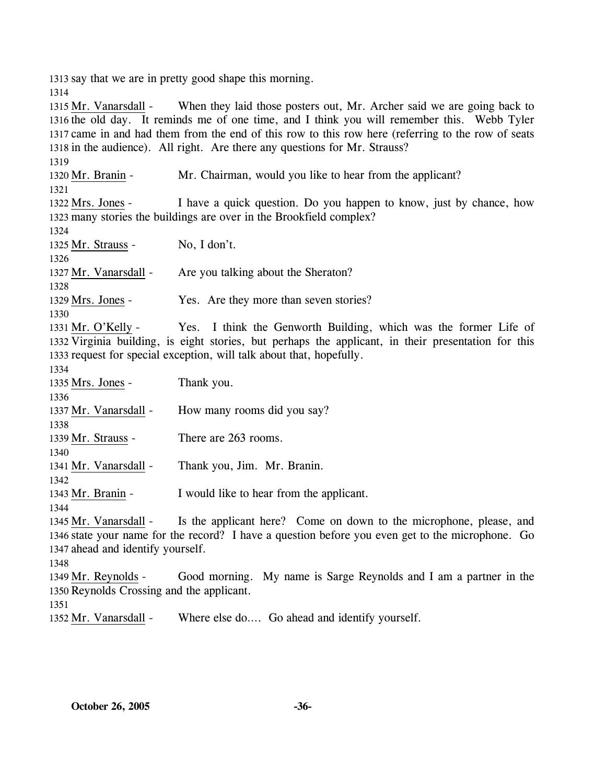1313 say that we are in pretty good shape this morning.

1314

When they laid those posters out, Mr. Archer said we are going back to 1316 the old day. It reminds me of one time, and I think you will remember this. Webb Tyler 1317 came in and had them from the end of this row to this row here (referring to the row of seats 1318 in the audience). All right. Are there any questions for Mr. Strauss? 1315 Mr. Vanarsdall -1319 1320 Mr. Branin - Mr. Chairman, would you like to hear from the applicant? 1321 I have a quick question. Do you happen to know, just by chance, how 1323 many stories the buildings are over in the Brookfield complex? 1322 Mrs. Jones -1324 1325 Mr. Strauss - No, I don't. 1326 1327 Mr. Vanarsdall - Are you talking about the Sheraton? 1328 1329 Mrs. Jones - Yes. Are they more than seven stories? 1330 Yes. I think the Genworth Building, which was the former Life of 1332 Virginia building, is eight stories, but perhaps the applicant, in their presentation for this 1333 request for special exception, will talk about that, hopefully. 1331 Mr. O'Kelly -1334 1335 Mrs. Jones - Thank you. 1336 1337 Mr. Vanarsdall - How many rooms did you say? 1338 1339 Mr. Strauss - There are 263 rooms. 1340 1341 Mr. Vanarsdall - Thank you, Jim. Mr. Branin. 1342 1343 Mr. Branin - I would like to hear from the applicant. 1344 Is the applicant here? Come on down to the microphone, please, and 1346 state your name for the record? I have a question before you even get to the microphone. Go 1347 ahead and identify yourself. 1345 Mr. Vanarsdall -1348 Good morning. My name is Sarge Reynolds and I am a partner in the 1350 Reynolds Crossing and the applicant. 1349 Mr. Reynolds -1351 1352 Mr. Vanarsdall - Where else do.... Go ahead and identify yourself.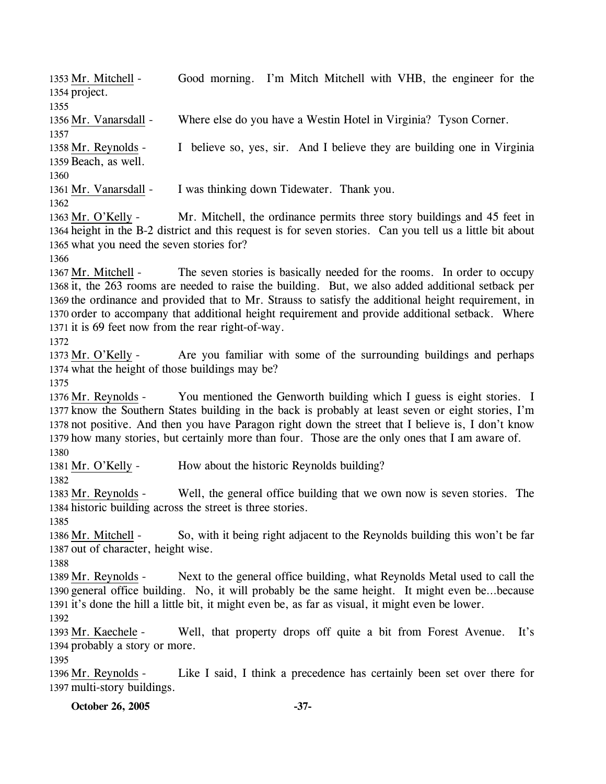**October 26, 2005 -37-** 1354 project. 1355 1356 Mr. Vanarsdall - Where else do you have a Westin Hotel in Virginia? Tyson Corner. 1357 I believe so, yes, sir. And I believe they are building one in Virginia 1359 Beach, as well. 1358 Mr. Reynolds -1360 1361 Mr. Vanarsdall - I was thinking down Tidewater. Thank you. 1362 Mr. Mitchell, the ordinance permits three story buildings and 45 feet in 1364 height in the B-2 district and this request is for seven stories. Can you tell us a little bit about 1365 what you need the seven stories for? 1363 Mr. O'Kelly -1366 The seven stories is basically needed for the rooms. In order to occupy 1368 it, the 263 rooms are needed to raise the building. But, we also added additional setback per 1369 the ordinance and provided that to Mr. Strauss to satisfy the additional height requirement, in 1370 order to accompany that additional height requirement and provide additional setback. Where 1371 it is 69 feet now from the rear right-of-way. 1367 Mr. Mitchell -1372 Are you familiar with some of the surrounding buildings and perhaps 1374 what the height of those buildings may be? 1373 Mr. O'Kelly -1375 You mentioned the Genworth building which I guess is eight stories. I 1377 know the Southern States building in the back is probably at least seven or eight stories, I'm 1378 not positive. And then you have Paragon right down the street that I believe is, I don't know 1379 how many stories, but certainly more than four. Those are the only ones that I am aware of. 1376 Mr. Reynolds -1380 1381 Mr. O'Kelly - How about the historic Reynolds building? 1382 Well, the general office building that we own now is seven stories. The 1384 historic building across the street is three stories. 1383 Mr. Reynolds -1385 So, with it being right adjacent to the Reynolds building this won't be far 1387 out of character, height wise. 1386 Mr. Mitchell -1388 Next to the general office building, what Reynolds Metal used to call the 1390 general office building. No, it will probably be the same height. It might even be...because 1391 it's done the hill a little bit, it might even be, as far as visual, it might even be lower. 1389 Mr. Reynolds -1392 Well, that property drops off quite a bit from Forest Avenue. It's 1394 probably a story or more. 1393 Mr. Kaechele -1395 Like I said, I think a precedence has certainly been set over there for 1397 multi-story buildings. 1396 Mr. Reynolds -

Good morning. I'm Mitch Mitchell with VHB, the engineer for the

1353 Mr. Mitchell -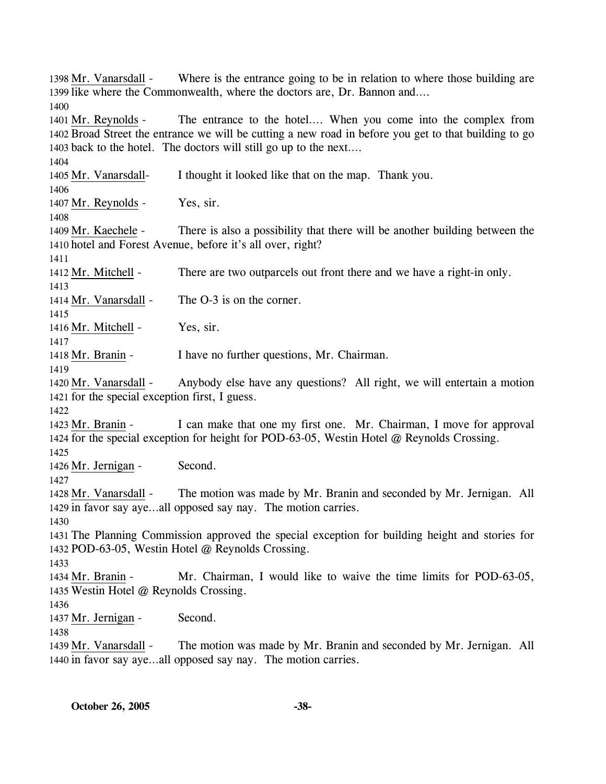Where is the entrance going to be in relation to where those building are 1399 like where the Commonwealth, where the doctors are, Dr. Bannon and.... 1398 Mr. Vanarsdall -1400 The entrance to the hotel…. When you come into the complex from 1402 Broad Street the entrance we will be cutting a new road in before you get to that building to go 1403 back to the hotel. The doctors will still go up to the next....  $1401$  Mr. Reynolds -1404 1405 Mr. Vanarsdall- I thought it looked like that on the map. Thank you. 1406 1407 Mr. Reynolds - Yes, sir. 1408 There is also a possibility that there will be another building between the 1410 hotel and Forest Avenue, before it's all over, right? 1409 Mr. Kaechele -1411 1412 Mr. Mitchell - There are two outparcels out front there and we have a right-in only. 1413 1414 Mr. Vanarsdall - The O-3 is on the corner. 1415 1416 Mr. Mitchell - Yes, sir. 1417 1418 Mr. Branin - I have no further questions, Mr. Chairman. 1419 Anybody else have any questions? All right, we will entertain a motion 1421 for the special exception first, I guess. 1420 Mr. Vanarsdall -1422 I can make that one my first one. Mr. Chairman, I move for approval 1424 for the special exception for height for POD-63-05, Westin Hotel @ Reynolds Crossing. 1423 Mr. Branin -1425 1426 Mr. Jernigan - Second. 1427 The motion was made by Mr. Branin and seconded by Mr. Jernigan. All 1429 in favor say aye...all opposed say nay. The motion carries. 1428 Mr. Vanarsdall -1430 1431 The Planning Commission approved the special exception for building height and stories for 1432 POD-63-05, Westin Hotel @ Reynolds Crossing. 1433 Mr. Chairman, I would like to waive the time limits for POD-63-05, 1435 Westin Hotel @ Reynolds Crossing. 1434 Mr. Branin -1436 1437 Mr. Jernigan - Second. 1438 The motion was made by Mr. Branin and seconded by Mr. Jernigan. All 1440 in favor say aye...all opposed say nay. The motion carries. 1439 Mr. Vanarsdall -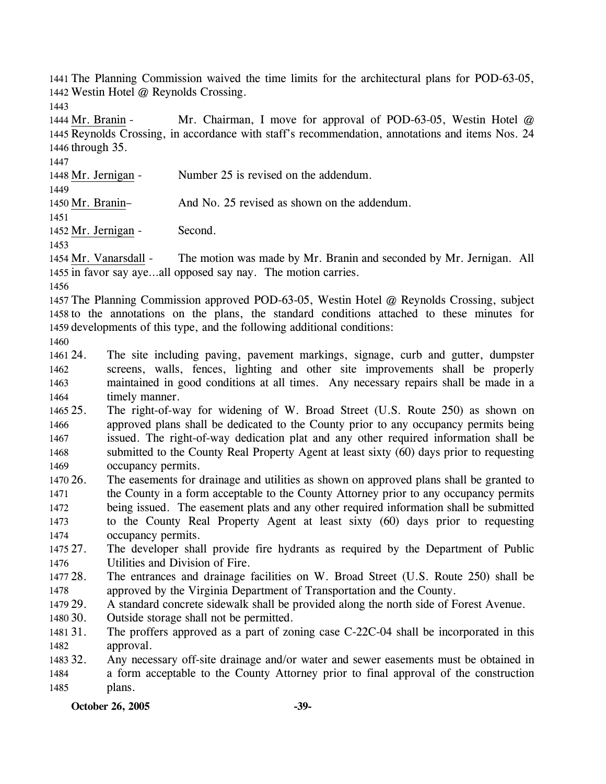1441 The Planning Commission waived the time limits for the architectural plans for POD-63-05, 1442 Westin Hotel @ Reynolds Crossing.

1443

1447

Mr. Chairman, I move for approval of POD-63-05, Westin Hotel  $@$ 1445 Reynolds Crossing, in accordance with staff's recommendation, annotations and items Nos. 24 1446 through 35. 1444 Mr. Branin -

1448 Mr. Jernigan - Number 25 is revised on the addendum.

1449 1450 Mr. Branin– And No. 25 revised as shown on the addendum.

1451

1452 Mr. Jernigan - Second.

1453

The motion was made by Mr. Branin and seconded by Mr. Jernigan. All 1455 in favor say aye...all opposed say nay. The motion carries. 1454 Mr. Vanarsdall -

1456

1457 The Planning Commission approved POD-63-05, Westin Hotel @ Reynolds Crossing, subject 1458 to the annotations on the plans, the standard conditions attached to these minutes for 1459 developments of this type, and the following additional conditions:

1460

1461 24. 1462 1463 1464 The site including paving, pavement markings, signage, curb and gutter, dumpster screens, walls, fences, lighting and other site improvements shall be properly maintained in good conditions at all times. Any necessary repairs shall be made in a timely manner.

- 1465 25. 1466 1467 1468 1469 25. The right-of-way for widening of W. Broad Street (U.S. Route 250) as shown on approved plans shall be dedicated to the County prior to any occupancy permits being issued. The right-of-way dedication plat and any other required information shall be submitted to the County Real Property Agent at least sixty (60) days prior to requesting occupancy permits.
- 1470 26. 1471 1472 1473 1474 26. The easements for drainage and utilities as shown on approved plans shall be granted to the County in a form acceptable to the County Attorney prior to any occupancy permits being issued. The easement plats and any other required information shall be submitted to the County Real Property Agent at least sixty (60) days prior to requesting occupancy permits.
- 1475 27. 1476 The developer shall provide fire hydrants as required by the Department of Public Utilities and Division of Fire.
- 1477 28. 1478 28. The entrances and drainage facilities on W. Broad Street (U.S. Route 250) shall be approved by the Virginia Department of Transportation and the County.
- 1479 29. A standard concrete sidewalk shall be provided along the north side of Forest Avenue.
- 1480 30. Outside storage shall not be permitted.
- 1481 31. 1482 The proffers approved as a part of zoning case C-22C-04 shall be incorporated in this approval.
- 1483 32. 1484 1485 Any necessary off-site drainage and/or water and sewer easements must be obtained in a form acceptable to the County Attorney prior to final approval of the construction plans.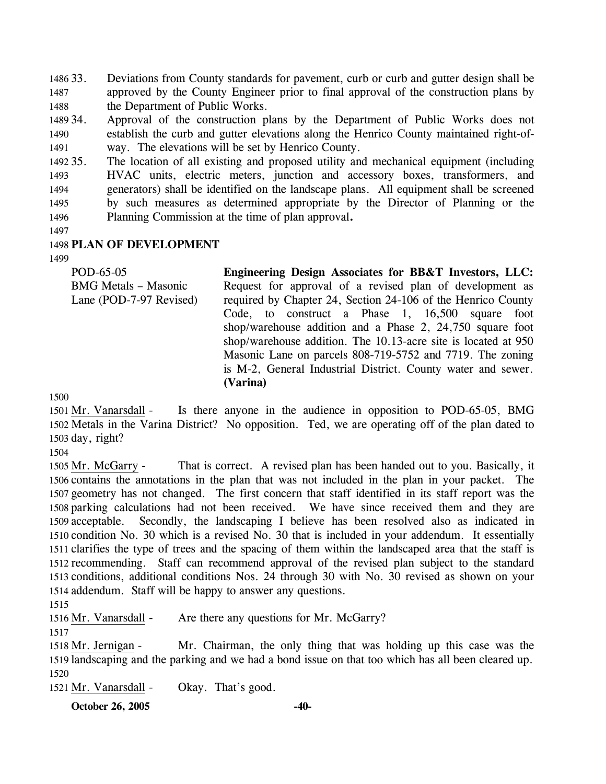1486 33. 1487 1488 Deviations from County standards for pavement, curb or curb and gutter design shall be approved by the County Engineer prior to final approval of the construction plans by the Department of Public Works.

1489 34. 1490 1491 Approval of the construction plans by the Department of Public Works does not establish the curb and gutter elevations along the Henrico County maintained right-ofway. The elevations will be set by Henrico County.

1492 35. 1493 1494 1495 1496 The location of all existing and proposed utility and mechanical equipment (including HVAC units, electric meters, junction and accessory boxes, transformers, and generators) shall be identified on the landscape plans. All equipment shall be screened by such measures as determined appropriate by the Director of Planning or the Planning Commission at the time of plan approval**.**

1497

### 1498 **PLAN OF DEVELOPMENT**

1499

| POD-65-05                   | Engineering Design Associates for BB&T Investors, LLC:         |
|-----------------------------|----------------------------------------------------------------|
| <b>BMG</b> Metals - Masonic | Request for approval of a revised plan of development as       |
| Lane (POD-7-97 Revised)     | required by Chapter 24, Section 24-106 of the Henrico County   |
|                             | Code, to construct a Phase 1, $16,500$ square foot             |
|                             | shop/warehouse addition and a Phase 2, $24,750$ square foot    |
|                             | shop/warehouse addition. The 10.13-acre site is located at 950 |
|                             | Masonic Lane on parcels 808-719-5752 and 7719. The zoning      |
|                             | is M-2, General Industrial District. County water and sewer.   |
|                             | (Varina)                                                       |

1500

Is there anyone in the audience in opposition to POD-65-05, BMG 1502 Metals in the Varina District? No opposition. Ted, we are operating off of the plan dated to 1503 day, right? 1501 Mr. Vanarsdall -

1504

That is correct. A revised plan has been handed out to you. Basically, it 1506 contains the annotations in the plan that was not included in the plan in your packet. The 1507 geometry has not changed. The first concern that staff identified in its staff report was the 1508 parking calculations had not been received. We have since received them and they are Secondly, the landscaping I believe has been resolved also as indicated in 1510 condition No. 30 which is a revised No. 30 that is included in your addendum. It essentially 1511 clarifies the type of trees and the spacing of them within the landscaped area that the staff is 1512 recommending. Staff can recommend approval of the revised plan subject to the standard 1513 conditions, additional conditions Nos. 24 through 30 with No. 30 revised as shown on your 1514 addendum. Staff will be happy to answer any questions. 1505 Mr. McGarry -1509 acceptable.

1515

1516 Mr. Vanarsdall - Are there any questions for Mr. McGarry?

1517

Mr. Chairman, the only thing that was holding up this case was the 1519 landscaping and the parking and we had a bond issue on that too which has all been cleared up. 1518 Mr. Jernigan -1520

1521 Mr. Vanarsdall - Okay. That's good.

**October 26, 2005 -40-**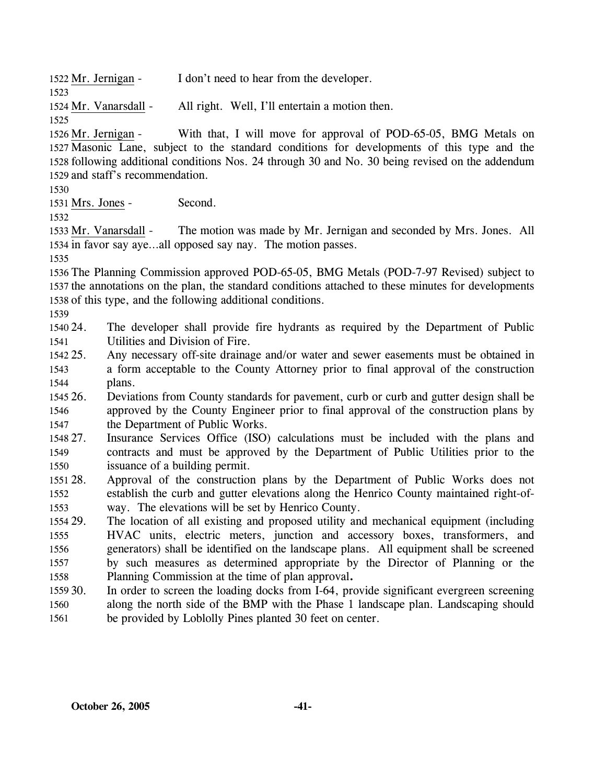| 1522 Mr. Jernigan -   | I don't need to hear from the developer. |                                                |  |
|-----------------------|------------------------------------------|------------------------------------------------|--|
| 1523                  |                                          |                                                |  |
| 1524 Mr. Vanarsdall - |                                          | All right. Well, I'll entertain a motion then. |  |

1525

With that, I will move for approval of POD-65-05, BMG Metals on 1527 Masonic Lane, subject to the standard conditions for developments of this type and the 1528 following additional conditions Nos. 24 through 30 and No. 30 being revised on the addendum 1529 and staff's recommendation. 1526 Mr. Jernigan -

1530

1531 Mrs. Jones - Second.

1532

The motion was made by Mr. Jernigan and seconded by Mrs. Jones. All 1534 in favor say aye...all opposed say nay. The motion passes. 1533 Mr. Vanarsdall -

1535

1536 The Planning Commission approved POD-65-05, BMG Metals (POD-7-97 Revised) subject to 1537 the annotations on the plan, the standard conditions attached to these minutes for developments 1538 of this type, and the following additional conditions.

1539

1540 24 1541 The developer shall provide fire hydrants as required by the Department of Public Utilities and Division of Fire.

1542 25. 1543 1544 Any necessary off-site drainage and/or water and sewer easements must be obtained in a form acceptable to the County Attorney prior to final approval of the construction plans.

1545 26. 1546 1547 26. Deviations from County standards for pavement, curb or curb and gutter design shall be approved by the County Engineer prior to final approval of the construction plans by the Department of Public Works.

- 1548 27. 1549 1550 Insurance Services Office (ISO) calculations must be included with the plans and contracts and must be approved by the Department of Public Utilities prior to the issuance of a building permit.
- 1551 28. 1552 1553 Approval of the construction plans by the Department of Public Works does not establish the curb and gutter elevations along the Henrico County maintained right-ofway. The elevations will be set by Henrico County.

1554 29. 1555 1556 1557 1558 The location of all existing and proposed utility and mechanical equipment (including HVAC units, electric meters, junction and accessory boxes, transformers, and generators) shall be identified on the landscape plans. All equipment shall be screened by such measures as determined appropriate by the Director of Planning or the Planning Commission at the time of plan approval**.**

 $155930$ . 1560 1561 In order to screen the loading docks from I-64, provide significant evergreen screening along the north side of the BMP with the Phase 1 landscape plan. Landscaping should be provided by Loblolly Pines planted 30 feet on center.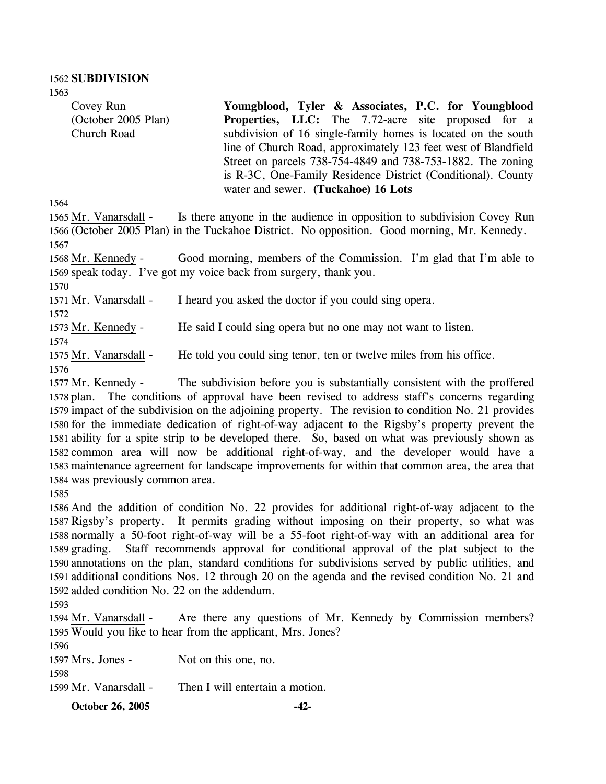1563

Covey Run (October 2005 Plan) Church Road

**Youngblood, Tyler & Associates, P.C. for Youngblood Properties, LLC:** The 7.72-acre site proposed for a subdivision of 16 single-family homes is located on the south line of Church Road, approximately 123 feet west of Blandfield Street on parcels 738-754-4849 and 738-753-1882. The zoning is R-3C, One-Family Residence District (Conditional). County water and sewer. **(Tuckahoe) 16 Lots** 

1564

Is there anyone in the audience in opposition to subdivision Covey Run (October 2005 Plan) in the Tuckahoe District. No opposition. Good morning, Mr. Kennedy. 1566 1565 Mr. Vanarsdall -1567

Good morning, members of the Commission. I'm glad that I'm able to 1569 speak today. I've got my voice back from surgery, thank you. 1568 Mr. Kennedy -

1570

1571 Mr. Vanarsdall - I heard you asked the doctor if you could sing opera.

1572

1573 Mr. Kennedy - He said I could sing opera but no one may not want to listen.

1574

1575 Mr. Vanarsdall - He told you could sing tenor, ten or twelve miles from his office.

1576

The subdivision before you is substantially consistent with the proffered 1578 plan. The conditions of approval have been revised to address staff's concerns regarding 1579 impact of the subdivision on the adjoining property. The revision to condition No. 21 provides 1580 for the immediate dedication of right-of-way adjacent to the Rigsby's property prevent the 1581 ability for a spite strip to be developed there. So, based on what was previously shown as 1582 common area will now be additional right-of-way, and the developer would have a 1583 maintenance agreement for landscape improvements for within that common area, the area that 1584 was previously common area. 1577 Mr. Kennedy -

1585

 And the addition of condition No. 22 provides for additional right-of-way adjacent to the Rigsby's property. It permits grading without imposing on their property, so what was normally a 50-foot right-of-way will be a 55-foot right-of-way with an additional area for grading. Staff recommends approval for conditional approval of the plat subject to the annotations on the plan, standard conditions for subdivisions served by public utilities, and additional conditions Nos. 12 through 20 on the agenda and the revised condition No. 21 and added condition No. 22 on the addendum.

1593

Are there any questions of Mr. Kennedy by Commission members? 1595 Would you like to hear from the applicant, Mrs. Jones? 1594 Mr. Vanarsdall -

| 1596                  |                                 |
|-----------------------|---------------------------------|
| 1597 Mrs. Jones -     | Not on this one, no.            |
| 1598                  |                                 |
| 1599 Mr. Vanarsdall - | Then I will entertain a motion. |

**October 26, 2005 -42-**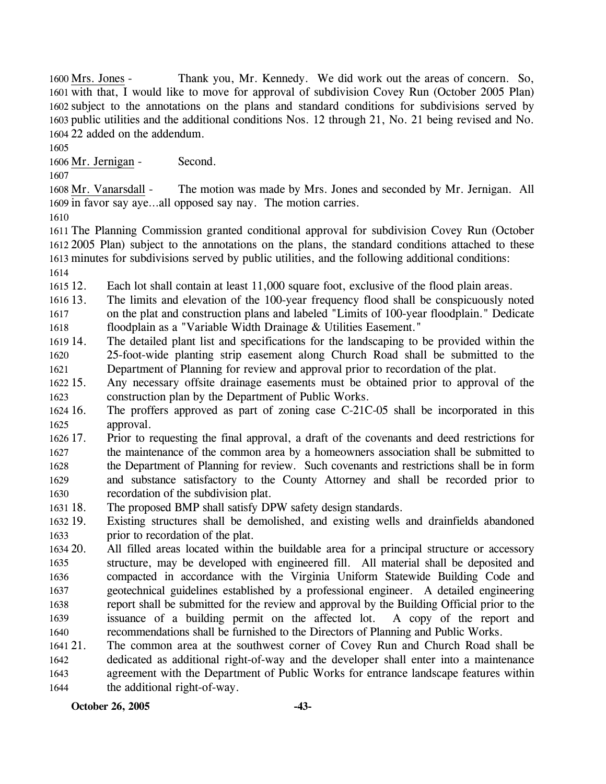Thank you, Mr. Kennedy. We did work out the areas of concern. So, 1601 with that, I would like to move for approval of subdivision Covey Run (October 2005 Plan) 1602 subject to the annotations on the plans and standard conditions for subdivisions served by 1603 public utilities and the additional conditions Nos. 12 through 21, No. 21 being revised and No. 22 added on the addendum. 1604 1600 Mrs. Jones -

1605

1606 Mr. Jernigan - Second.

1607

The motion was made by Mrs. Jones and seconded by Mr. Jernigan. All 1609 in favor say aye...all opposed say nay. The motion carries. 1608 Mr. Vanarsdall -

1610

 The Planning Commission granted conditional approval for subdivision Covey Run (October 2005 Plan) subject to the annotations on the plans, the standard conditions attached to these minutes for subdivisions served by public utilities, and the following additional conditions: 1614

 $161512.$ Each lot shall contain at least 11,000 square foot, exclusive of the flood plain areas.

- 1616 13. 1617 1618 The limits and elevation of the 100-year frequency flood shall be conspicuously noted on the plat and construction plans and labeled "Limits of 100-year floodplain." Dedicate floodplain as a "Variable Width Drainage & Utilities Easement."
- 1619 14. 1620 1621 The detailed plant list and specifications for the landscaping to be provided within the 25-foot-wide planting strip easement along Church Road shall be submitted to the Department of Planning for review and approval prior to recordation of the plat.
- $1622$  15. 1623 Any necessary offsite drainage easements must be obtained prior to approval of the construction plan by the Department of Public Works.
- $162416.$ 1625 The proffers approved as part of zoning case C-21C-05 shall be incorporated in this approval.
- 1626 17. 1627 1628 1629 1630 17. Prior to requesting the final approval, a draft of the covenants and deed restrictions for the maintenance of the common area by a homeowners association shall be submitted to the Department of Planning for review. Such covenants and restrictions shall be in form and substance satisfactory to the County Attorney and shall be recorded prior to recordation of the subdivision plat.
- 1631 18. The proposed BMP shall satisfy DPW safety design standards.
- 1632 19. 1633 Existing structures shall be demolished, and existing wells and drainfields abandoned prior to recordation of the plat.
- 1634 20. 1635 1636 1637 1638 1639 1640 20. All filled areas located within the buildable area for a principal structure or accessory structure, may be developed with engineered fill. All material shall be deposited and compacted in accordance with the Virginia Uniform Statewide Building Code and geotechnical guidelines established by a professional engineer. A detailed engineering report shall be submitted for the review and approval by the Building Official prior to the issuance of a building permit on the affected lot. A copy of the report and recommendations shall be furnished to the Directors of Planning and Public Works.
- 1641 21. 1642 1643 1644 The common area at the southwest corner of Covey Run and Church Road shall be dedicated as additional right-of-way and the developer shall enter into a maintenance agreement with the Department of Public Works for entrance landscape features within the additional right-of-way.

**October 26, 2005 -43-**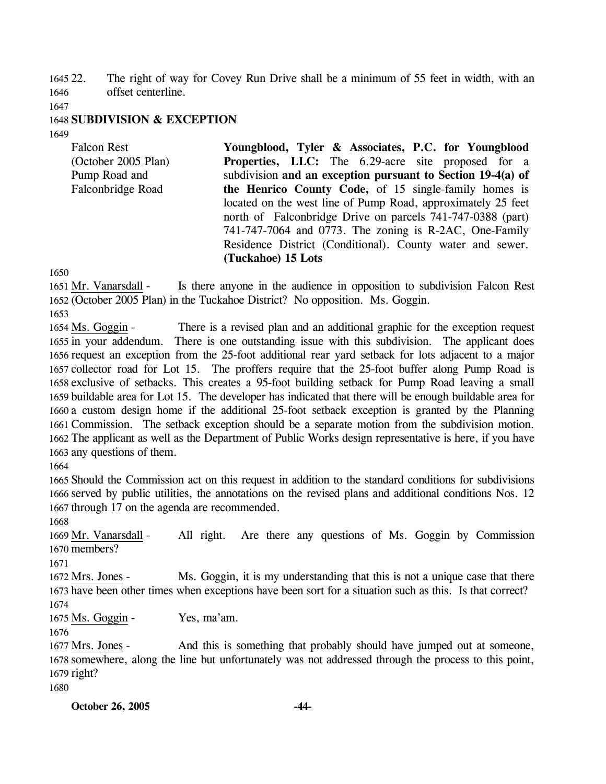1645 22. 1646 The right of way for Covey Run Drive shall be a minimum of 55 feet in width, with an offset centerline.

1647

### 1648 **SUBDIVISION & EXCEPTION**

1649

Falcon Rest (October 2005 Plan) Pump Road and Falconbridge Road **Youngblood, Tyler & Associates, P.C. for Youngblood Properties, LLC:** The 6.29-acre site proposed for a subdivision **and an exception pursuant to Section 19-4(a) of the Henrico County Code,** of 15 single-family homes is located on the west line of Pump Road, approximately 25 feet north of Falconbridge Drive on parcels 741-747-0388 (part) 741-747-7064 and 0773. The zoning is R-2AC, One-Family Residence District (Conditional). County water and sewer. **(Tuckahoe) 15 Lots** 

1650

Is there anyone in the audience in opposition to subdivision Falcon Rest (October 2005 Plan) in the Tuckahoe District? No opposition. Ms. Goggin. 1652 1651 Mr. Vanarsdall -

1653

There is a revised plan and an additional graphic for the exception request 1655 in your addendum. There is one outstanding issue with this subdivision. The applicant does 1656 request an exception from the 25-foot additional rear yard setback for lots adjacent to a major 1657 collector road for Lot 15. The proffers require that the 25-foot buffer along Pump Road is 1658 exclusive of setbacks. This creates a 95-foot building setback for Pump Road leaving a small 1659 buildable area for Lot 15. The developer has indicated that there will be enough buildable area for 1660 a custom design home if the additional 25-foot setback exception is granted by the Planning 1661 Commission. The setback exception should be a separate motion from the subdivision motion. 1662 The applicant as well as the Department of Public Works design representative is here, if you have 1663 any questions of them. 1654 Ms. Goggin -

1664

1665 Should the Commission act on this request in addition to the standard conditions for subdivisions 1666 served by public utilities, the annotations on the revised plans and additional conditions Nos. 12 1667 through 17 on the agenda are recommended.

1668

All right. Are there any questions of Ms. Goggin by Commission 1670 members? 1669 Mr. Vanarsdall -

1671

Ms. Goggin, it is my understanding that this is not a unique case that there 1673 have been other times when exceptions have been sort for a situation such as this. Is that correct? 1672 Mrs. Jones -1674

1675 Ms. Goggin - Yes, ma'am.

1676

And this is something that probably should have jumped out at someone, 1678 somewhere, along the line but unfortunately was not addressed through the process to this point, 1679 right? 1677 Mrs. Jones -

1680

**October 26, 2005 -44-**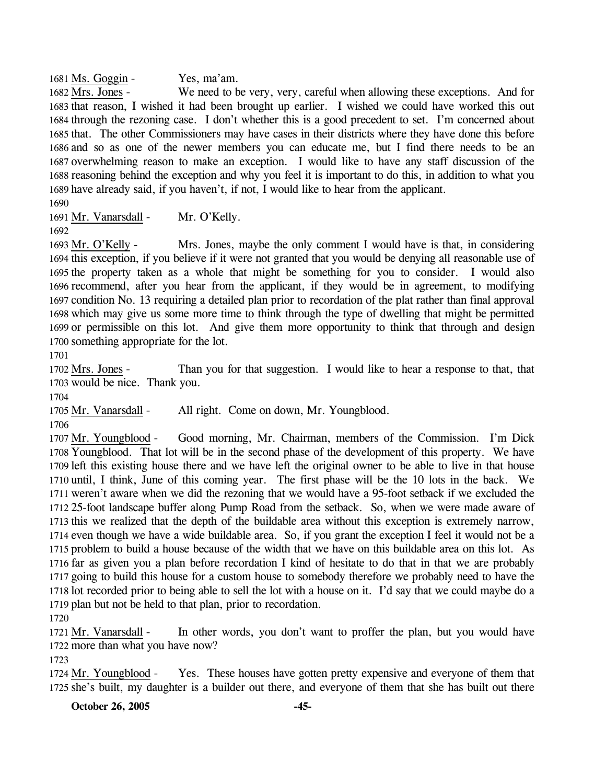1681 Ms. Goggin - Yes, ma'am.

We need to be very, very, careful when allowing these exceptions. And for 1683 that reason, I wished it had been brought up earlier. I wished we could have worked this out 1684 through the rezoning case. I don't whether this is a good precedent to set. I'm concerned about 1685 that. The other Commissioners may have cases in their districts where they have done this before 1686 and so as one of the newer members you can educate me, but I find there needs to be an 1687 overwhelming reason to make an exception. I would like to have any staff discussion of the 1688 reasoning behind the exception and why you feel it is important to do this, in addition to what you 1689 have already said, if you haven't, if not, I would like to hear from the applicant. 1682 Mrs. Jones -

1690

1691 Mr. Vanarsdall - Mr. O'Kelly.

1692

Mrs. Jones, maybe the only comment I would have is that, in considering 1694 this exception, if you believe if it were not granted that you would be denying all reasonable use of 1695 the property taken as a whole that might be something for you to consider. I would also 1696 recommend, after you hear from the applicant, if they would be in agreement, to modifying 1697 condition No. 13 requiring a detailed plan prior to recordation of the plat rather than final approval 1698 which may give us some more time to think through the type of dwelling that might be permitted 1699 or permissible on this lot. And give them more opportunity to think that through and design 1700 something appropriate for the lot. 1693 Mr. O'Kelly -

1701

Than you for that suggestion. I would like to hear a response to that, that 1703 would be nice. Thank you. 1702 Mrs. Jones -

1704

1705 Mr. Vanarsdall - All right. Come on down, Mr. Youngblood.

1706

Good morning, Mr. Chairman, members of the Commission. I'm Dick 1708 Youngblood. That lot will be in the second phase of the development of this property. We have 1709 left this existing house there and we have left the original owner to be able to live in that house 1710 until, I think, June of this coming year. The first phase will be the 10 lots in the back. We 1711 weren't aware when we did the rezoning that we would have a 95-foot setback if we excluded the 25-foot landscape buffer along Pump Road from the setback. So, when we were made aware of 1712 1713 this we realized that the depth of the buildable area without this exception is extremely narrow, 1714 even though we have a wide buildable area. So, if you grant the exception I feel it would not be a 1715 problem to build a house because of the width that we have on this buildable area on this lot. As 1716 far as given you a plan before recordation I kind of hesitate to do that in that we are probably 1717 going to build this house for a custom house to somebody therefore we probably need to have the 1718 lot recorded prior to being able to sell the lot with a house on it. I'd say that we could maybe do a 1719 plan but not be held to that plan, prior to recordation. 1707 Mr. Youngblood -

1720

In other words, you don't want to proffer the plan, but you would have 1722 more than what you have now? 1721 Mr. Vanarsdall -

1723

Yes. These houses have gotten pretty expensive and everyone of them that 1725 she's built, my daughter is a builder out there, and everyone of them that she has built out there 1724 Mr. Youngblood -

**October 26, 2005 -45-**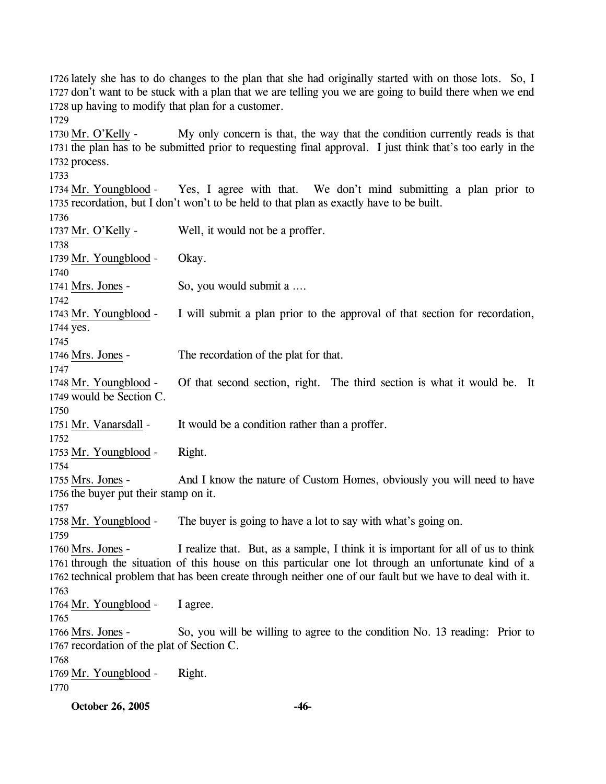1726 lately she has to do changes to the plan that she had originally started with on those lots. So, I 1727 don't want to be stuck with a plan that we are telling you we are going to build there when we end 1728 up having to modify that plan for a customer.

1729

1733

My only concern is that, the way that the condition currently reads is that 1731 the plan has to be submitted prior to requesting final approval. I just think that's too early in the 1732 process. 1730 Mr. O'Kelly -

Yes, I agree with that. We don't mind submitting a plan prior to 1735 recordation, but I don't won't to be held to that plan as exactly have to be built. 1734 Mr. Youngblood -1736

**October 26, 2005 -46-** 1737 Mr. O'Kelly - Well, it would not be a proffer. 1738 1739 Mr. Youngblood - Okay. 1740 1741 Mrs. Jones - So, you would submit a .... 1742 I will submit a plan prior to the approval of that section for recordation, 1744 yes. 1743 Mr. Youngblood -1745 1746 Mrs. Jones - The recordation of the plat for that. 1747 Of that second section, right. The third section is what it would be. It 1749 would be Section C. 1748 Mr. Youngblood -1750 1751 Mr. Vanarsdall - It would be a condition rather than a proffer. 1752 1753 Mr. Youngblood - Right. 1754 And I know the nature of Custom Homes, obviously you will need to have 1756 the buyer put their stamp on it. 1755 Mrs. Jones -1757 1758 Mr. Youngblood - The buyer is going to have a lot to say with what's going on. 1759 I realize that. But, as a sample, I think it is important for all of us to think 1761 through the situation of this house on this particular one lot through an unfortunate kind of a 1762 technical problem that has been create through neither one of our fault but we have to deal with it. 1760 Mrs. Jones -1763 1764 Mr. Youngblood - I agree. 1765 So, you will be willing to agree to the condition No. 13 reading: Prior to 1767 recordation of the plat of Section C. 1766 Mrs. Jones -1768 1769 Mr. Youngblood - Right. 1770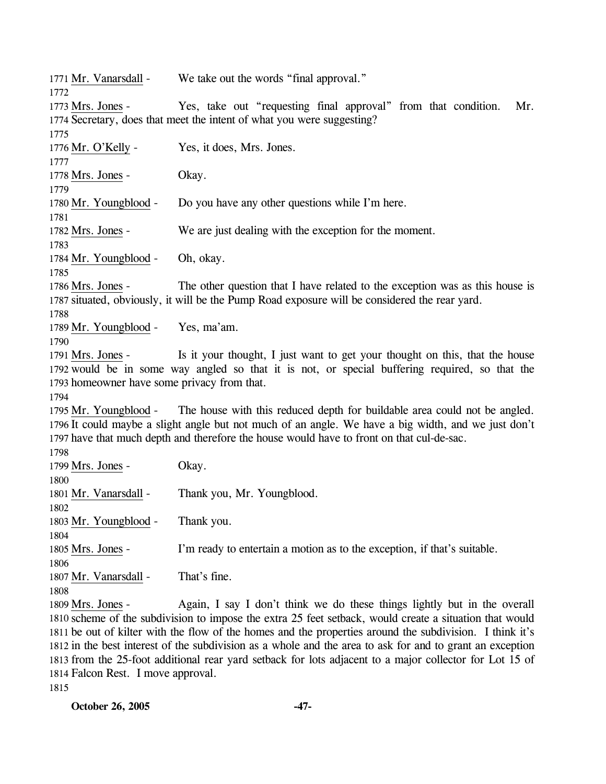1771 Mr. Vanarsdall - We take out the words "final approval." 1772 Yes, take out "requesting final approval" from that condition. Mr. 1774 Secretary, does that meet the intent of what you were suggesting? 1773 Mrs. Jones -1775 1776 Mr. O'Kelly - Yes, it does, Mrs. Jones. 1777 1778 Mrs. Jones - Okay. 1779 1780 Mr. Youngblood - Do you have any other questions while I'm here. 1781 1782 Mrs. Jones - We are just dealing with the exception for the moment. 1783 1784 Mr. Youngblood - Oh, okay. 1785 The other question that I have related to the exception was as this house is 1787 situated, obviously, it will be the Pump Road exposure will be considered the rear yard. 1786 Mrs. Jones -1788 1789 Mr. Youngblood - Yes, ma'am. 1790 Is it your thought, I just want to get your thought on this, that the house 1792 would be in some way angled so that it is not, or special buffering required, so that the 1793 homeowner have some privacy from that. 1791 Mrs. Jones -1794 The house with this reduced depth for buildable area could not be angled. 1796 It could maybe a slight angle but not much of an angle. We have a big width, and we just don't 1797 have that much depth and therefore the house would have to front on that cul-de-sac. 1795 Mr. Youngblood -1798 1799 Mrs. Jones - Okay. 1800 1801 Mr. Vanarsdall - Thank you, Mr. Youngblood. 1802 1803 Mr. Youngblood - Thank you. 1804 1805 Mrs. Jones - I'm ready to entertain a motion as to the exception, if that's suitable. 1806 1807 Mr. Vanarsdall - That's fine. 1808 Again, I say I don't think we do these things lightly but in the overall 1810 scheme of the subdivision to impose the extra 25 feet setback, would create a situation that would 1811 be out of kilter with the flow of the homes and the properties around the subdivision. I think it's 1812 in the best interest of the subdivision as a whole and the area to ask for and to grant an exception 1813 from the 25-foot additional rear yard setback for lots adjacent to a major collector for Lot 15 of 1809 Mrs. Jones -

1814 Falcon Rest. I move approval.

1815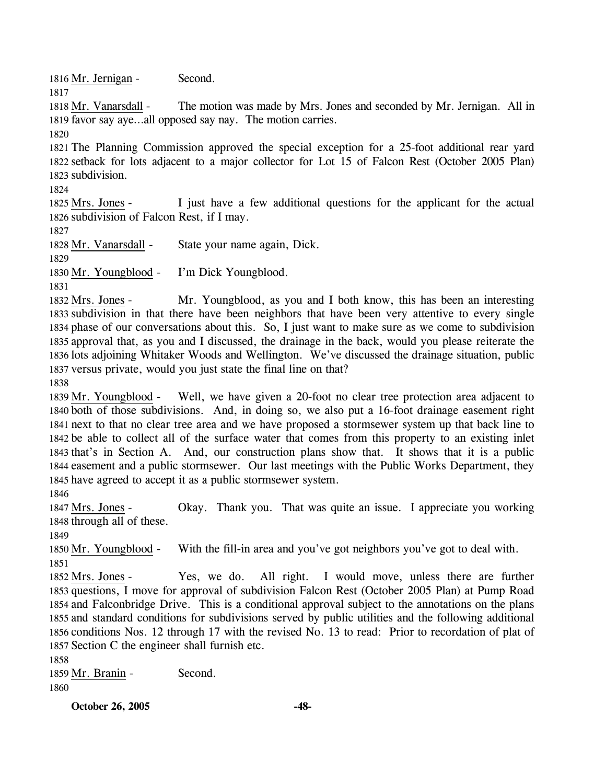1816 Mr. Jernigan - Second.

1817 1818 Mr. Vanarsdall -

The motion was made by Mrs. Jones and seconded by Mr. Jernigan. All in 1819 favor say aye...all opposed say nay. The motion carries. 1820

1821 The Planning Commission approved the special exception for a 25-foot additional rear yard 1822 setback for lots adjacent to a major collector for Lot 15 of Falcon Rest (October 2005 Plan) 1823 subdivision.

1824

I just have a few additional questions for the applicant for the actual 1826 subdivision of Falcon Rest, if I may. 1825 Mrs. Jones -

1827

1828 Mr. Vanarsdall - State your name again, Dick.

1829

1830 Mr. Youngblood - I'm Dick Youngblood.

1831

Mr. Youngblood, as you and I both know, this has been an interesting 1833 subdivision in that there have been neighbors that have been very attentive to every single 1834 phase of our conversations about this. So, I just want to make sure as we come to subdivision 1835 approval that, as you and I discussed, the drainage in the back, would you please reiterate the 1836 lots adjoining Whitaker Woods and Wellington. We've discussed the drainage situation, public 1837 versus private, would you just state the final line on that? 1832 Mrs. Jones -

1838

Well, we have given a 20-foot no clear tree protection area adjacent to 1840 both of those subdivisions. And, in doing so, we also put a 16-foot drainage easement right 1841 next to that no clear tree area and we have proposed a stormsewer system up that back line to 1842 be able to collect all of the surface water that comes from this property to an existing inlet 1843 that's in Section A. And, our construction plans show that. It shows that it is a public 1844 easement and a public stormsewer. Our last meetings with the Public Works Department, they 1845 have agreed to accept it as a public stormsewer system. 1839 Mr. Youngblood -

1846

Okay. Thank you. That was quite an issue. I appreciate you working 1848 through all of these. 1847 Mrs. Jones -

1849

1850 Mr. Youngblood - With the fill-in area and you've got neighbors you've got to deal with.

1851

Yes, we do. All right. I would move, unless there are further 1853 questions, I move for approval of subdivision Falcon Rest (October 2005 Plan) at Pump Road 1854 and Falconbridge Drive. This is a conditional approval subject to the annotations on the plans 1855 and standard conditions for subdivisions served by public utilities and the following additional 1856 conditions Nos. 12 through 17 with the revised No. 13 to read: Prior to recordation of plat of 1857 Section C the engineer shall furnish etc. 1852 Mrs. Jones -

1858

1859 Mr. Branin - Second. 1860

**October 26, 2005 -48-**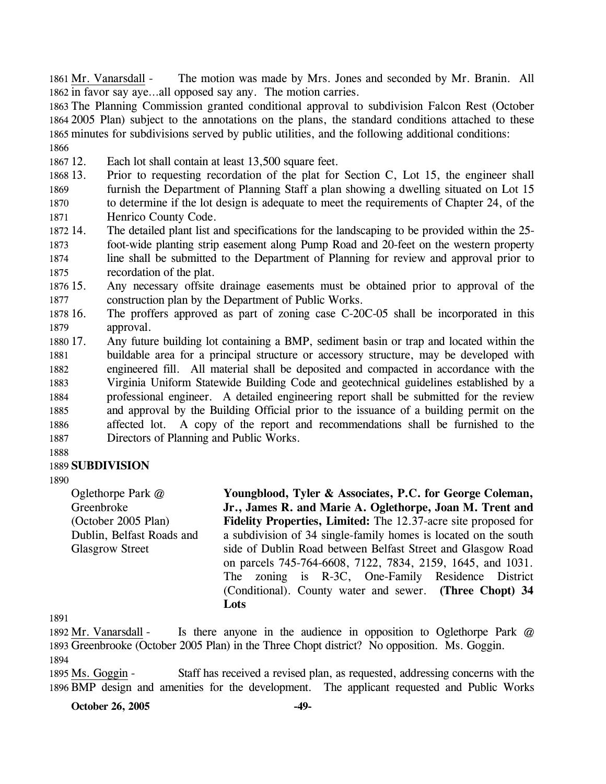The motion was made by Mrs. Jones and seconded by Mr. Branin. All 1862 in favor say aye...all opposed say any. The motion carries. 1861 Mr. Vanarsdall -

 The Planning Commission granted conditional approval to subdivision Falcon Rest (October 2005 Plan) subject to the annotations on the plans, the standard conditions attached to these minutes for subdivisions served by public utilities, and the following additional conditions: 1866

1867 12. Each lot shall contain at least 13,500 square feet.

1868 13. 1869 1870 1871 13. Prior to requesting recordation of the plat for Section C, Lot 15, the engineer shall furnish the Department of Planning Staff a plan showing a dwelling situated on Lot 15 to determine if the lot design is adequate to meet the requirements of Chapter 24, of the Henrico County Code.

- 1872 14. 1873 1874 1875 The detailed plant list and specifications for the landscaping to be provided within the 25foot-wide planting strip easement along Pump Road and 20-feet on the western property line shall be submitted to the Department of Planning for review and approval prior to recordation of the plat.
- 1876 15. 1877 15. Any necessary offsite drainage easements must be obtained prior to approval of the construction plan by the Department of Public Works.
- 1878 16. 1879 The proffers approved as part of zoning case C-20C-05 shall be incorporated in this approval.
- 1880 17. 1881 1882 1883 1884 1885 1886 1887 Any future building lot containing a BMP, sediment basin or trap and located within the buildable area for a principal structure or accessory structure, may be developed with engineered fill. All material shall be deposited and compacted in accordance with the Virginia Uniform Statewide Building Code and geotechnical guidelines established by a professional engineer. A detailed engineering report shall be submitted for the review and approval by the Building Official prior to the issuance of a building permit on the affected lot. A copy of the report and recommendations shall be furnished to the Directors of Planning and Public Works.
- 1888

# 1889 **SUBDIVISION**

1890

Oglethorpe Park @ Greenbroke (October 2005 Plan) Dublin, Belfast Roads and Glasgrow Street

**Youngblood, Tyler & Associates, P.C. for George Coleman, Jr., James R. and Marie A. Oglethorpe, Joan M. Trent and Fidelity Properties, Limited:** The 12.37-acre site proposed for a subdivision of 34 single-family homes is located on the south side of Dublin Road between Belfast Street and Glasgow Road on parcels 745-764-6608, 7122, 7834, 2159, 1645, and 1031. The zoning is R-3C, One-Family Residence District (Conditional). County water and sewer. **(Three Chopt) 34 Lots** 

1891

Is there anyone in the audience in opposition to Oglethorpe Park  $@$ 1893 Greenbrooke (October 2005 Plan) in the Three Chopt district? No opposition. Ms. Goggin. 1892 Mr. Vanarsdall -1894

Staff has received a revised plan, as requested, addressing concerns with the 1896 BMP design and amenities for the development. The applicant requested and Public Works 1895 Ms. Goggin -

**October 26, 2005** -49-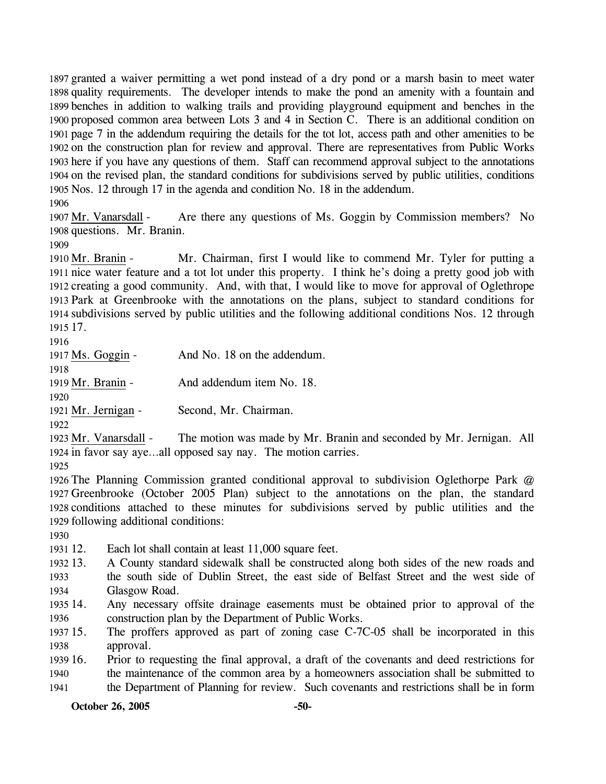granted a waiver permitting a wet pond instead of a dry pond or a marsh basin to meet water quality requirements. The developer intends to make the pond an amenity with a fountain and benches in addition to walking trails and providing playground equipment and benches in the proposed common area between Lots 3 and 4 in Section C. There is an additional condition on page 7 in the addendum requiring the details for the tot lot, access path and other amenities to be on the construction plan for review and approval. There are representatives from Public Works here if you have any questions of them. Staff can recommend approval subject to the annotations on the revised plan, the standard conditions for subdivisions served by public utilities, conditions Nos. 12 through 17 in the agenda and condition No. 18 in the addendum.

1906

Are there any questions of Ms. Goggin by Commission members? No 1908 questions. Mr. Branin. 1907 Mr. Vanarsdall -

1909

Mr. Chairman, first I would like to commend Mr. Tyler for putting a 1911 nice water feature and a tot lot under this property. I think he's doing a pretty good job with 1912 creating a good community. And, with that, I would like to move for approval of Oglethrope 1913 Park at Greenbrooke with the annotations on the plans, subject to standard conditions for 1914 subdivisions served by public utilities and the following additional conditions Nos. 12 through 1915 17. 1910 Mr. Branin -

1916

| 1917 Ms. Goggin -   | And No. 18 on the addendum. |
|---------------------|-----------------------------|
| 1918                |                             |
| 1919 Mr. Branin -   | And addendum item No. 18.   |
| 1920                |                             |
| 1921 Mr. Jernigan - | Second, Mr. Chairman.       |

1922

The motion was made by Mr. Branin and seconded by Mr. Jernigan. All 1924 in favor say aye...all opposed say nay. The motion carries. 1923 Mr. Vanarsdall -

1925

 The Planning Commission granted conditional approval to subdivision Oglethorpe Park @ Greenbrooke (October 2005 Plan) subject to the annotations on the plan, the standard conditions attached to these minutes for subdivisions served by public utilities and the following additional conditions:

1930

1931 12. Each lot shall contain at least 11,000 square feet.

- 1932 13. 1933 1934 13. A County standard sidewalk shall be constructed along both sides of the new roads and the south side of Dublin Street, the east side of Belfast Street and the west side of Glasgow Road.
- 1935 14. 1936 Any necessary offsite drainage easements must be obtained prior to approval of the construction plan by the Department of Public Works.

1937 15. 1938 The proffers approved as part of zoning case  $C$ -7 $C$ -05 shall be incorporated in this approval.

1939 16. 1940 1941 16. Prior to requesting the final approval, a draft of the covenants and deed restrictions for the maintenance of the common area by a homeowners association shall be submitted to the Department of Planning for review. Such covenants and restrictions shall be in form

**October 26, 2005 -50-**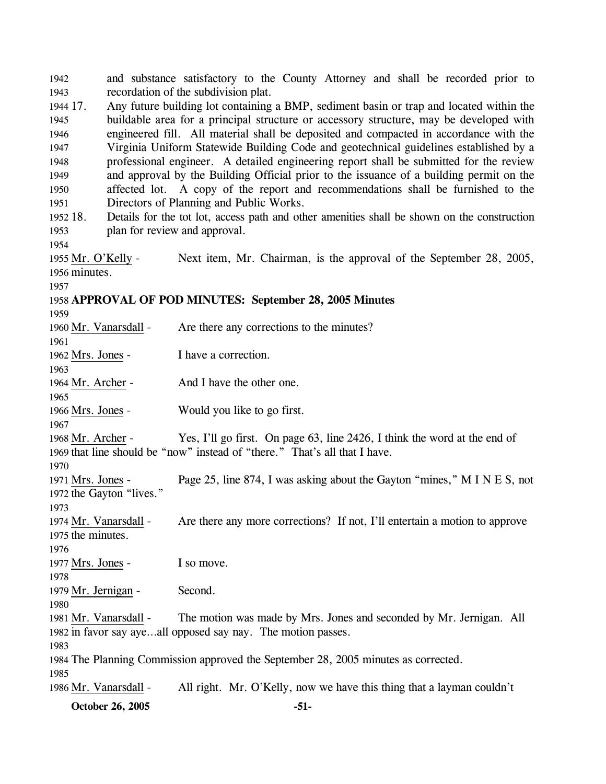1942 1943 1944 17. 1945 1946 1947 1948 1949 1950 1951 1952 18. 1953 1954 and substance satisfactory to the County Attorney and shall be recorded prior to recordation of the subdivision plat. 17. Any future building lot containing a BMP, sediment basin or trap and located within the buildable area for a principal structure or accessory structure, may be developed with engineered fill. All material shall be deposited and compacted in accordance with the Virginia Uniform Statewide Building Code and geotechnical guidelines established by a professional engineer. A detailed engineering report shall be submitted for the review and approval by the Building Official prior to the issuance of a building permit on the affected lot. A copy of the report and recommendations shall be furnished to the Directors of Planning and Public Works. Details for the tot lot, access path and other amenities shall be shown on the construction plan for review and approval. Next item, Mr. Chairman, is the approval of the September 28, 2005, 1956 minutes. 1955 Mr. O'Kelly -1957 1958 **APPROVAL OF POD MINUTES: September 28, 2005 Minutes**  1959 1960 Mr. Vanarsdall - Are there any corrections to the minutes? 1961 1962 Mrs. Jones - I have a correction. 1963 1964 Mr. Archer - And I have the other one. 1965 1966 Mrs. Jones - Would you like to go first. 1967 Yes, I'll go first. On page 63, line 2426, I think the word at the end of 1969 that line should be "now" instead of "there." That's all that I have. 1968 Mr. Archer -1970 Page 25, line 874, I was asking about the Gayton "mines," M I N E S, not 1972 the Gayton "lives." 1971 Mrs. Jones -1973 Are there any more corrections? If not, I'll entertain a motion to approve 1975 the minutes. 1974 Mr. Vanarsdall -1976 1977 Mrs. Jones - I so move. 1978 1979 Mr. Jernigan - Second. 1980 The motion was made by Mrs. Jones and seconded by Mr. Jernigan. All 1982 in favor say aye...all opposed say nay. The motion passes. 1981 Mr. Vanarsdall -1983 1984 The Planning Commission approved the September 28, 2005 minutes as corrected. 1985 1986 Mr. Vanarsdall - All right. Mr. O'Kelly, now we have this thing that a layman couldn't

**October 26, 2005 -51-**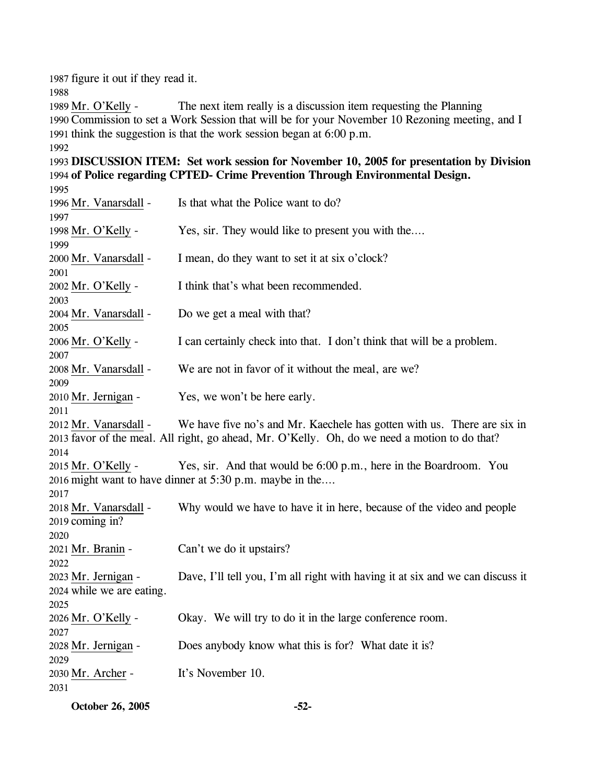1987 figure it out if they read it.

1988

The next item really is a discussion item requesting the Planning 1990 Commission to set a Work Session that will be for your November 10 Rezoning meeting, and I 1991 think the suggestion is that the work session began at  $6:00$  p.m. 1989 Mr. O'Kelly -1992

1993 **DISCUSSION ITEM: Set work session for November 10, 2005 for presentation by Division**  1994 **of Police regarding CPTED- Crime Prevention Through Environmental Design.**  1995

| 1996 Mr. Vanarsdall -         | Is that what the Police want to do?                                                           |
|-------------------------------|-----------------------------------------------------------------------------------------------|
| 1997                          |                                                                                               |
| 1998 Mr. O'Kelly -            | Yes, sir. They would like to present you with the                                             |
| 1999                          |                                                                                               |
| 2000 Mr. Vanarsdall -         | I mean, do they want to set it at six o'clock?                                                |
| 2001                          |                                                                                               |
| 2002 Mr. O'Kelly -            | I think that's what been recommended.                                                         |
| 2003                          | Do we get a meal with that?                                                                   |
| 2004 Mr. Vanarsdall -<br>2005 |                                                                                               |
| 2006 Mr. O'Kelly -            | I can certainly check into that. I don't think that will be a problem.                        |
| 2007                          |                                                                                               |
| 2008 Mr. Vanarsdall -         | We are not in favor of it without the meal, are we?                                           |
| 2009                          |                                                                                               |
| 2010 Mr. Jernigan -           | Yes, we won't be here early.                                                                  |
| 2011                          |                                                                                               |
| 2012 Mr. Vanarsdall -         | We have five no's and Mr. Kaechele has gotten with us. There are six in                       |
|                               | 2013 favor of the meal. All right, go ahead, Mr. O'Kelly. Oh, do we need a motion to do that? |
| 2014                          |                                                                                               |
| 2015 Mr. O'Kelly -            | Yes, sir. And that would be 6:00 p.m., here in the Boardroom. You                             |
|                               | 2016 might want to have dinner at 5:30 p.m. maybe in the                                      |
| 2017                          |                                                                                               |
| 2018 Mr. Vanarsdall -         | Why would we have to have it in here, because of the video and people                         |
| 2019 coming in?               |                                                                                               |
| 2020                          |                                                                                               |
| 2021 Mr. Branin -<br>2022     | Can't we do it upstairs?                                                                      |
| 2023 Mr. Jernigan -           | Dave, I'll tell you, I'm all right with having it at six and we can discuss it                |
| 2024 while we are eating.     |                                                                                               |
| 2025                          |                                                                                               |
| 2026 Mr. O'Kelly -            | Okay. We will try to do it in the large conference room.                                      |
| 2027                          |                                                                                               |
| 2028 Mr. Jernigan -           | Does anybody know what this is for? What date it is?                                          |
| 2029                          |                                                                                               |
| 2030 Mr. Archer -             | It's November 10.                                                                             |
| 2031                          |                                                                                               |
|                               |                                                                                               |

**October 26, 2005 -52-**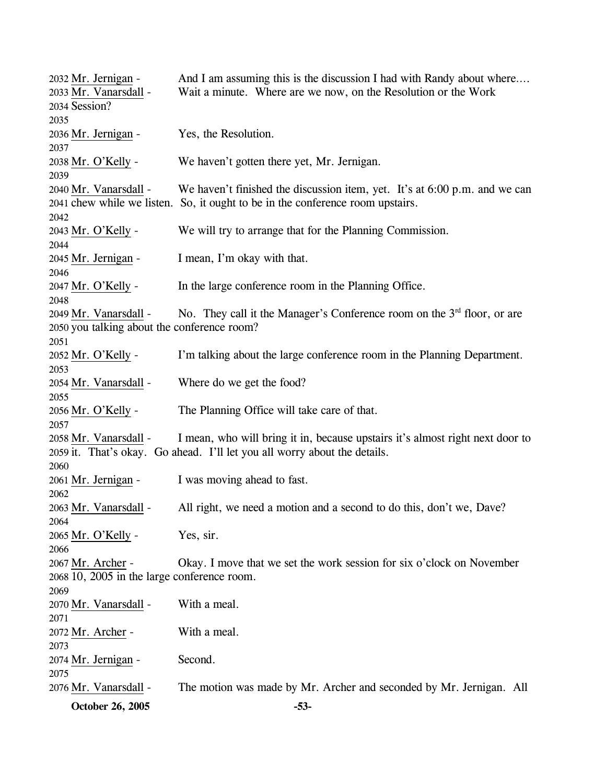**October 26, 2005 -53-** 2032 Mr. Jernigan - And I am assuming this is the discussion I had with Randy about where…. Wait a minute. Where are we now, on the Resolution or the Work 2034 Session? 2033 Mr. Vanarsdall -2035 2036 Mr. Jernigan - Yes, the Resolution. 2037 2038 Mr. O'Kelly - We haven't gotten there yet, Mr. Jernigan. 2039 We haven't finished the discussion item, yet. It's at  $6:00$  p.m. and we can 2041 chew while we listen. So, it ought to be in the conference room upstairs. 2040 Mr. Vanarsdall -2042 2043 Mr. O'Kelly - We will try to arrange that for the Planning Commission. 2044 2045 Mr. Jernigan - I mean, I'm okay with that. 2046 2047 Mr. O'Kelly - In the large conference room in the Planning Office. 2048 No. They call it the Manager's Conference room on the  $3<sup>rd</sup>$  floor, or are 2050 you talking about the conference room? 2049 Mr. Vanarsdall -2051 2052 Mr. O'Kelly - I'm talking about the large conference room in the Planning Department. 2053 2054 Mr. Vanarsdall - Where do we get the food? 2055 2056 Mr. O'Kelly - The Planning Office will take care of that. 2057 I mean, who will bring it in, because upstairs it's almost right next door to 2059 it. That's okay. Go ahead. I'll let you all worry about the details. 2058 Mr. Vanarsdall -2060 2061 Mr. Jernigan - I was moving ahead to fast. 2062 2063 Mr. Vanarsdall - All right, we need a motion and a second to do this, don't we, Dave? 2064 2065 Mr. O'Kelly - Yes, sir. 2066 Okay. I move that we set the work session for six o'clock on November 2068 10, 2005 in the large conference room. 2067 Mr. Archer -2069 2070 Mr. Vanarsdall - With a meal. 2071 2072 Mr. Archer - With a meal. 2073 2074 Mr. Jernigan - Second. 2075 2076 Mr. Vanarsdall - The motion was made by Mr. Archer and seconded by Mr. Jernigan. All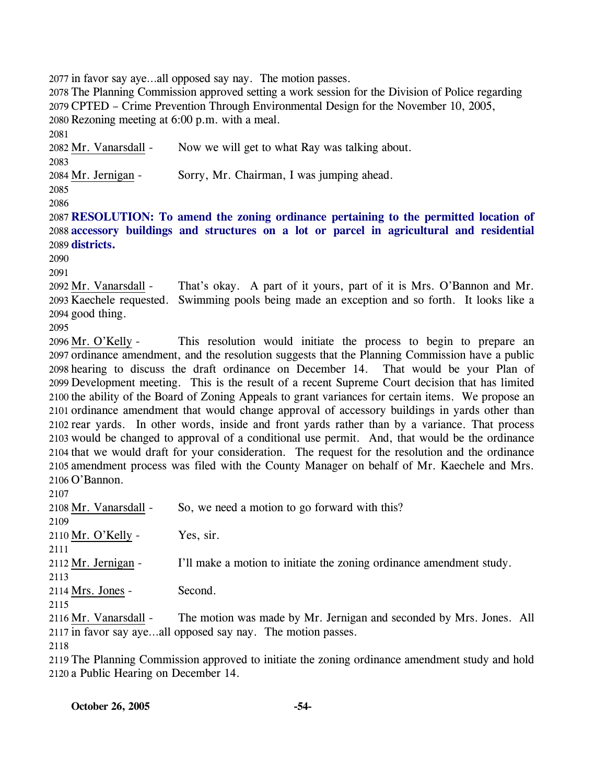2077 in favor say aye…all opposed say nay. The motion passes.

 The Planning Commission approved setting a work session for the Division of Police regarding CPTED – Crime Prevention Through Environmental Design for the November 10, 2005, Rezoning meeting at 6:00 p.m. with a meal. 2081

2082 Mr. Vanarsdall - Now we will get to what Ray was talking about. 2083

2084 Mr. Jernigan - Sorry, Mr. Chairman, I was jumping ahead.

2085 2086

2087 **RESOLUTION: To amend the zoning ordinance pertaining to the permitted location of**  2088 **accessory buildings and structures on a lot or parcel in agricultural and residential**  2089 **districts.** 

2090

2091

That's okay. A part of it yours, part of it is Mrs. O'Bannon and Mr. Kaechele requested. Swimming pools being made an exception and so forth. It looks like a 2093 good thing. 2094 2092 Mr. Vanarsdall -

2095

This resolution would initiate the process to begin to prepare an 2097 ordinance amendment, and the resolution suggests that the Planning Commission have a public 2098 hearing to discuss the draft ordinance on December 14. That would be your Plan of 2099 Development meeting. This is the result of a recent Supreme Court decision that has limited 2100 the ability of the Board of Zoning Appeals to grant variances for certain items. We propose an 2101 ordinance amendment that would change approval of accessory buildings in yards other than 2102 rear yards. In other words, inside and front yards rather than by a variance. That process 2103 would be changed to approval of a conditional use permit. And, that would be the ordinance 2104 that we would draft for your consideration. The request for the resolution and the ordinance 2105 amendment process was filed with the County Manager on behalf of Mr. Kaechele and Mrs. 2106 O'Bannon. 2096 Mr. O'Kelly -

2107

| 2107                  |                                                                      |  |
|-----------------------|----------------------------------------------------------------------|--|
| 2108 Mr. Vanarsdall - | So, we need a motion to go forward with this?                        |  |
| 2109                  |                                                                      |  |
| 2110 Mr. O'Kelly -    | Yes, sir.                                                            |  |
| 2111                  |                                                                      |  |
| 2112 Mr. Jernigan -   | I'll make a motion to initiate the zoning ordinance amendment study. |  |
| 2113                  |                                                                      |  |
| 2114 Mrs. Jones -     | Second.                                                              |  |
| 2115                  |                                                                      |  |
| 2116 Mr. Vanarsdall - | The motion was made by Mr. Jernigan and seconded by Mrs. Jones. All  |  |
|                       | 2117 in favor say ayeall opposed say nay. The motion passes.         |  |
| 2118                  |                                                                      |  |

2119 The Planning Commission approved to initiate the zoning ordinance amendment study and hold 2120 a Public Hearing on December 14.

**October 26, 2005 -54-**